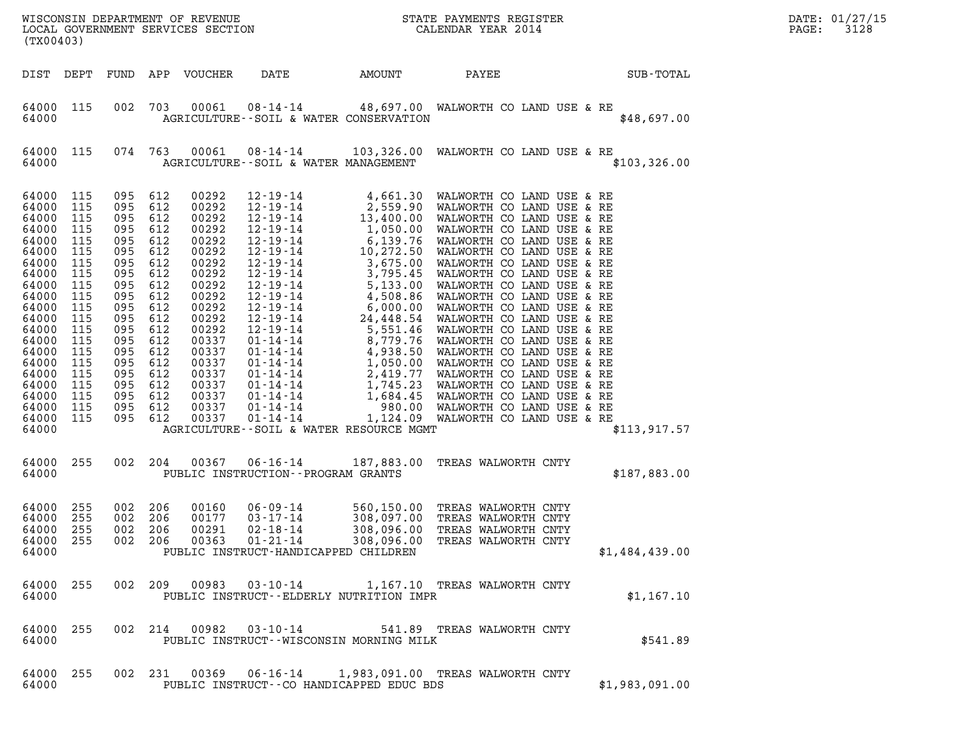| (TX00403)                                                                                                                                                                                          |                                                                                                                                                   |                                                                                                                                                                                                 |                                                             |                                                                                                                                                                                           |                                                                                                                                         |                          |                                                                                                                                                                                                                                                                  |                | DATE: 01/27/15<br>PAGE:<br>3128 |
|----------------------------------------------------------------------------------------------------------------------------------------------------------------------------------------------------|---------------------------------------------------------------------------------------------------------------------------------------------------|-------------------------------------------------------------------------------------------------------------------------------------------------------------------------------------------------|-------------------------------------------------------------|-------------------------------------------------------------------------------------------------------------------------------------------------------------------------------------------|-----------------------------------------------------------------------------------------------------------------------------------------|--------------------------|------------------------------------------------------------------------------------------------------------------------------------------------------------------------------------------------------------------------------------------------------------------|----------------|---------------------------------|
| DIST DEPT                                                                                                                                                                                          |                                                                                                                                                   |                                                                                                                                                                                                 |                                                             | FUND APP VOUCHER                                                                                                                                                                          | DATE                                                                                                                                    | AMOUNT                   | PAYEE                                                                                                                                                                                                                                                            | SUB-TOTAL      |                                 |
| 64000 115<br>64000                                                                                                                                                                                 |                                                                                                                                                   | 002                                                                                                                                                                                             | 703                                                         | 00061                                                                                                                                                                                     | 08-14-14<br>AGRICULTURE--SOIL & WATER CONSERVATION                                                                                      |                          | 48,697.00 WALWORTH CO LAND USE & RE                                                                                                                                                                                                                              | \$48,697.00    |                                 |
| 64000 115<br>64000                                                                                                                                                                                 |                                                                                                                                                   | 074 763                                                                                                                                                                                         |                                                             | 00061                                                                                                                                                                                     | 08-14-14<br>AGRICULTURE--SOIL & WATER MANAGEMENT                                                                                        |                          | 103,326.00 WALWORTH CO LAND USE & RE                                                                                                                                                                                                                             | \$103,326.00   |                                 |
| 64000<br>64000<br>64000<br>64000<br>64000<br>64000<br>64000<br>64000<br>64000<br>64000<br>64000<br>64000<br>64000<br>64000<br>64000<br>64000<br>64000<br>64000<br>64000<br>64000<br>64000<br>64000 | 115<br>115<br>115<br>115<br>115<br>115<br>115<br>115<br>115<br>115<br>115<br>115<br>115<br>115<br>115<br>115<br>115<br>115<br>115<br>115<br>- 115 | 095 612<br>095<br>095 612<br>095<br>095 612<br>095<br>095<br>095<br>095<br>095<br>095<br>095 612<br>095 612<br>095<br>095 612<br>095 612<br>095 612<br>095 612<br>095 612<br>095 612<br>095 612 | 612<br>612<br>612<br>612<br>612<br>612<br>612<br>612<br>612 | 00292<br>00292<br>00292<br>00292<br>00292<br>00292<br>00292<br>00292<br>00292<br>00292<br>00292<br>00292<br>00292<br>00337<br>00337<br>00337<br>00337<br>00337<br>00337<br>00337<br>00337 | 12-19-14<br>12-19-14<br>12-19-14<br>12-19-14<br>$12 - 19 - 14$<br>12-19-14<br>$01 - 14 - 14$<br>AGRICULTURE--SOIL & WATER RESOURCE MGMT | 10,272.50                | $4,661.30$ WALWORTH CO LAND USE & RE<br>2,559.90 WALWORTH CO LAND USE & RE<br>13,400.00 WALWORTH CO LAND USE & RE<br>1,050.00 WALWORTH CO LAND USE & RE<br>6,139.76 WALWORTH CO LAND USE & RE<br>WALWORTH CO LAND USE & RE<br>1,124.09 WALWORTH CO LAND USE & RE | \$113, 917.57  |                                 |
| 64000 255<br>64000                                                                                                                                                                                 |                                                                                                                                                   | 002 204                                                                                                                                                                                         |                                                             | 00367                                                                                                                                                                                     | 06-16-14<br>PUBLIC INSTRUCTION -- PROGRAM GRANTS                                                                                        | 187,883.00               | TREAS WALWORTH CNTY                                                                                                                                                                                                                                              | \$187,883.00   |                                 |
| 64000<br>64000<br>64000<br>64000 255<br>64000                                                                                                                                                      | - 255<br>255<br>255                                                                                                                               | 002 206<br>002<br>002 206                                                                                                                                                                       | 206                                                         | 00160<br>00177<br>00291                                                                                                                                                                   | $06 - 09 - 14$<br>$03 - 17 - 14$<br>$02 - 18 - 14$<br>PUBLIC INSTRUCT-HANDICAPPED CHILDREN                                              | 308,097.00<br>308,096.00 | 560,150.00 TREAS WALWORTH CNTY<br>TREAS WALWORTH CNTY<br>TREAS WALWORTH CNTY<br>002  206  00363  01-21-14  308,096.00  TREAS WALWORTH CNTY                                                                                                                       | \$1,484,439.00 |                                 |
| 64000 255<br>64000                                                                                                                                                                                 |                                                                                                                                                   |                                                                                                                                                                                                 |                                                             |                                                                                                                                                                                           | PUBLIC INSTRUCT--ELDERLY NUTRITION IMPR                                                                                                 |                          | 002  209  00983  03-10-14  1,167.10  TREAS WALWORTH CNTY                                                                                                                                                                                                         | \$1,167.10     |                                 |
| 64000 255<br>64000                                                                                                                                                                                 |                                                                                                                                                   |                                                                                                                                                                                                 |                                                             |                                                                                                                                                                                           | PUBLIC INSTRUCT--WISCONSIN MORNING MILK                                                                                                 |                          | 002  214  00982  03-10-14  541.89  TREAS WALWORTH CNTY                                                                                                                                                                                                           | \$541.89       |                                 |
| 64000 255<br>64000                                                                                                                                                                                 |                                                                                                                                                   |                                                                                                                                                                                                 |                                                             |                                                                                                                                                                                           | PUBLIC INSTRUCT--CO HANDICAPPED EDUC BDS                                                                                                |                          | 002 231 00369 06-16-14 1,983,091.00 TREAS WALWORTH CNTY                                                                                                                                                                                                          | \$1,983,091.00 |                                 |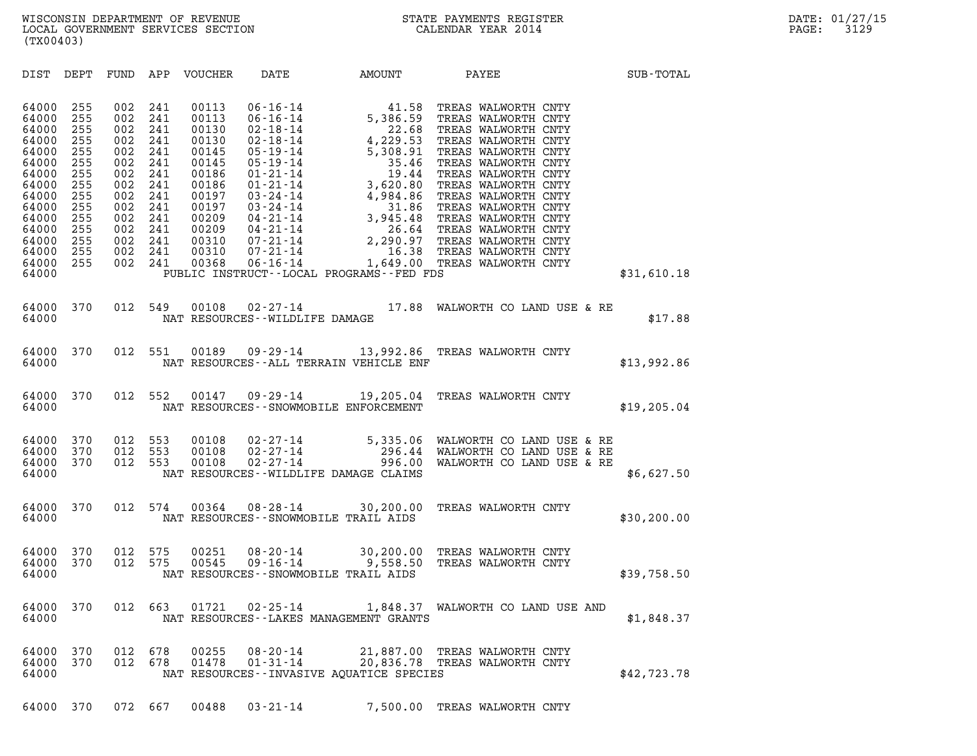| (TX00403)                                                                                                                                    |                                                                                                       |                                                                                                       |                                                                                                       |                                                                                                                                     |                                                     |                                                      |                                                                                                                                       |              |
|----------------------------------------------------------------------------------------------------------------------------------------------|-------------------------------------------------------------------------------------------------------|-------------------------------------------------------------------------------------------------------|-------------------------------------------------------------------------------------------------------|-------------------------------------------------------------------------------------------------------------------------------------|-----------------------------------------------------|------------------------------------------------------|---------------------------------------------------------------------------------------------------------------------------------------|--------------|
| DIST                                                                                                                                         | DEPT                                                                                                  |                                                                                                       |                                                                                                       | FUND APP VOUCHER                                                                                                                    | DATE AMOUNT                                         |                                                      | PAYEE                                                                                                                                 | SUB-TOTAL    |
| 64000<br>64000<br>64000<br>64000<br>64000<br>64000<br>64000<br>64000<br>64000<br>64000<br>64000<br>64000<br>64000<br>64000<br>64000<br>64000 | 255<br>255<br>255<br>255<br>255<br>255<br>255<br>255<br>255<br>255<br>255<br>255<br>255<br>255<br>255 | 002<br>002<br>002<br>002<br>002<br>002<br>002<br>002<br>002<br>002<br>002<br>002<br>002<br>002<br>002 | 241<br>241<br>241<br>241<br>241<br>241<br>241<br>241<br>241<br>241<br>241<br>241<br>241<br>241<br>241 | 00113<br>00113<br>00130<br>00130<br>00145<br>00145<br>00186<br>00186<br>00197<br>00197<br>00209<br>00209<br>00310<br>00310<br>00368 |                                                     | PUBLIC INSTRUCT--LOCAL PROGRAMS--FED FDS             |                                                                                                                                       | \$31,610.18  |
| 64000<br>64000                                                                                                                               | 370                                                                                                   | 012                                                                                                   | 549                                                                                                   | 00108                                                                                                                               | $02 - 27 - 14$<br>NAT RESOURCES - - WILDLIFE DAMAGE |                                                      | 17.88 WALWORTH CO LAND USE & RE                                                                                                       | \$17.88      |
| 64000<br>64000                                                                                                                               | 370                                                                                                   | 012                                                                                                   | 551                                                                                                   |                                                                                                                                     |                                                     | NAT RESOURCES -- ALL TERRAIN VEHICLE ENF             | 00189  09-29-14  13,992.86  TREAS WALWORTH CNTY                                                                                       | \$13,992.86  |
| 64000<br>64000                                                                                                                               | 370                                                                                                   | 012 552                                                                                               |                                                                                                       |                                                                                                                                     |                                                     | NAT RESOURCES - - SNOWMOBILE ENFORCEMENT             | 00147  09-29-14  19,205.04  TREAS WALWORTH CNTY                                                                                       | \$19, 205.04 |
| 64000<br>64000<br>64000<br>64000                                                                                                             | 370<br>370<br>370                                                                                     | 012<br>012<br>012                                                                                     | 553<br>553<br>553                                                                                     | 00108<br>00108<br>00108                                                                                                             |                                                     | NAT RESOURCES--WILDLIFE DAMAGE CLAIMS                | 02-27-14 5,335.06 WALWORTH CO LAND USE & RE<br>02-27-14 296.44 WALWORTH CO LAND USE & RE<br>02-27-14 996.00 WALWORTH CO LAND USE & RE | \$6,627.50   |
| 64000<br>64000                                                                                                                               | 370                                                                                                   | 012                                                                                                   | 574                                                                                                   | 00364                                                                                                                               | $08 - 28 - 14$                                      | 30,200.00<br>NAT RESOURCES - - SNOWMOBILE TRAIL AIDS | TREAS WALWORTH CNTY                                                                                                                   | \$30, 200.00 |
| 64000<br>64000<br>64000                                                                                                                      | 370<br>370                                                                                            | 012<br>012                                                                                            | 575<br>575                                                                                            | 00251<br>00545                                                                                                                      |                                                     | NAT RESOURCES - - SNOWMOBILE TRAIL AIDS              | 08-20-14 30,200.00 TREAS WALWORTH CNTY<br>09-16-14 9,558.50 TREAS WALWORTH CNTY                                                       | \$39,758.50  |
| 64000<br>64000                                                                                                                               | 370                                                                                                   | 012                                                                                                   | 663                                                                                                   | 01721                                                                                                                               | $02 - 25 - 14$                                      | NAT RESOURCES - - LAKES MANAGEMENT GRANTS            | 1,848.37 WALWORTH CO LAND USE AND                                                                                                     | \$1,848.37   |
| 64000<br>64000<br>64000                                                                                                                      | 370<br>370                                                                                            | 012<br>012                                                                                            | 678<br>678                                                                                            | 00255<br>01478                                                                                                                      | 08-20-14<br>$01 - 31 - 14$                          | NAT RESOURCES -- INVASIVE AQUATICE SPECIES           | 21,887.00 TREAS WALWORTH CNTY<br>20,836.78 TREAS WALWORTH CNTY                                                                        | \$42,723.78  |

64000 370 072 667 00488 03-21-14 7,500.00 TREAS WALWORTH CNTY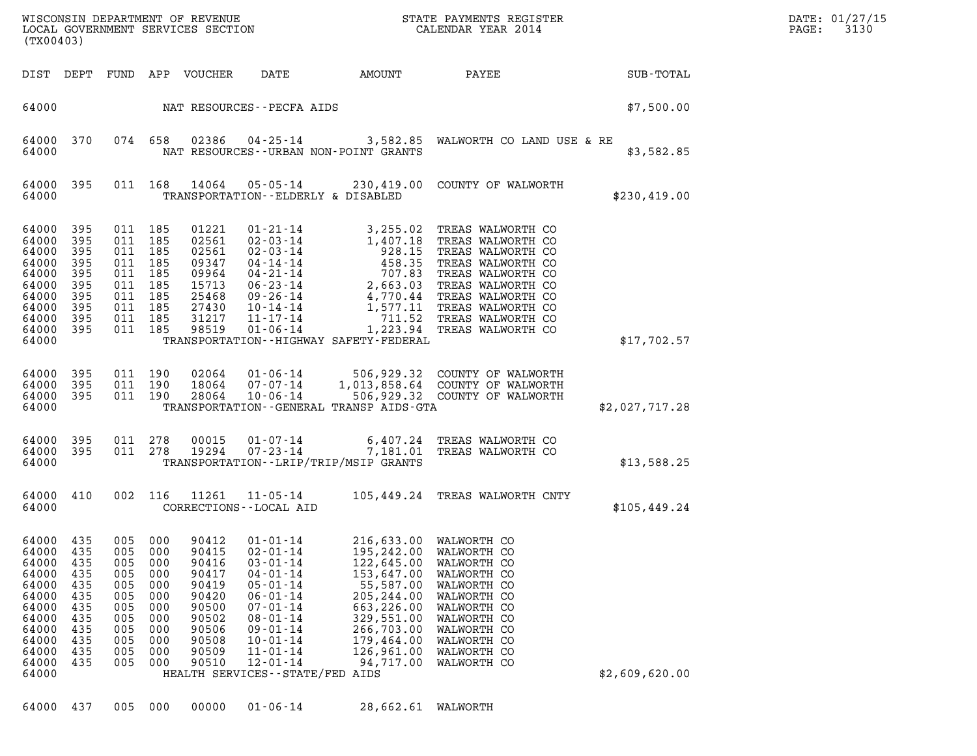| DATE: | 01/27/15 |
|-------|----------|
| PAGE: | 3130     |

WISCONSIN DEPARTMENT OF REVENUE<br>LOCAL GOVERNMENT SERVICES SECTION STATE PAYMENTS REGISTER STATE SECONDO DATE: 01/27/15 WISCONSIN DEPARTMENT OF REVENUE<br>LOCAL GOVERNMENT SERVICES SECTION CALENDAR YEAR 2014<br>(TX00403) (TX00403) DIST DEPT FUND APP VOUCHER DATE AMOUNT PAYEE SUB-TOTAL 64000 NAT RESOURCES--PECFA AIDS \$7,500.00 64000 370 074 658 02386 04-25-14 3,582.85 WALWORTH CO LAND USE & RE 64000 370 074 658 02386 04-25-14 3,582.85 WALWORTH CO LAND USE & RE<br>64000 NAT RESOURCES--URBAN NON-POINT GRANTS 64000 395 011 168 14064 05-05-14 230,419.00 COUNTY OF WALWORTH 64000 TRANSPORTATION--ELDERLY & DISABLED \$230,419.00 64000 395 011 185 01221 01-21-14 3,255.02 TREAS WALWORTH CO 64000 395 011 185 02561 02-03-14 1,407.18 TREAS WALWORTH CO 64000 395 011 185 01221 01-21-14 3,255.02 TREAS WALWORTH CO<br>64000 395 011 185 02561 02-03-14 1,407.18 TREAS WALWORTH CO<br>64000 395 011 185 02561 02-03-14 928.15 TREAS WALWORTH CO<br>64000 395 011 185 09347 04-14-14 458.35 TREA 64000 395 011 185 01221 01-21-14 3,255.02 TREAS WALWORTH CO<br>64000 395 011 185 02561 02-03-14 1,407.18 TREAS WALWORTH CO<br>64000 395 011 185 02561 02-03-14 928.15 TREAS WALWORTH CO<br>64000 395 011 185 09964 04-14-14 458.35 TREA 64000 395 011 185 02561 02-03-14 1,407.18 TREAS WALWORTH CO<br>64000 395 011 185 02561 02-03-14 928.15 TREAS WALWORTH CO<br>64000 395 011 185 09944 04-14-14 4 458.35 TREAS WALWORTH CO<br>64000 395 011 185 15713 06-23-14 2.663.03 TR 64000 395 011 185 02561 02-03-14 928.15 TREAS WALWORTH CO<br>64000 395 011 185 09347 04-14-14 458.35 TREAS WALWORTH CO<br>64000 395 011 185 09964 04-21-14 707.83 TREAS WALWORTH CO<br>64000 395 011 185 25468 09-26-14 4,770.44 TREAS 64000 395 011 185 09347 04-14-14 458.35 TREAS WALWORTH CO<br>64000 395 011 185 09964 04-21-14 707.83 TREAS WALWORTH CO<br>64000 395 011 185 15713 06-23-14 2,663.03 TREAS WALWORTH CO<br>64000 395 011 185 27430 10-14-14 1.577.11 TREA 64000 395 011 185 09964 04-21-14 707.83 TREAS WALWORTH CO<br>64000 395 011 185 15713 06-23-14 2,663.03 TREAS WALWORTH CO<br>64000 395 011 185 25468 09-26-14 4,770.44 TREAS WALWORTH CO<br>64000 395 011 185 27430 10-14-14 1,577.11 TR 64000 395 011 185 15713 06-23-14 2,663.03 TREAS WALWORTH CO<br>64000 395 011 185 25468 09-26-14 4,770.44 TREAS WALWORTH CO<br>64000 395 011 185 27430 10-14-14 1,577.11 TREAS WALWORTH CO<br>64000 395 011 185 31217 11-17-14 1,223.94 64000 395 011 185 25468 09-26-14 4,770.44 TREAS WALWORTH CO<br>64000 395 011 185 27430 10-14-14 1,577.11 TREAS WALWORTH CO<br>64000 395 011 185 31217 11-14 1,223.94 TREAS WALWORTH CO<br>64000 395 011 185 98519 01-06-14 1,223.94 TRE 64000 TRANSPORTATION--HIGHWAY SAFETY-FEDERAL \$17,702.57 64000 395 011 190 02064 01-06-14 506,929.32 COUNTY OF WALWORTH 64000 395 011 190 02064 01-06-14 506,929.32 COUNTY OF WALWORTH<br>64000 395 011 190 18064 07-07-14 1,013,858.64 COUNTY OF WALWORTH<br>64000 395 011 190 28064 10-06-14 506.929.32 COUNTY OF WALWORTH 64000 395 011 190 02064 01-06-14 506,929.32 COUNTY OF WALWORTH<br>64000 395 011 190 18064 07-07-14 1,013,858.64 COUNTY OF WALWORTH<br>64000 395 011 190 28064 10-06-14 506,929.32 COUNTY OF WALWORTH<br>64000 TRANSPORTATION--GENERAL T 64000 395 011 190 02064 01-06-14 506,929.32 COUNTY OF WALWORTH<br>64000 395 011 190 18064 07-07-14 1,013,858.64 COUNTY OF WALWORTH<br>64000 395 011 190 28064 10-06-14 506,929.32 COUNTY OF WALWORTH \$2,027,717.28<br>64000 64000 395 011 278 00015 01-07-14 6,407.24 TREAS WALWORTH CO 64000 395 011 278 19294 07-23-14 7,181.01 TREAS WALWORTH CO 64000 TRANSPORTATION--LRIP/TRIP/MSIP GRANTS \$13,588.25 64000 410 002 116 11261 11-05-14 105,449.24 TREAS WALWORTH CNTY 64000 CORRECTIONS--LOCAL AID \$105,449.24 64000 435 005 000 90412 01-01-14 216,633.00 WALWORTH CO 64000 435 005 000 90412 01-01-14 216,633.00 WALWORTH CO<br>64000 435 005 000 90415 02-01-14 195,242.00 WALWORTH CO<br>64000 435 005 000 90416 03-01-14 122,645.00 WALWORTH CO 64000 435 005 000 90412 01-01-14 216,633.00 WALWORTH CO<br>64000 435 005 000 90415 02-01-14 195,242.00 WALWORTH CO<br>64000 435 005 000 90416 03-01-14 122,645.00 WALWORTH CO  $64000$  435 005 000 90412 01-01-14 216,633.00 WALWORTH CO<br>64000 435 005 000 90415 02-01-14 195,242.00 WALWORTH CO<br>64000 435 005 000 90416 03-01-14 122,645.00 WALWORTH CO<br>64000 435 005 000 90417 04-01-14 153,647.00 WALWORT  $64000$   $435$   $005$   $000$   $90415$   $03$ - $01$ - $14$   $122,645.00$  walworth CO<br> $64000$   $435$   $005$   $000$   $90416$   $03$ - $01$ - $14$   $122,645.00$  walworth CO<br> $64000$   $435$   $005$   $000$   $90419$   $04$ - $01$ - $14$   $153,647.00$  walworth CO  $64000$  435 005 000 90416 03-01-14 122,645.00 WALWORTH CO<br>64000 435 005 000 90417 04-01-14 153,647.00 WALWORTH CO<br>64000 435 005 000 90419 05-01-14 55,587.00 WALWORTH CO<br>64000 435 005 000 90420 06-01-14 205,244.00 WALWORTH  $64000$   $435$   $005$   $000$   $90417$   $04$ - $01$ - $14$   $153$ , $647.00$  walworth CO<br> $64000$   $435$   $005$   $000$   $90420$   $06$ - $01$ - $14$   $205$ , $244.00$  walworth CO<br> $64000$   $435$   $005$   $000$   $90420$   $06$ - $01$ - $14$   $663$ , $226.00$  walwo 64000 435 005 000 90419 05-01-14 55,587.00 WALWORTH CO<br>64000 435 005 000 90420 06-01-14 205,244.00 WALWORTH CO<br>64000 435 005 000 90500 07-01-14 663,226.00 WALWORTH CO<br>64000 435 005 000 90502 08-01-14 329,551.00 WALWORTH CO 64000 435 005 000 90420 06-01-14 205,244.00 WALWORTH CO<br>64000 435 005 000 90500 07-01-14 663,226.00 WALWORTH CO<br>64000 435 005 000 90502 08-01-14 329,551.00 WALWORTH CO<br>64000 435 005 000 90506 10-01-14 266,703.00 WALWORTH C 64000 435 005 000 90500 07-01-14 663,226.00 WALWORTH CO<br>64000 435 005 000 90502 08-01-14 329,551.00 WALWORTH CO<br>64000 435 005 000 90506 09-01-14 266,703.00 WALWORTH CO<br>64000 435 005 000 90508 10-01-14 179,464.00 WALWORTH C  $64000$   $435$   $005$   $000$   $90502$   $09-01-14$   $266,703.00$  walworth CO<br> $64000$   $435$   $005$   $000$   $90506$   $09-01-14$   $266,703.00$  walworth CO<br> $64000$   $435$   $005$   $000$   $90508$   $10-01-14$   $179,464.00$  walworth CO<br> $64000$   $43$ 64000 435 005 000 90506 09-01-14 266,703.00 WALWORTH CO<br>64000 435 005 000 90508 10-01-14 179,464.00 WALWORTH CO<br>64000 435 005 000 90510 11-01-14 126,961.00 WALWORTH CO<br>64000 435 005 000 90510 12-01-14 94,717.00 WALWORTH CO 64000 HEALTH SERVICES--STATE/FED AIDS \$2,609,620.00 64000 437 005 000 00000 01-06-14 28,662.61 WALWORTH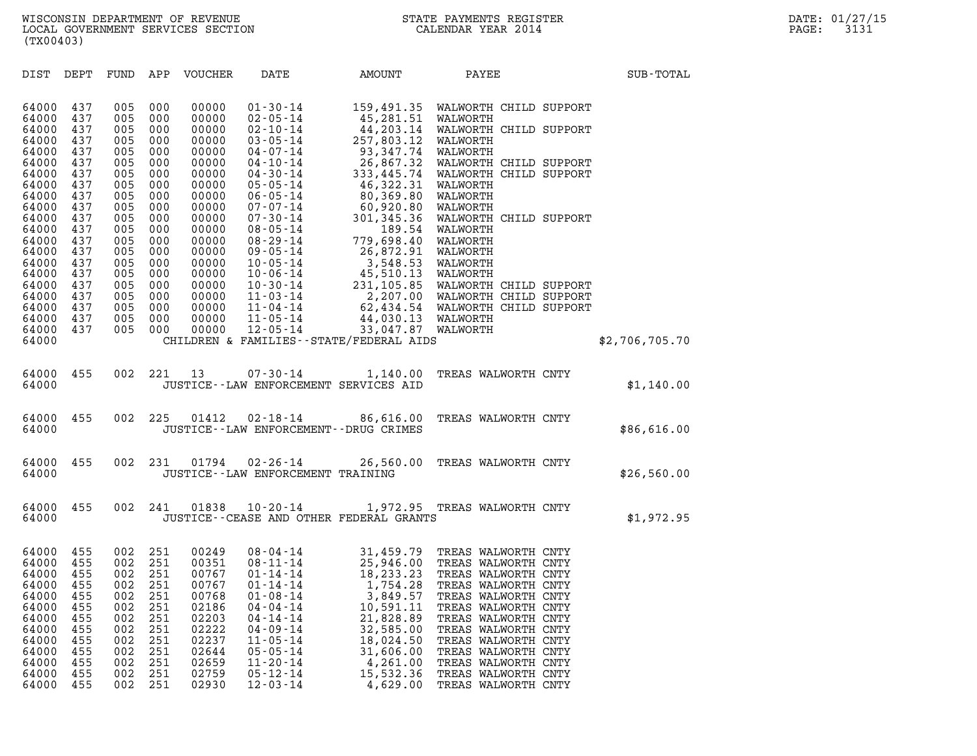| (TX00403)               |                   |                   |                   |                         |                                                               |                                                                  |                                                                                  |                |
|-------------------------|-------------------|-------------------|-------------------|-------------------------|---------------------------------------------------------------|------------------------------------------------------------------|----------------------------------------------------------------------------------|----------------|
| DIST                    | DEPT              | FUND              | APP               | VOUCHER                 | DATE                                                          | AMOUNT                                                           | PAYEE                                                                            | SUB-TOTAL      |
| 64000<br>64000          | 437<br>437        | 005<br>005        | 000<br>000        | 00000<br>00000          | $01 - 30 - 14$<br>$02 - 05 - 14$                              | 45,281.51                                                        | 159,491.35 WALWORTH CHILD SUPPORT<br>WALWORTH                                    |                |
| 64000<br>64000          | 437<br>437        | 005<br>005        | 000<br>000        | 00000<br>00000          | $02 - 10 - 14$<br>$03 - 05 - 14$                              | 44,203.14<br>257,803.12                                          | WALWORTH CHILD SUPPORT<br>WALWORTH                                               |                |
| 64000<br>64000<br>64000 | 437<br>437<br>437 | 005<br>005<br>005 | 000<br>000<br>000 | 00000<br>00000<br>00000 | $04 - 07 - 14$<br>$04 - 10 - 14$<br>$04 - 30 - 14$            | 93,347.74<br>26,867.32                                           | WALWORTH<br>WALWORTH CHILD SUPPORT<br>333,445.74 WALWORTH CHILD SUPPORT          |                |
| 64000<br>64000<br>64000 | 437<br>437<br>437 | 005<br>005<br>005 | 000<br>000<br>000 | 00000<br>00000<br>00000 | $05 - 05 - 14$<br>$06 - 05 - 14$<br>$07 - 07 - 14$            | 46,322.31<br>80,369.80<br>60,920.80                              | WALWORTH<br>WALWORTH<br>WALWORTH                                                 |                |
| 64000<br>64000          | 437<br>437        | 005<br>005        | 000<br>000        | 00000<br>00000          | $07 - 30 - 14$<br>$08 - 05 - 14$                              | 301,345.36<br>189.54                                             | WALWORTH CHILD SUPPORT<br>WALWORTH                                               |                |
| 64000<br>64000<br>64000 | 437<br>437<br>437 | 005<br>005<br>005 | 000<br>000<br>000 | 00000<br>00000<br>00000 | $08 - 29 - 14$<br>$09 - 05 - 14$<br>$10 - 05 - 14$            | 779,698.40<br>26,872.91<br>3,548.53                              | WALWORTH<br>WALWORTH<br>WALWORTH                                                 |                |
| 64000<br>64000<br>64000 | 437<br>437<br>437 | 005<br>005<br>005 | 000<br>000<br>000 | 00000<br>00000<br>00000 | $10 - 06 - 14$<br>$10 - 30 - 14$<br>$11 - 03 - 14$            | 45,510.13                                                        | WALWORTH<br>231,105.85 WALWORTH CHILD SUPPORT<br>2,207.00 WALWORTH CHILD SUPPORT |                |
| 64000<br>64000<br>64000 | 437<br>437<br>437 | 005<br>005<br>005 | 000<br>000<br>000 | 00000<br>00000<br>00000 | $11 - 04 - 14$<br>$11 - 05 - 14$                              | 44,030.13 WALWORTH                                               | 62,434.54 WALWORTH CHILD SUPPORT                                                 |                |
| 64000                   |                   |                   |                   |                         | $12 - 05 - 14$                                                | 33,047.87 WALWORTH<br>CHILDREN & FAMILIES - - STATE/FEDERAL AIDS |                                                                                  | \$2,706,705.70 |
| 64000<br>64000          | 455               | 002               | 221               | 13                      | $07 - 30 - 14$<br>JUSTICE -- LAW ENFORCEMENT SERVICES AID     | 1,140.00                                                         | TREAS WALWORTH CNTY                                                              | \$1,140.00     |
| 64000<br>64000          | 455               | 002               | 225               | 01412                   | $02 - 18 - 14$<br>JUSTICE - - LAW ENFORCEMENT - - DRUG CRIMES | 86,616.00                                                        | TREAS WALWORTH CNTY                                                              | \$86,616.00    |
| 64000<br>64000          | 455               | 002               | 231               | 01794                   | $02 - 26 - 14$<br>JUSTICE - - LAW ENFORCEMENT TRAINING        | 26,560.00                                                        | TREAS WALWORTH CNTY                                                              | \$26,560.00    |
| 64000<br>64000          | 455               | 002               | 241               | 01838                   | $10 - 20 - 14$                                                | JUSTICE -- CEASE AND OTHER FEDERAL GRANTS                        | 1,972.95 TREAS WALWORTH CNTY                                                     | \$1,972.95     |
| 64000<br>64000          | 455<br>455        | 002<br>002        | 251<br>251        | 00249<br>00351          | $08 - 04 - 14$<br>$08 - 11 - 14$                              | 31,459.79                                                        | TREAS WALWORTH CNTY<br>25,946.00 TREAS WALWORTH CNTY                             |                |
| 64000<br>64000<br>64000 | 455<br>455<br>455 | 002<br>002<br>002 | 251<br>251<br>251 | 00767<br>00767<br>00768 | $01 - 14 - 14$<br>$01 - 14 - 14$<br>$01 - 08 - 14$            | 18,233.23<br>1,754.28<br>3,849.57                                | TREAS WALWORTH CNTY<br>TREAS WALWORTH CNTY<br>TREAS WALWORTH CNTY                |                |
| 64000<br>64000<br>64000 | 455<br>455<br>455 | 002<br>002<br>002 | 251<br>251<br>251 | 02186<br>02203<br>02222 | $04 - 04 - 14$<br>$04 - 14 - 14$<br>$04 - 09 - 14$            | 10,591.11<br>21,828.89<br>32,585.00                              | TREAS WALWORTH CNTY<br>TREAS WALWORTH CNTY<br>TREAS WALWORTH CNTY                |                |
| 64000<br>64000          | 455<br>455        | 002<br>002        | 251<br>251        | 02237<br>02644          | $11 - 05 - 14$<br>$05 - 05 - 14$                              | 18,024.50<br>31,606.00                                           | TREAS WALWORTH CNTY<br>TREAS WALWORTH CNTY                                       |                |
| 64000<br>64000<br>64000 | 455<br>455<br>455 | 002<br>002<br>002 | 251<br>251<br>251 | 02659<br>02759<br>02930 | $11 - 20 - 14$<br>$05 - 12 - 14$<br>$12 - 03 - 14$            | 4,261.00<br>15,532.36<br>4,629.00                                | TREAS WALWORTH CNTY<br>TREAS WALWORTH CNTY<br>TREAS WALWORTH CNTY                |                |
|                         |                   |                   |                   |                         |                                                               |                                                                  |                                                                                  |                |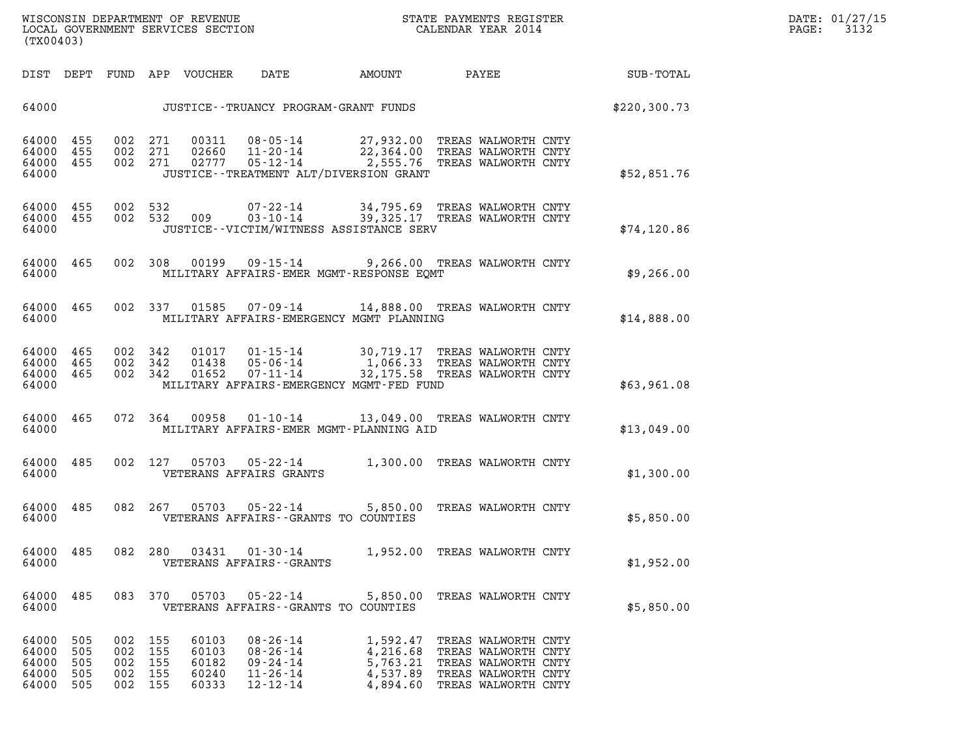| (TX00403)                                                                                                               | WISCONSIN DEPARTMENT OF REVENUE<br>LOCAL GOVERNMENT SERVICES SECTION                                                                                     | STATE PAYMENTS REGISTER<br>CALENDAR YEAR 2014                                                                                                                               | DATE: 01/27/15<br>3132<br>PAGE: |
|-------------------------------------------------------------------------------------------------------------------------|----------------------------------------------------------------------------------------------------------------------------------------------------------|-----------------------------------------------------------------------------------------------------------------------------------------------------------------------------|---------------------------------|
| DIST DEPT FUND APP VOUCHER                                                                                              | DATE<br>AMOUNT                                                                                                                                           | PAYEE<br>SUB-TOTAL                                                                                                                                                          |                                 |
| 64000                                                                                                                   | JUSTICE--TRUANCY PROGRAM-GRANT FUNDS                                                                                                                     | \$220, 300.73                                                                                                                                                               |                                 |
| 002 271<br>64000<br>455<br>002 271<br>64000 455<br>002 271<br>64000 455<br>64000                                        | 00311<br>02660 11-20-14<br>JUSTICE - - TREATMENT ALT/DIVERSION GRANT                                                                                     | 08-05-14 27,932.00 TREAS WALWORTH CNTY<br>22,364.00 TREAS WALWORTH CNTY<br>\$52,851.76                                                                                      |                                 |
| 64000<br>455<br>002 532<br>64000 455<br>64000                                                                           | 002 532 009<br>JUSTICE - - VICTIM/WITNESS ASSISTANCE SERV                                                                                                | 07-22-14 34,795.69 TREAS WALWORTH CNTY<br>03-10-14 39,325.17 TREAS WALWORTH CNTY<br>\$74, 120.86                                                                            |                                 |
| 64000 465<br>002 308<br>64000                                                                                           | 00199   09-15-14<br>MILITARY AFFAIRS-EMER MGMT-RESPONSE EOMT                                                                                             | 9,266.00 TREAS WALWORTH CNTY<br>\$9,266.00                                                                                                                                  |                                 |
| 64000 465<br>002 337<br>64000                                                                                           | 01585<br>MILITARY AFFAIRS-EMERGENCY MGMT PLANNING                                                                                                        | 07-09-14 14,888.00 TREAS WALWORTH CNTY<br>\$14,888.00                                                                                                                       |                                 |
| 64000 465<br>002 342<br>64000<br>465<br>002 342<br>64000<br>465<br>002 342<br>64000                                     | 01017<br>$01 - 15 - 14$<br>01438<br>01652<br>07-11-14<br>MILITARY AFFAIRS-EMERGENCY MGMT-FED FUND                                                        | 30,719.17 TREAS WALWORTH CNTY<br>05-06-14 1,066.33 TREAS WALWORTH CNTY<br>32,175.58 TREAS WALWORTH CNTY<br>\$63,961.08                                                      |                                 |
| 64000<br>465<br>072 364<br>64000                                                                                        | 00958  01-10-14  13,049.00 TREAS WALWORTH CNTY<br>MILITARY AFFAIRS-EMER MGMT-PLANNING AID                                                                | \$13,049.00                                                                                                                                                                 |                                 |
| 64000<br>485<br>002 127<br>64000                                                                                        | 05703  05-22-14  1,300.00  TREAS WALWORTH CNTY<br>VETERANS AFFAIRS GRANTS                                                                                | \$1,300.00                                                                                                                                                                  |                                 |
| 64000<br>485<br>082<br>64000                                                                                            | 267<br>05703 05-22-14<br>VETERANS AFFAIRS - - GRANTS TO COUNTIES                                                                                         | 5,850.00 TREAS WALWORTH CNTY<br>\$5,850.00                                                                                                                                  |                                 |
| 64000<br>485<br>082 280<br>64000                                                                                        | 03431<br>VETERANS AFFAIRS - - GRANTS                                                                                                                     | 01-30-14 1,952.00 TREAS WALWORTH CNTY<br>\$1,952.00                                                                                                                         |                                 |
| 083 370<br>64000<br>485<br>64000                                                                                        | 05703<br>05-22-14<br>VETERANS AFFAIRS -- GRANTS TO COUNTIES                                                                                              | 5,850.00 TREAS WALWORTH CNTY<br>\$5,850.00                                                                                                                                  |                                 |
| 64000<br>505<br>002 155<br>64000<br>505<br>002<br>64000<br>505<br>002<br>64000<br>505<br>002<br>64000<br>505<br>002 155 | 60103<br>$08 - 26 - 14$<br>155<br>60103<br>$08 - 26 - 14$<br>155<br>60182<br>$09 - 24 - 14$<br>155<br>60240<br>$11 - 26 - 14$<br>60333<br>$12 - 12 - 14$ | 1,592.47<br>TREAS WALWORTH CNTY<br>4,216.68<br>TREAS WALWORTH CNTY<br>5,763.21<br>TREAS WALWORTH CNTY<br>4,537.89<br>TREAS WALWORTH CNTY<br>4,894.60<br>TREAS WALWORTH CNTY |                                 |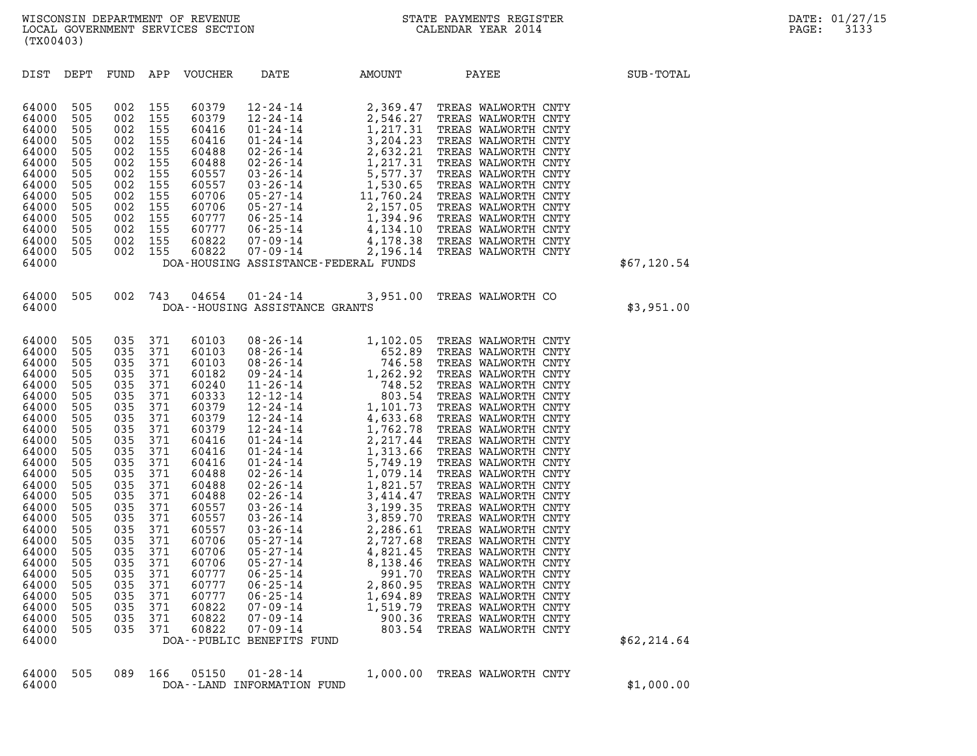| (TX00403)                                                                                                                                                                                                                                                |                                                                                                                                                                                           |                                                                                                                                                                                        |                                                                                                                                                                                        |                                  |                                                                                             |                                          |                                                                                          |              |
|----------------------------------------------------------------------------------------------------------------------------------------------------------------------------------------------------------------------------------------------------------|-------------------------------------------------------------------------------------------------------------------------------------------------------------------------------------------|----------------------------------------------------------------------------------------------------------------------------------------------------------------------------------------|----------------------------------------------------------------------------------------------------------------------------------------------------------------------------------------|----------------------------------|---------------------------------------------------------------------------------------------|------------------------------------------|------------------------------------------------------------------------------------------|--------------|
| DIST                                                                                                                                                                                                                                                     | DEPT                                                                                                                                                                                      | FUND APP                                                                                                                                                                               |                                                                                                                                                                                        | VOUCHER                          | DATE                                                                                        | <b>AMOUNT</b>                            | PAYEE                                                                                    | SUB-TOTAL    |
| 64000<br>64000<br>64000<br>64000<br>64000<br>64000<br>64000<br>64000<br>64000<br>64000<br>64000<br>64000<br>64000<br>64000<br>64000                                                                                                                      | 505<br>505<br>505<br>505<br>505<br>505<br>505<br>505<br>505<br>505<br>505<br>505<br>505<br>505                                                                                            | 002<br>002<br>002<br>002<br>002<br>002<br>002<br>002<br>002<br>002<br>002<br>002 155<br>002 155                                                                                        | 155<br>155<br>155<br>155<br>155<br>155<br>155<br>155<br>155<br>155<br>155<br>002 155                                                                                                   |                                  | DOA-HOUSING ASSISTANCE-FEDERAL FUNDS                                                        |                                          |                                                                                          | \$67,120.54  |
| 64000<br>64000                                                                                                                                                                                                                                           | 505                                                                                                                                                                                       | 002                                                                                                                                                                                    | 743                                                                                                                                                                                    |                                  | DOA--HOUSING ASSISTANCE GRANTS                                                              |                                          | 04654  01-24-14  3,951.00  TREAS WALWORTH CO                                             | \$3,951.00   |
| 64000<br>64000<br>64000<br>64000<br>64000<br>64000<br>64000<br>64000<br>64000<br>64000<br>64000<br>64000<br>64000<br>64000<br>64000<br>64000<br>64000<br>64000<br>64000<br>64000<br>64000<br>64000<br>64000<br>64000<br>64000<br>64000<br>64000<br>64000 | 505<br>505<br>505<br>505<br>505<br>505<br>505<br>505<br>505<br>505<br>505<br>505<br>505<br>505<br>505<br>505<br>505<br>505<br>505<br>505<br>505<br>505<br>505<br>505<br>505<br>505<br>505 | 035 371<br>035<br>035<br>035<br>035<br>035<br>035<br>035<br>035<br>035<br>035<br>035<br>035<br>035<br>035<br>035<br>035<br>035<br>035<br>035<br>035<br>035<br>035<br>035<br>035<br>035 | 035 371<br>371<br>371<br>371<br>371<br>371<br>371<br>371<br>371<br>371<br>371<br>371<br>371<br>371<br>371<br>371<br>371<br>371<br>371<br>371<br>371<br>371<br>371<br>371<br>371<br>371 | 60777<br>60822<br>60822<br>60822 | $06 - 25 - 14$<br>07-09-14<br>$07 - 09 - 14$<br>$07 - 09 - 14$<br>DOA--PUBLIC BENEFITS FUND | 1,694.89<br>1,519.79<br>900.36<br>803.54 | TREAS WALWORTH CNTY<br>TREAS WALWORTH CNTY<br>TREAS WALWORTH CNTY<br>TREAS WALWORTH CNTY | \$62, 214.64 |
| 64000<br>64000                                                                                                                                                                                                                                           | 505                                                                                                                                                                                       | 089                                                                                                                                                                                    | 166                                                                                                                                                                                    | 05150                            | $01 - 28 - 14$<br>DOA--LAND INFORMATION FUND                                                | 1,000.00                                 | TREAS WALWORTH CNTY                                                                      | \$1,000.00   |

|       |  |  | 64000 505 089 166 05150 01-28-14 | 1,000.00 TREAS WALWORTH CNTY |  |  |
|-------|--|--|----------------------------------|------------------------------|--|--|
| 64000 |  |  | DOA--LAND INFORMATION FUND       |                              |  |  |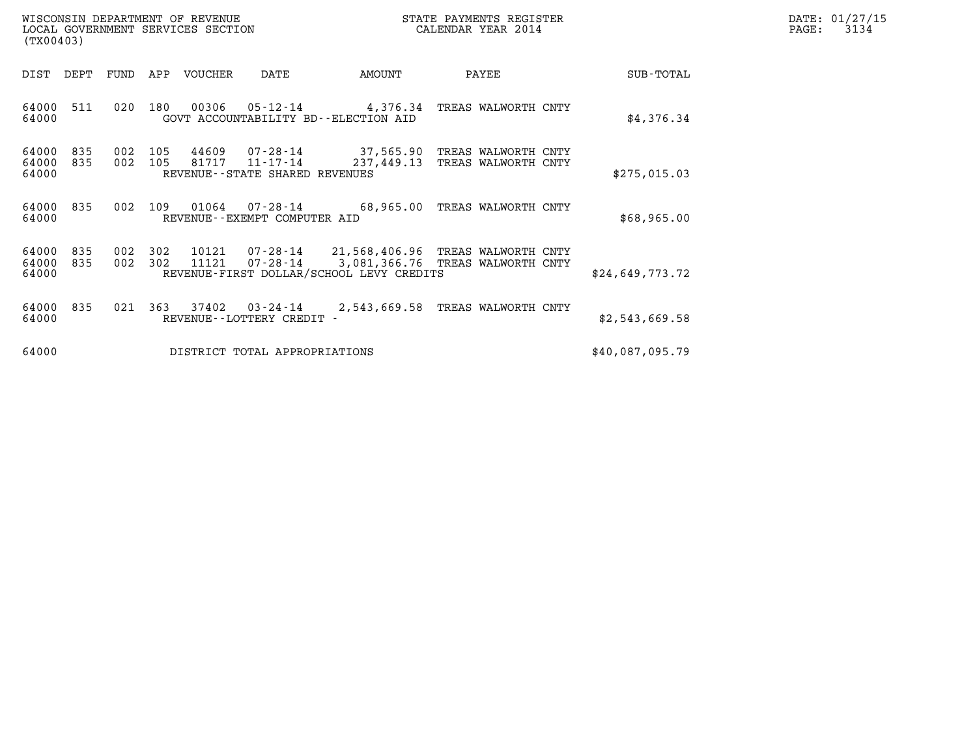| DATE: | 01/27/15 |
|-------|----------|
| PAGE: | 3134     |

| WISCONSIN DEPARTMENT OF REVENUE<br>LOCAL GOVERNMENT SERVICES SECTION<br>(TX00403) |                       |                                               |                  |                                          | STATE PAYMENTS REGISTER<br>CALENDAR YEAR 2014                                                    |                 | DATE: 01/27/15<br>$\mathtt{PAGE:}$<br>3134 |
|-----------------------------------------------------------------------------------|-----------------------|-----------------------------------------------|------------------|------------------------------------------|--------------------------------------------------------------------------------------------------|-----------------|--------------------------------------------|
| DIST<br>DEPT                                                                      | FUND<br>APP           | VOUCHER                                       | DATE             | AMOUNT                                   | PAYEE                                                                                            | SUB-TOTAL       |                                            |
| 511<br>64000<br>64000                                                             | 020<br>180            | 00306<br>GOVT ACCOUNTABILITY BD--ELECTION AID |                  |                                          | 05-12-14 4,376.34 TREAS WALWORTH CNTY                                                            | \$4,376.34      |                                            |
| 64000<br>835<br>64000<br>835<br>64000                                             | 002<br>105<br>002 105 | 81717<br>REVENUE - - STATE SHARED REVENUES    | $11 - 17 - 14$   |                                          | 44609  07-28-14  37,565.90  TREAS WALWORTH CNTY<br>237,449.13 TREAS WALWORTH CNTY                | \$275,015.03    |                                            |
| 64000 835<br>64000                                                                | 109<br>002            | REVENUE--EXEMPT COMPUTER AID                  |                  |                                          | 01064  07-28-14  68.965.00 TREAS WALWORTH CNTY                                                   | \$68,965.00     |                                            |
| 64000<br>835<br>64000<br>835<br>64000                                             | 002<br>302<br>002 302 | 11121                                         |                  | REVENUE-FIRST DOLLAR/SCHOOL LEVY CREDITS | 10121  07-28-14  21,568,406.96  TREAS WALWORTH CNTY<br>07-28-14 3,081,366.76 TREAS WALWORTH CNTY | \$24,649,773.72 |                                            |
| 64000<br>835<br>64000                                                             | 021 363               | REVENUE - - LOTTERY CREDIT -                  | $37402$ 03-24-14 |                                          | 2,543,669.58 TREAS WALWORTH CNTY                                                                 | \$2,543,669.58  |                                            |
| 64000                                                                             |                       | DISTRICT TOTAL APPROPRIATIONS                 |                  |                                          |                                                                                                  | \$40,087,095.79 |                                            |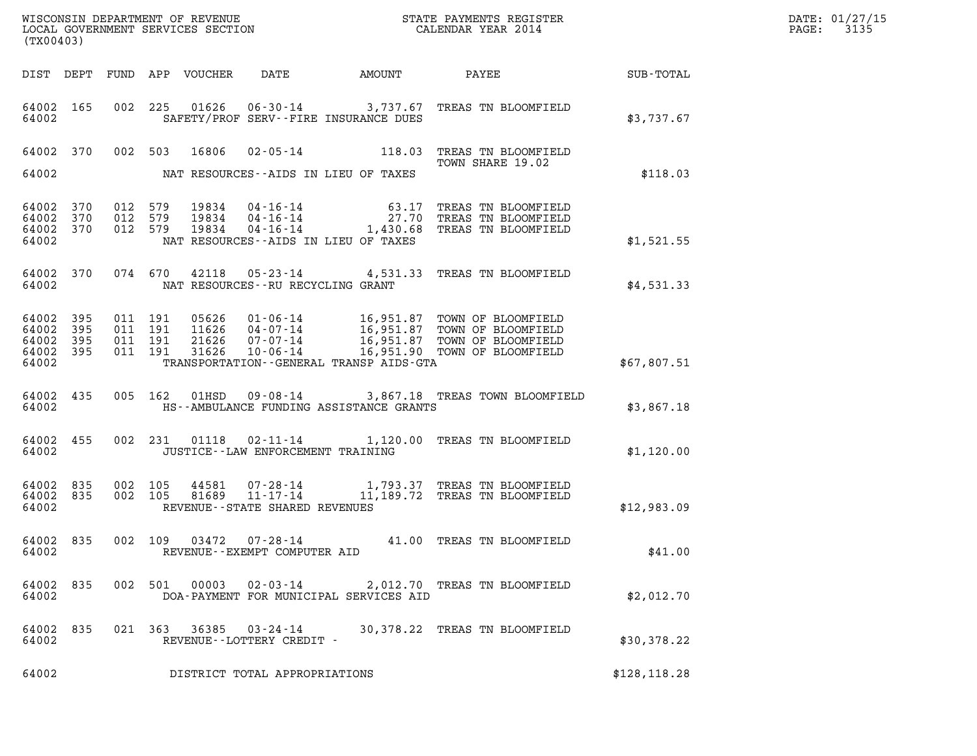| WISCONSIN DEPARTMENT OF REVENUE   | STATE PAYMENTS REGISTER | DATE: 01/27/15 |
|-----------------------------------|-------------------------|----------------|
| LOCAL GOVERNMENT SERVICES SECTION | CALENDAR YEAR 2014      | 3135<br>PAGE:  |

| (TX00403)                                             |     |         |         |       |                                                     |                                               | WISCONSIN DEPARTMENT OF REVENUE<br>LOCAL GOVERNMENT SERVICES SECTION<br>CALENDAR YEAR 2014                                                                                                                               |              | DATE: 01/27/15<br>PAGE: 3135 |
|-------------------------------------------------------|-----|---------|---------|-------|-----------------------------------------------------|-----------------------------------------------|--------------------------------------------------------------------------------------------------------------------------------------------------------------------------------------------------------------------------|--------------|------------------------------|
|                                                       |     |         |         |       |                                                     |                                               | DIST DEPT FUND APP VOUCHER DATE AMOUNT PAYEE TOTAL                                                                                                                                                                       |              |                              |
| 64002 165<br>64002                                    |     |         |         |       |                                                     | SAFETY/PROF SERV--FIRE INSURANCE DUES         | 002 225 01626 06-30-14 3,737.67 TREAS TN BLOOMFIELD                                                                                                                                                                      | \$3,737.67   |                              |
|                                                       |     |         |         |       |                                                     |                                               | 64002 370 002 503 16806 02-05-14 118.03 TREAS TN BLOOMFIELD<br>TOWN SHARE 19.02                                                                                                                                          |              |                              |
|                                                       |     |         |         |       |                                                     | 64002 NAT RESOURCES--AIDS IN LIEU OF TAXES    |                                                                                                                                                                                                                          | \$118.03     |                              |
| 64002 370<br>64002 370<br>64002 370<br>64002          |     |         |         |       |                                                     | NAT RESOURCES--AIDS IN LIEU OF TAXES          | 012 579 19834 04-16-14 63.17 TREAS TN BLOOMFIELD<br>012 579 19834 04-16-14 27.70 TREAS TN BLOOMFIELD<br>012 579 19834 04-16-14 1,430.68 TREAS TN BLOOMFIELD                                                              | \$1,521.55   |                              |
|                                                       |     |         |         |       | 64002 NAT RESOURCES--RU RECYCLING GRANT             |                                               | 64002 370 074 670 42118 05-23-14 4,531.33 TREAS TN BLOOMFIELD                                                                                                                                                            | \$4,531.33   |                              |
| 64002 395<br>64002<br>64002 395<br>64002 395<br>64002 | 395 |         |         |       |                                                     | TRANSPORTATION - - GENERAL TRANSP AIDS - GTA  | 011 191 05626 01-06-14 16,951.87 TOWN OF BLOOMFIELD<br>011 191 11626 04-07-14 16,951.87 TOWN OF BLOOMFIELD<br>011 191 21626 07-07-14 16,951.87 TOWN OF BLOOMFIELD<br>011 191 31626 10-06-14 16,951.90 TOWN OF BLOOMFIELD | \$67,807.51  |                              |
| 64002 435                                             |     |         |         |       |                                                     | 64002 HS--AMBULANCE FUNDING ASSISTANCE GRANTS | 005 162 01HSD 09-08-14 3,867.18 TREAS TOWN BLOOMFIELD                                                                                                                                                                    | \$3,867.18   |                              |
|                                                       |     |         |         |       |                                                     | 64002 JUSTICE--LAW ENFORCEMENT TRAINING       | 64002 455 002 231 01118 02-11-14 1,120.00 TREAS TN BLOOMFIELD                                                                                                                                                            | \$1,120.00   |                              |
| 64002 835<br>64002 835<br>64002                       |     | 002 105 | 002 105 |       | REVENUE--STATE SHARED REVENUES                      |                                               | 44581  07-28-14   1,793.37 TREAS TN BLOOMFIELD<br>81689   11-17-14   11,189.72 TREAS TN BLOOMFIELD                                                                                                                       | \$12,983.09  |                              |
| 64002                                                 |     |         |         |       | REVENUE - - EXEMPT COMPUTER AID                     |                                               | 64002 835 002 109 03472 07-28-14 41.00 TREAS TN BLOOMFIELD                                                                                                                                                               | \$41.00      |                              |
| 64002 835<br>64002                                    |     |         | 002 501 | 00003 | $02 - 03 - 14$                                      | DOA-PAYMENT FOR MUNICIPAL SERVICES AID        | 2,012.70 TREAS TN BLOOMFIELD                                                                                                                                                                                             | \$2.012.70   |                              |
| 64002 835<br>64002                                    |     |         |         |       | 021 363 36385 03-24-14<br>REVENUE--LOTTERY CREDIT - |                                               | 30,378.22 TREAS TN BLOOMFIELD                                                                                                                                                                                            | \$30,378.22  |                              |
| 64002                                                 |     |         |         |       | DISTRICT TOTAL APPROPRIATIONS                       |                                               |                                                                                                                                                                                                                          | \$128,118.28 |                              |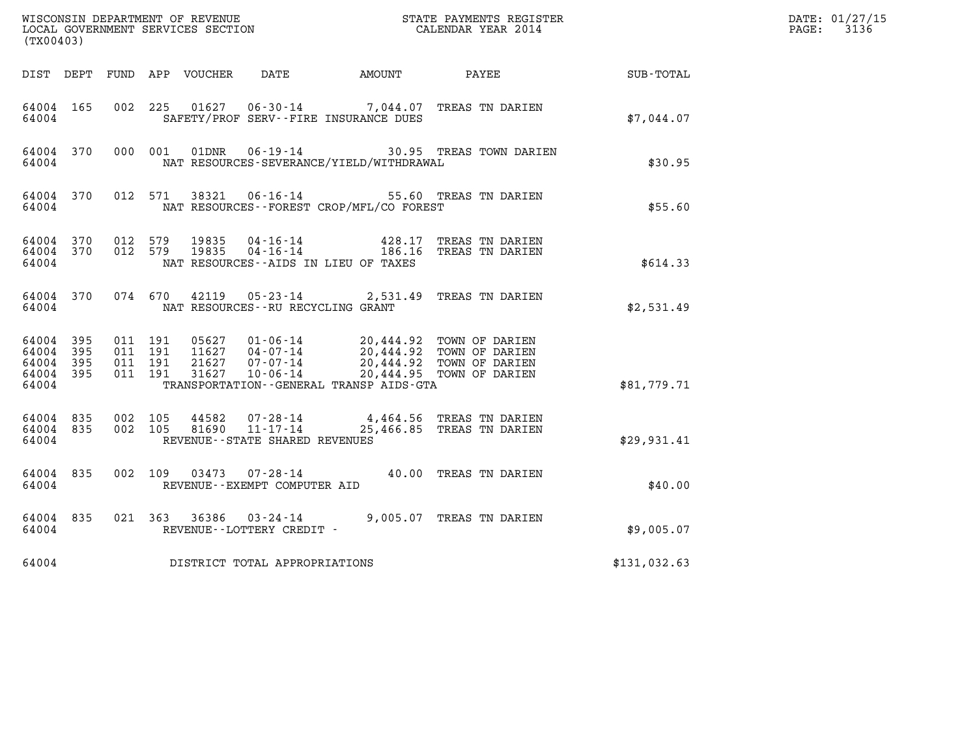| WISCONSIN DEPARTMENT OF REVENUE<br>LOCAL GOVERNMENT SERVICES SECTION<br>(TX00403) |              |                                          |         |                                 |                                                              |                                                 | STATE PAYMENTS REGISTER<br>CALENDAR YEAR 2014                                                                                                    |              | DATE: 01/27/15<br>$\mathtt{PAGE:}$<br>3136 |
|-----------------------------------------------------------------------------------|--------------|------------------------------------------|---------|---------------------------------|--------------------------------------------------------------|-------------------------------------------------|--------------------------------------------------------------------------------------------------------------------------------------------------|--------------|--------------------------------------------|
|                                                                                   |              |                                          |         | DIST DEPT FUND APP VOUCHER DATE |                                                              | <b>AMOUNT</b>                                   | PAYEE                                                                                                                                            | SUB-TOTAL    |                                            |
| 64004 165<br>64004                                                                |              | 002 225                                  |         |                                 |                                                              | SAFETY/PROF SERV--FIRE INSURANCE DUES           | 01627  06-30-14  7,044.07  TREAS TN DARIEN                                                                                                       | \$7,044.07   |                                            |
| 64004 370<br>64004                                                                |              | 000 001                                  |         | 01DNR                           |                                                              | NAT RESOURCES-SEVERANCE/YIELD/WITHDRAWAL        | 06-19-14 30.95 TREAS TOWN DARIEN                                                                                                                 | \$30.95      |                                            |
| 64004 370<br>64004                                                                |              |                                          | 012 571 | 38321                           |                                                              | NAT RESOURCES - - FOREST CROP/MFL/CO FOREST     | 06-16-14 55.60 TREAS TN DARIEN                                                                                                                   | \$55.60      |                                            |
| 64004<br>64004 370<br>64004                                                       | 370          | 012 579<br>012 579                       |         | 19835<br>19835                  | 04-16-14                                                     | 428.17<br>NAT RESOURCES - AIDS IN LIEU OF TAXES | TREAS TN DARIEN<br>04-16-14 186.16 TREAS TN DARIEN                                                                                               | \$614.33     |                                            |
| 64004 370<br>64004                                                                |              | 074 670                                  |         | 42119                           | NAT RESOURCES - - RU RECYCLING GRANT                         |                                                 | 05-23-14 2,531.49 TREAS TN DARIEN                                                                                                                | \$2,531.49   |                                            |
| 64004 395<br>64004<br>64004<br>64004 395<br>64004                                 | 395<br>- 395 | 011 191<br>011 191<br>011 191<br>011 191 |         | 21627<br>31627                  | $07 - 07 - 14$<br>$10 - 06 - 14$                             | TRANSPORTATION--GENERAL TRANSP AIDS-GTA         | 05627  01-06-14  20,444.92  TOWN OF DARIEN<br>11627  04-07-14  20,444.92  TOWN OF DARIEN<br>20,444.92 TOWN OF DARIEN<br>20,444.95 TOWN OF DARIEN | \$81,779.71  |                                            |
| 64004 835<br>64004 835<br>64004                                                   |              | 002 105<br>002 105                       |         | 44582                           | 07-28-14<br>81690 11-17-14<br>REVENUE--STATE SHARED REVENUES |                                                 | 4,464.56 TREAS TN DARIEN<br>25,466.85 TREAS TN DARIEN                                                                                            | \$29,931.41  |                                            |
| 64004 835<br>64004                                                                |              | 002 109                                  |         |                                 | REVENUE--EXEMPT COMPUTER AID                                 |                                                 | 03473  07-28-14  40.00 TREAS TN DARIEN                                                                                                           | \$40.00      |                                            |
| 64004 835<br>64004                                                                |              | 021 363                                  |         | 36386                           | 03-24-14<br>REVENUE--LOTTERY CREDIT -                        |                                                 | 9,005.07 TREAS TN DARIEN                                                                                                                         | \$9,005.07   |                                            |
| 64004                                                                             |              |                                          |         |                                 | DISTRICT TOTAL APPROPRIATIONS                                |                                                 |                                                                                                                                                  | \$131,032.63 |                                            |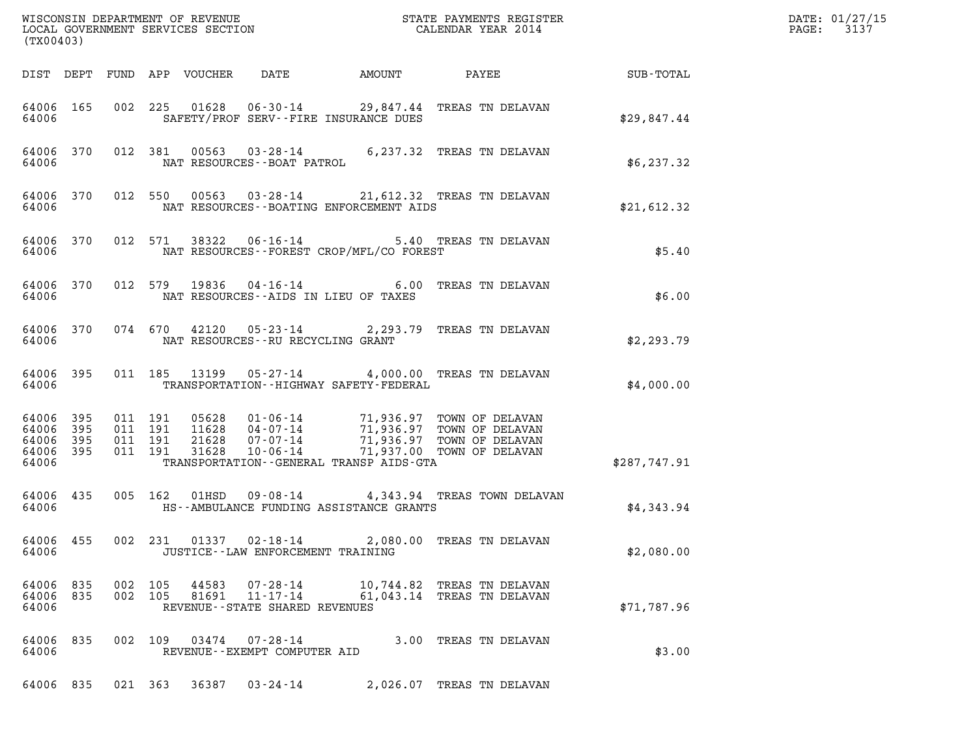| (TX00403)                                    |     |                    |                    |                                 |                                                                 |                                             |                                                                                                                                                                                          |              | DATE: 01/27/15<br>3137<br>$\mathtt{PAGE:}$ |
|----------------------------------------------|-----|--------------------|--------------------|---------------------------------|-----------------------------------------------------------------|---------------------------------------------|------------------------------------------------------------------------------------------------------------------------------------------------------------------------------------------|--------------|--------------------------------------------|
|                                              |     |                    |                    | DIST DEPT FUND APP VOUCHER DATE |                                                                 | <b>AMOUNT</b>                               | <b>PAYEE</b> FOUND THE PAYEE                                                                                                                                                             | SUB-TOTAL    |                                            |
| 64006 165<br>64006                           |     |                    |                    |                                 |                                                                 | SAFETY/PROF SERV--FIRE INSURANCE DUES       | 002 225 01628 06-30-14 29,847.44 TREAS TN DELAVAN                                                                                                                                        | \$29,847.44  |                                            |
| 64006                                        |     |                    |                    |                                 | NAT RESOURCES - - BOAT PATROL                                   |                                             | 64006 370 012 381 00563 03-28-14 6,237.32 TREAS TN DELAVAN                                                                                                                               | \$6,237.32   |                                            |
| 64006                                        |     |                    |                    |                                 |                                                                 | NAT RESOURCES--BOATING ENFORCEMENT AIDS     | 64006 370 012 550 00563 03-28-14 21,612.32 TREAS TN DELAVAN                                                                                                                              | \$21,612.32  |                                            |
| 64006 370<br>64006                           |     |                    |                    |                                 |                                                                 | NAT RESOURCES - - FOREST CROP/MFL/CO FOREST | 012 571 38322 06-16-14 5.40 TREAS TN DELAVAN                                                                                                                                             | \$5.40       |                                            |
| 64006 370<br>64006                           |     |                    |                    |                                 |                                                                 | NAT RESOURCES -- AIDS IN LIEU OF TAXES      | 012 579 19836 04-16-14 6.00 TREAS TN DELAVAN                                                                                                                                             | \$6.00       |                                            |
| 64006 370<br>64006                           |     |                    |                    |                                 |                                                                 | NAT RESOURCES -- RU RECYCLING GRANT         | 074 670 42120 05-23-14 2,293.79 TREAS TN DELAVAN                                                                                                                                         | \$2,293.79   |                                            |
| 64006 395<br>64006                           |     |                    |                    |                                 |                                                                 | TRANSPORTATION - - HIGHWAY SAFETY - FEDERAL | 011 185 13199 05-27-14 4,000.00 TREAS TN DELAVAN                                                                                                                                         | \$4,000.00   |                                            |
| 64006 395<br>64006<br>64006 395<br>64006 395 | 395 | 011 191<br>011 191 | 011 191<br>011 191 |                                 |                                                                 |                                             | 05628  01-06-14  71,936.97  TOWN OF DELAVAN<br>11628  04-07-14  71,936.97  TOWN OF DELAVAN<br>21628  07-07-14  71,936.97  TOWN OF DELAVAN<br>31628  10-06-14  71,937.00  TOWN OF DELAVAN |              |                                            |
| 64006                                        |     |                    |                    |                                 |                                                                 | TRANSPORTATION--GENERAL TRANSP AIDS-GTA     |                                                                                                                                                                                          | \$287,747.91 |                                            |
| 64006 435<br>64006                           |     |                    |                    |                                 |                                                                 | HS--AMBULANCE FUNDING ASSISTANCE GRANTS     | 005 162 01HSD 09-08-14 4,343.94 TREAS TOWN DELAVAN                                                                                                                                       | \$4,343.94   |                                            |
| 64006 455<br>64006                           |     |                    | 002 231            |                                 |                                                                 | JUSTICE - - LAW ENFORCEMENT TRAINING        | 01337  02-18-14  2,080.00  TREAS TN DELAVAN                                                                                                                                              | \$2,080.00   |                                            |
| 64006 835<br>64006 835<br>64006              |     | 002 105<br>002 105 |                    | 44583<br>81691                  | 07-28-14<br>$11 - 17 - 14$<br>REVENUE - - STATE SHARED REVENUES |                                             | 10,744.82 TREAS TN DELAVAN<br>61,043.14 TREAS TN DELAVAN                                                                                                                                 | \$71,787.96  |                                            |
| 64006 835<br>64006                           |     |                    |                    | 002 109 03474                   | 07-28-14<br>REVENUE--EXEMPT COMPUTER AID                        |                                             | 3.00 TREAS TN DELAVAN                                                                                                                                                                    | \$3.00       |                                            |
| 64006 835                                    |     |                    | 021 363            | 36387                           | 03-24-14                                                        |                                             | 2,026.07 TREAS TN DELAVAN                                                                                                                                                                |              |                                            |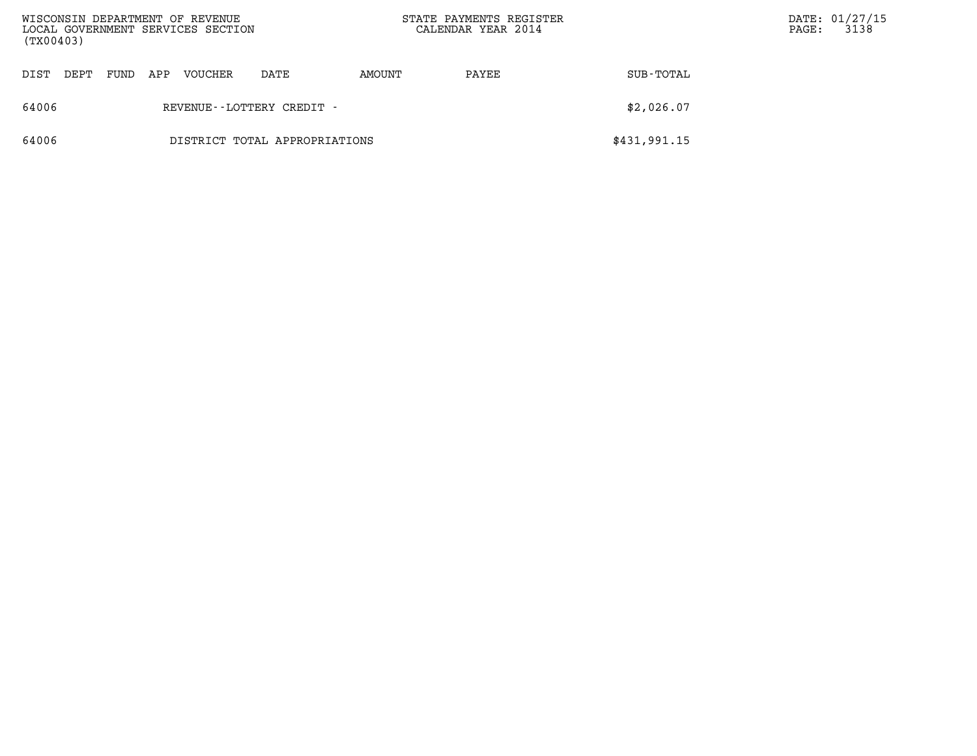| (TX00403) |      |      |     | WISCONSIN DEPARTMENT OF REVENUE<br>LOCAL GOVERNMENT SERVICES SECTION |                               | STATE PAYMENTS REGISTER<br>CALENDAR YEAR 2014 |       |              | $\mathtt{PAGE}$ : | DATE: 01/27/15<br>3138 |
|-----------|------|------|-----|----------------------------------------------------------------------|-------------------------------|-----------------------------------------------|-------|--------------|-------------------|------------------------|
| DIST      | DEPT | FUND | APP | <b>VOUCHER</b>                                                       | DATE                          | AMOUNT                                        | PAYEE | SUB-TOTAL    |                   |                        |
| 64006     |      |      |     |                                                                      | REVENUE - - LOTTERY CREDIT -  |                                               |       | \$2,026.07   |                   |                        |
| 64006     |      |      |     |                                                                      | DISTRICT TOTAL APPROPRIATIONS |                                               |       | \$431,991.15 |                   |                        |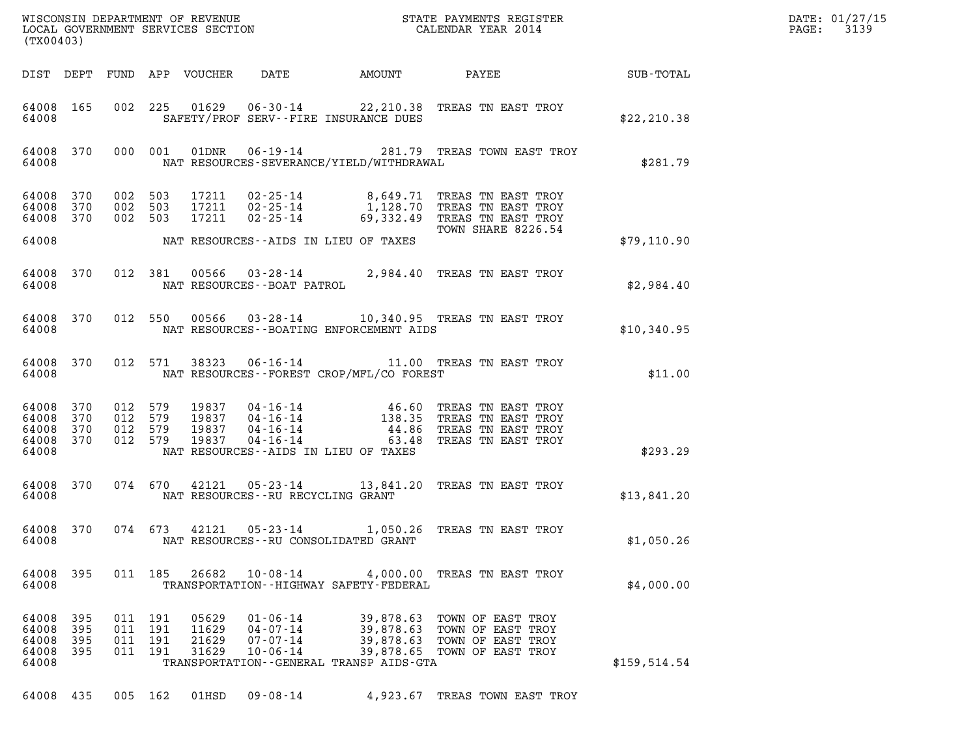| DATE: | 01/27/15 |
|-------|----------|
| PAGE: | 3139     |

| DIST DEPT FUND APP VOUCHER<br>DATE<br>AMOUNT<br>PAYEE<br>SUB-TOTAL<br>002 225 01629 06-30-14 22,210.38 TREAS TN EAST TROY<br>64008 165<br>64008<br>SAFETY/PROF SERV--FIRE INSURANCE DUES<br>\$22, 210.38<br>64008 370<br>000 001<br>01DNR<br>06-19-14 281.79 TREAS TOWN EAST TROY<br>64008<br>NAT RESOURCES-SEVERANCE/YIELD/WITHDRAWAL<br>\$281.79<br>002 503<br>02-25-14 8,649.71 TREAS TN EAST TROY<br>64008 370<br>17211<br>17211  02-25-14<br>1,128.70 TREAS TN EAST TROY<br>64008<br>370<br>002 503<br>002 503<br>64008 370<br>17211<br>$02 - 25 - 14$<br>69,332.49 TREAS TN EAST TROY<br>TOWN SHARE 8226.54<br>64008<br>NAT RESOURCES--AIDS IN LIEU OF TAXES<br>\$79,110.90<br>03-28-14 2,984.40 TREAS TN EAST TROY<br>012 381<br>00566<br>64008 370<br>64008<br>NAT RESOURCES - - BOAT PATROL<br>\$2,984.40<br>012 550<br>00566<br>03-28-14 10,340.95 TREAS TN EAST TROY<br>64008 370<br>64008<br>NAT RESOURCES - - BOATING ENFORCEMENT AIDS<br>\$10,340.95<br>012 571<br>38323<br>06-16-14 11.00 TREAS TN EAST TROY<br>64008 370<br>64008<br>NAT RESOURCES--FOREST CROP/MFL/CO FOREST<br>\$11.00<br>64008 370<br>012 579<br>19837 04-16-14 46.60 TREAS TN EAST TROY<br>19837 04-16-14 138.35 TREAS TN EAST TROY<br>19837 04-16-14 44.86 TREAS TN EAST TROY<br>64008 370<br>012 579<br>012 579<br>64008<br>370<br>012 579<br>64008 370<br>19837<br>$04 - 16 - 14$<br>63.48 TREAS TN EAST TROY<br>64008<br>NAT RESOURCES--AIDS IN LIEU OF TAXES<br>\$293.29<br>64008 370<br>074 670<br>42121<br>05-23-14 13,841.20 TREAS TN EAST TROY<br>64008<br>NAT RESOURCES - - RU RECYCLING GRANT<br>\$13,841.20<br>42121<br>64008 370<br>074 673<br>05-23-14<br>1,050.26 TREAS TN EAST TROY<br>\$1,050.26<br>64008<br>NAT RESOURCES--RU CONSOLIDATED GRANT<br>011 185 26682<br>$10 - 08 - 14$<br>64008 395<br>4,000.00 TREAS TN EAST TROY<br>64008<br>TRANSPORTATION - - HIGHWAY SAFETY - FEDERAL<br>\$4,000.00<br>64008<br>011 191<br>05629<br>$01 - 06 - 14$<br>39,878.63 TOWN OF EAST TROY<br>395<br>64008<br>395<br>011 191<br>11629<br>$04 - 07 - 14$<br>39,878.63 TOWN OF EAST TROY<br>64008<br>395<br>011 191<br>21629<br>$07 - 07 - 14$<br>39,878.63 TOWN OF EAST TROY<br>64008<br>011 191<br>31629<br>$10 - 06 - 14$<br>39,878.65 TOWN OF EAST TROY<br>- 395<br>64008<br>\$159,514.54<br>TRANSPORTATION--GENERAL TRANSP AIDS-GTA | (TX00403) |  |  |  |  |  |  |  | DATE: 01/27/15<br>3139<br>$\mathtt{PAGE}$ : |
|---------------------------------------------------------------------------------------------------------------------------------------------------------------------------------------------------------------------------------------------------------------------------------------------------------------------------------------------------------------------------------------------------------------------------------------------------------------------------------------------------------------------------------------------------------------------------------------------------------------------------------------------------------------------------------------------------------------------------------------------------------------------------------------------------------------------------------------------------------------------------------------------------------------------------------------------------------------------------------------------------------------------------------------------------------------------------------------------------------------------------------------------------------------------------------------------------------------------------------------------------------------------------------------------------------------------------------------------------------------------------------------------------------------------------------------------------------------------------------------------------------------------------------------------------------------------------------------------------------------------------------------------------------------------------------------------------------------------------------------------------------------------------------------------------------------------------------------------------------------------------------------------------------------------------------------------------------------------------------------------------------------------------------------------------------------------------------------------------------------------------------------------------------------------------------------------------------------------------------------------------------------------------------------------------------------------------------------|-----------|--|--|--|--|--|--|--|---------------------------------------------|
|                                                                                                                                                                                                                                                                                                                                                                                                                                                                                                                                                                                                                                                                                                                                                                                                                                                                                                                                                                                                                                                                                                                                                                                                                                                                                                                                                                                                                                                                                                                                                                                                                                                                                                                                                                                                                                                                                                                                                                                                                                                                                                                                                                                                                                                                                                                                       |           |  |  |  |  |  |  |  |                                             |
|                                                                                                                                                                                                                                                                                                                                                                                                                                                                                                                                                                                                                                                                                                                                                                                                                                                                                                                                                                                                                                                                                                                                                                                                                                                                                                                                                                                                                                                                                                                                                                                                                                                                                                                                                                                                                                                                                                                                                                                                                                                                                                                                                                                                                                                                                                                                       |           |  |  |  |  |  |  |  |                                             |
|                                                                                                                                                                                                                                                                                                                                                                                                                                                                                                                                                                                                                                                                                                                                                                                                                                                                                                                                                                                                                                                                                                                                                                                                                                                                                                                                                                                                                                                                                                                                                                                                                                                                                                                                                                                                                                                                                                                                                                                                                                                                                                                                                                                                                                                                                                                                       |           |  |  |  |  |  |  |  |                                             |
|                                                                                                                                                                                                                                                                                                                                                                                                                                                                                                                                                                                                                                                                                                                                                                                                                                                                                                                                                                                                                                                                                                                                                                                                                                                                                                                                                                                                                                                                                                                                                                                                                                                                                                                                                                                                                                                                                                                                                                                                                                                                                                                                                                                                                                                                                                                                       |           |  |  |  |  |  |  |  |                                             |
|                                                                                                                                                                                                                                                                                                                                                                                                                                                                                                                                                                                                                                                                                                                                                                                                                                                                                                                                                                                                                                                                                                                                                                                                                                                                                                                                                                                                                                                                                                                                                                                                                                                                                                                                                                                                                                                                                                                                                                                                                                                                                                                                                                                                                                                                                                                                       |           |  |  |  |  |  |  |  |                                             |
|                                                                                                                                                                                                                                                                                                                                                                                                                                                                                                                                                                                                                                                                                                                                                                                                                                                                                                                                                                                                                                                                                                                                                                                                                                                                                                                                                                                                                                                                                                                                                                                                                                                                                                                                                                                                                                                                                                                                                                                                                                                                                                                                                                                                                                                                                                                                       |           |  |  |  |  |  |  |  |                                             |
|                                                                                                                                                                                                                                                                                                                                                                                                                                                                                                                                                                                                                                                                                                                                                                                                                                                                                                                                                                                                                                                                                                                                                                                                                                                                                                                                                                                                                                                                                                                                                                                                                                                                                                                                                                                                                                                                                                                                                                                                                                                                                                                                                                                                                                                                                                                                       |           |  |  |  |  |  |  |  |                                             |
|                                                                                                                                                                                                                                                                                                                                                                                                                                                                                                                                                                                                                                                                                                                                                                                                                                                                                                                                                                                                                                                                                                                                                                                                                                                                                                                                                                                                                                                                                                                                                                                                                                                                                                                                                                                                                                                                                                                                                                                                                                                                                                                                                                                                                                                                                                                                       |           |  |  |  |  |  |  |  |                                             |
|                                                                                                                                                                                                                                                                                                                                                                                                                                                                                                                                                                                                                                                                                                                                                                                                                                                                                                                                                                                                                                                                                                                                                                                                                                                                                                                                                                                                                                                                                                                                                                                                                                                                                                                                                                                                                                                                                                                                                                                                                                                                                                                                                                                                                                                                                                                                       |           |  |  |  |  |  |  |  |                                             |
|                                                                                                                                                                                                                                                                                                                                                                                                                                                                                                                                                                                                                                                                                                                                                                                                                                                                                                                                                                                                                                                                                                                                                                                                                                                                                                                                                                                                                                                                                                                                                                                                                                                                                                                                                                                                                                                                                                                                                                                                                                                                                                                                                                                                                                                                                                                                       |           |  |  |  |  |  |  |  |                                             |
|                                                                                                                                                                                                                                                                                                                                                                                                                                                                                                                                                                                                                                                                                                                                                                                                                                                                                                                                                                                                                                                                                                                                                                                                                                                                                                                                                                                                                                                                                                                                                                                                                                                                                                                                                                                                                                                                                                                                                                                                                                                                                                                                                                                                                                                                                                                                       |           |  |  |  |  |  |  |  |                                             |
|                                                                                                                                                                                                                                                                                                                                                                                                                                                                                                                                                                                                                                                                                                                                                                                                                                                                                                                                                                                                                                                                                                                                                                                                                                                                                                                                                                                                                                                                                                                                                                                                                                                                                                                                                                                                                                                                                                                                                                                                                                                                                                                                                                                                                                                                                                                                       |           |  |  |  |  |  |  |  |                                             |
|                                                                                                                                                                                                                                                                                                                                                                                                                                                                                                                                                                                                                                                                                                                                                                                                                                                                                                                                                                                                                                                                                                                                                                                                                                                                                                                                                                                                                                                                                                                                                                                                                                                                                                                                                                                                                                                                                                                                                                                                                                                                                                                                                                                                                                                                                                                                       |           |  |  |  |  |  |  |  |                                             |

64008 435 005 162 01HSD 09-08-14 4,923.67 TREAS TOWN EAST TROY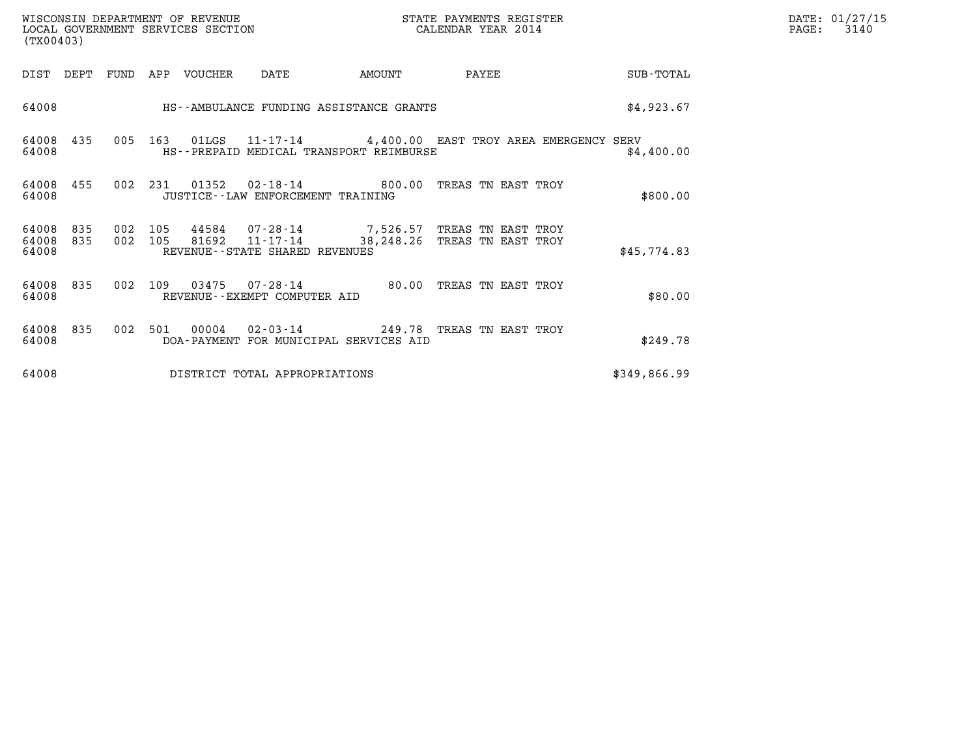| WISCONSIN DEPARTMENT OF REVENUE   | STATE PAYMENTS REGISTER | DATE: 01/27/15 |
|-----------------------------------|-------------------------|----------------|
| LOCAL GOVERNMENT SERVICES SECTION | CALENDAR YEAR 2014      | 3140<br>PAGE:  |

| (TX00403)               |            |            |            |                |                                                                              |        |                                                             |                                                               |
|-------------------------|------------|------------|------------|----------------|------------------------------------------------------------------------------|--------|-------------------------------------------------------------|---------------------------------------------------------------|
| DIST                    | DEPT       | FUND       | APP        | VOUCHER        | DATE                                                                         | AMOUNT | PAYEE                                                       | SUB-TOTAL                                                     |
| 64008                   |            |            |            |                | HS--AMBULANCE FUNDING ASSISTANCE GRANTS                                      |        |                                                             | \$4,923.67                                                    |
| 64008<br>64008          | 435        | 005        | 163        | 01LGS          | HS--PREPAID MEDICAL TRANSPORT REIMBURSE                                      |        |                                                             | 11-17-14 4,400.00 EAST TROY AREA EMERGENCY SERV<br>\$4,400.00 |
| 64008<br>64008          | 455        | 002        | 231        | 01352          | $02 - 18 - 14$ 800.00<br>JUSTICE -- LAW ENFORCEMENT TRAINING                 |        | TREAS TN EAST TROY                                          | \$800.00                                                      |
| 64008<br>64008<br>64008 | 835<br>835 | 002<br>002 | 105<br>105 | 44584<br>81692 | 07-28-14<br>11-17-14<br>REVENUE - - STATE SHARED REVENUES                    |        | 7,526.57 TREAS TN EAST TROY<br>38,248.26 TREAS TN EAST TROY | \$45,774.83                                                   |
| 64008<br>64008          | 835        | 002        | 109        | 03475          | 07-28-14<br>REVENUE--EXEMPT COMPUTER AID                                     | 80.00  | TREAS TN EAST TROY                                          | \$80.00                                                       |
| 64008<br>64008          | 835        | 002        | 501        | 00004          | 02-03-14 249.78 TREAS TN EAST TROY<br>DOA-PAYMENT FOR MUNICIPAL SERVICES AID |        |                                                             | \$249.78                                                      |
| 64008                   |            |            |            |                | DISTRICT TOTAL APPROPRIATIONS                                                |        |                                                             | \$349,866.99                                                  |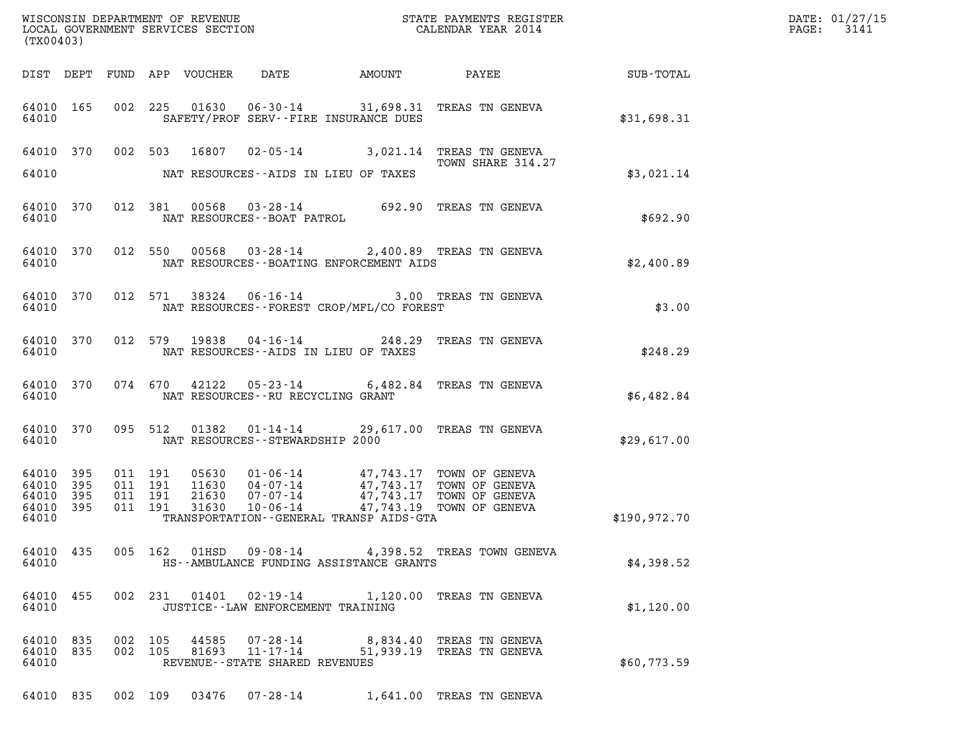| (TX00403)                                     |                   |         |                               |                                                  |                                                |                                                                                                                                                                                  |               | DATE: 01/27/15<br>PAGE: 3141 |
|-----------------------------------------------|-------------------|---------|-------------------------------|--------------------------------------------------|------------------------------------------------|----------------------------------------------------------------------------------------------------------------------------------------------------------------------------------|---------------|------------------------------|
|                                               |                   |         |                               |                                                  |                                                | DIST DEPT FUND APP VOUCHER DATE AMOUNT PAYEE SUB-TOTAL                                                                                                                           |               |                              |
| 64010                                         |                   |         |                               |                                                  | SAFETY/PROF SERV--FIRE INSURANCE DUES          | 64010 165 002 225 01630 06-30-14 31,698.31 TREAS TN GENEVA                                                                                                                       | \$31,698.31   |                              |
|                                               |                   |         |                               |                                                  | 64010 NAT RESOURCES--AIDS IN LIEU OF TAXES     | 64010 370 002 503 16807 02-05-14 3,021.14 TREAS TN GENEVA<br>TOWN SHARE 314.27                                                                                                   | \$3,021.14    |                              |
| 64010                                         |                   |         |                               | NAT RESOURCES--BOAT PATROL                       |                                                | 64010 370 012 381 00568 03-28-14 692.90 TREAS TN GENEVA                                                                                                                          | \$692.90      |                              |
| 64010                                         |                   |         |                               |                                                  | NAT RESOURCES--BOATING ENFORCEMENT AIDS        | 64010 370 012 550 00568 03-28-14 2,400.89 TREAS TN GENEVA                                                                                                                        | \$2,400.89    |                              |
|                                               |                   |         |                               |                                                  | 64010 NAT RESOURCES--FOREST CROP/MFL/CO FOREST | 64010 370 012 571 38324 06-16-14 3.00 TREAS TN GENEVA                                                                                                                            | \$3.00        |                              |
|                                               |                   |         |                               |                                                  | 64010 NAT RESOURCES--AIDS IN LIEU OF TAXES     | 64010 370 012 579 19838 04-16-14 248.29 TREAS TN GENEVA                                                                                                                          | \$248.29      |                              |
|                                               |                   |         |                               |                                                  | 64010 NAT RESOURCES--RU RECYCLING GRANT        | 64010 370 074 670 42122 05-23-14 6,482.84 TREAS TN GENEVA                                                                                                                        | \$6,482.84    |                              |
|                                               |                   |         |                               | 64010 NAT RESOURCES--STEWARDSHIP 2000            |                                                | 64010 370 095 512 01382 01-14-14 29,617.00 TREAS TN GENEVA                                                                                                                       | \$29,617.00   |                              |
| 64010<br>64010<br>64010<br>64010 395<br>64010 | 395<br>395<br>395 | 011 191 | 011 191<br>011 191<br>011 191 |                                                  | TRANSPORTATION--GENERAL TRANSP AIDS-GTA        | 05630  01-06-14  47,743.17 TOWN OF GENEVA<br>11630  04-07-14  47,743.17 TOWN OF GENEVA<br>21630  07-07-14  47,743.17 TOWN OF GENEVA<br>31630  10-06-14  47,743.19 TOWN OF GENEVA | \$190, 972.70 |                              |
| 64010                                         | 64010 435         |         |                               |                                                  | HS--AMBULANCE FUNDING ASSISTANCE GRANTS        | 005 162 01HSD 09-08-14 4,398.52 TREAS TOWN GENEVA                                                                                                                                | \$4,398.52    |                              |
| 64010                                         | 64010 455         |         |                               |                                                  | JUSTICE -- LAW ENFORCEMENT TRAINING            | 002 231 01401 02-19-14 1,120.00 TREAS TN GENEVA                                                                                                                                  | \$1,120.00    |                              |
| 64010 835<br>64010 835<br>64010               |                   | 002 105 | 002 105                       | 44585 07-28-14<br>REVENUE--STATE SHARED REVENUES |                                                | 8,834.40 TREAS TN GENEVA<br>81693 11-17-14 51,939.19 TREAS TN GENEVA                                                                                                             | \$60,773.59   |                              |
|                                               |                   |         |                               |                                                  |                                                | 64010 835 002 109 03476 07-28-14 1,641.00 TREAS TN GENEVA                                                                                                                        |               |                              |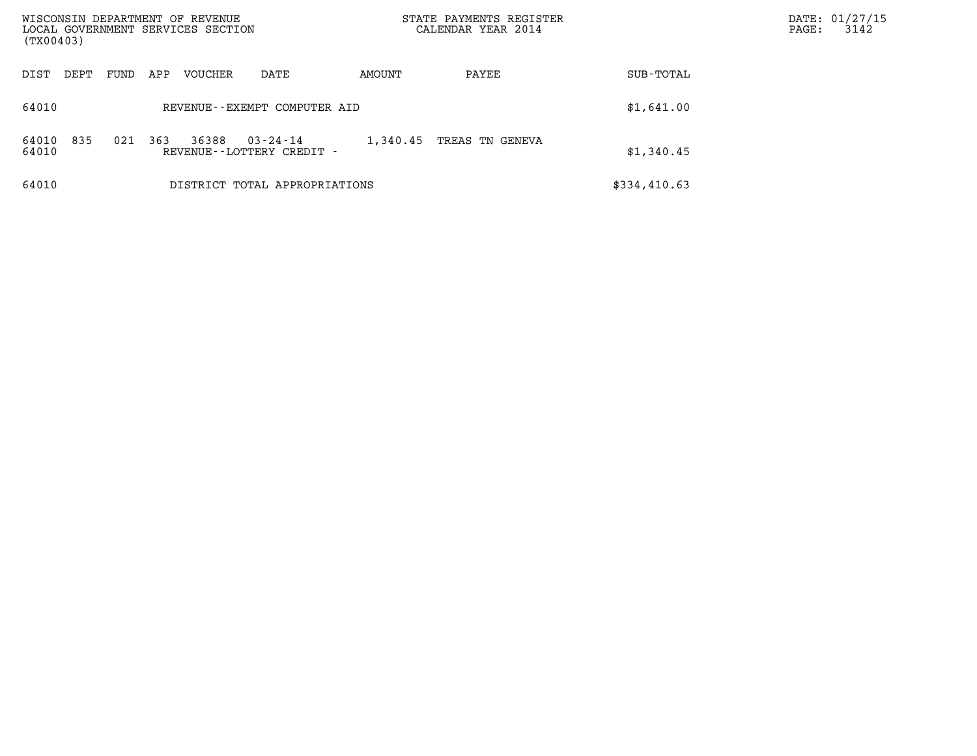| WISCONSIN DEPARTMENT OF REVENUE<br>LOCAL GOVERNMENT SERVICES SECTION<br>(TX00403) |                                                         | STATE PAYMENTS REGISTER<br>CALENDAR YEAR 2014 |              | DATE: 01/27/15<br>3142<br>$\mathtt{PAGE}$ : |
|-----------------------------------------------------------------------------------|---------------------------------------------------------|-----------------------------------------------|--------------|---------------------------------------------|
| VOUCHER<br>DIST<br>DEPT<br>FUND<br>APP                                            | AMOUNT<br>DATE                                          | PAYEE                                         | SUB-TOTAL    |                                             |
| 64010                                                                             | REVENUE--EXEMPT COMPUTER AID                            |                                               | \$1,641.00   |                                             |
| 835<br>021<br>363<br>36388<br>64010<br>64010                                      | $03 - 24 - 14$<br>1,340.45<br>REVENUE--LOTTERY CREDIT - | TREAS TN GENEVA                               | \$1,340.45   |                                             |
| 64010                                                                             | DISTRICT TOTAL APPROPRIATIONS                           |                                               | \$334,410.63 |                                             |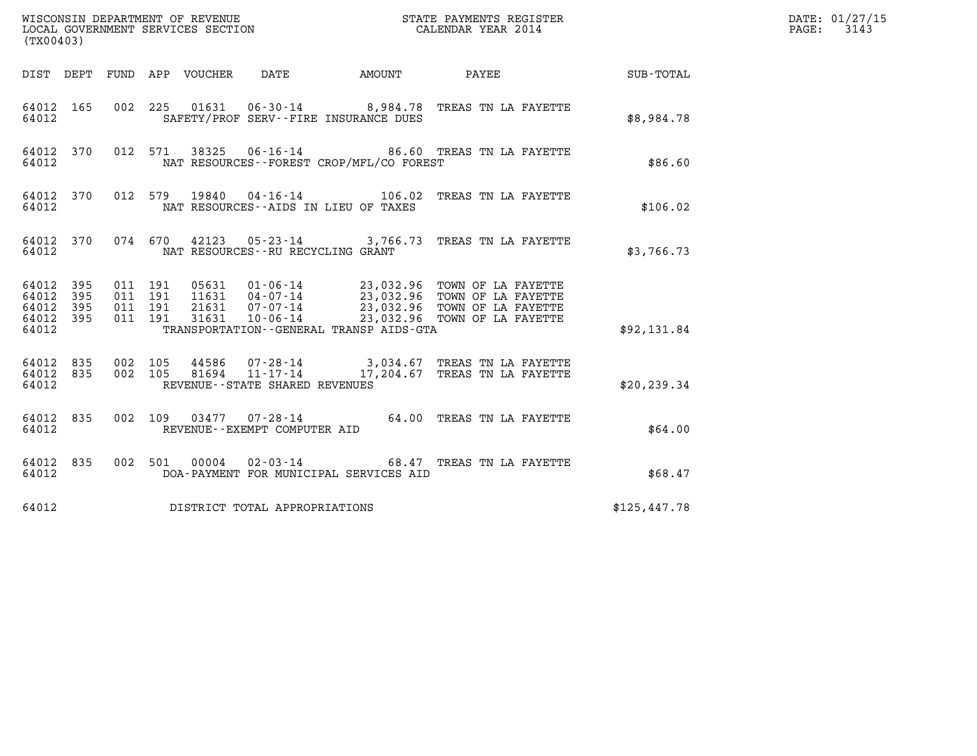| (TX00403)                                         |            |                                          |                                        |                                          | DATE: 01/27/15<br>$\mathtt{PAGE:}$<br>3143                                                                                                                                                           |              |  |
|---------------------------------------------------|------------|------------------------------------------|----------------------------------------|------------------------------------------|------------------------------------------------------------------------------------------------------------------------------------------------------------------------------------------------------|--------------|--|
|                                                   |            |                                          | DIST DEPT FUND APP VOUCHER DATE        |                                          | AMOUNT PAYEE SUB-TOTAL                                                                                                                                                                               |              |  |
| 64012 165<br>64012                                |            | 002 225                                  |                                        | SAFETY/PROF SERV--FIRE INSURANCE DUES    | 01631  06-30-14  8,984.78  TREAS TN LA FAYETTE                                                                                                                                                       | \$8,984.78   |  |
| 64012 370<br>64012                                |            |                                          |                                        | NAT RESOURCES--FOREST CROP/MFL/CO FOREST | 012 571 38325 06-16-14 86.60 TREAS TN LA FAYETTE                                                                                                                                                     | \$86.60      |  |
| 64012 370<br>64012                                |            |                                          | NAT RESOURCES -- AIDS IN LIEU OF TAXES |                                          | 012 579 19840 04-16-14 106.02 TREAS TN LA FAYETTE                                                                                                                                                    | \$106.02     |  |
| 64012                                             |            |                                          | NAT RESOURCES - - RU RECYCLING GRANT   |                                          | 64012 370 074 670 42123 05-23-14 3,766.73 TREAS TN LA FAYETTE                                                                                                                                        | \$3,766.73   |  |
| 64012 395<br>64012<br>64012<br>64012 395<br>64012 | 395<br>395 | 011 191<br>011 191<br>011 191<br>011 191 |                                        | TRANSPORTATION--GENERAL TRANSP AIDS-GTA  | 05631  01-06-14  23,032.96  TOWN OF LA FAYETTE<br>11631  04-07-14  23,032.96  TOWN OF LA FAYETTE<br>21631  07-07-14  23,032.96  TOWN OF LA FAYETTE<br>31631  10-06-14  23,032.96  TOWN OF LA FAYETTE | \$92,131.84  |  |
| 64012 835<br>64012 835<br>64012                   |            | 002 105<br>002 105                       | REVENUE--STATE SHARED REVENUES         |                                          | 44586  07-28-14  3,034.67 TREAS TN LA FAYETTE<br>81694  11-17-14  17,204.67 TREAS TN LA FAYETTE                                                                                                      | \$20, 239.34 |  |
| 64012 835<br>64012                                |            |                                          | REVENUE--EXEMPT COMPUTER AID           |                                          | 002 109 03477 07-28-14 64.00 TREAS TN LA FAYETTE                                                                                                                                                     | \$64.00      |  |
| 64012 835<br>64012                                |            |                                          |                                        | DOA-PAYMENT FOR MUNICIPAL SERVICES AID   | 002 501 00004 02-03-14 68.47 TREAS TN LA FAYETTE                                                                                                                                                     | \$68.47      |  |
| 64012                                             |            |                                          | DISTRICT TOTAL APPROPRIATIONS          |                                          |                                                                                                                                                                                                      | \$125,447.78 |  |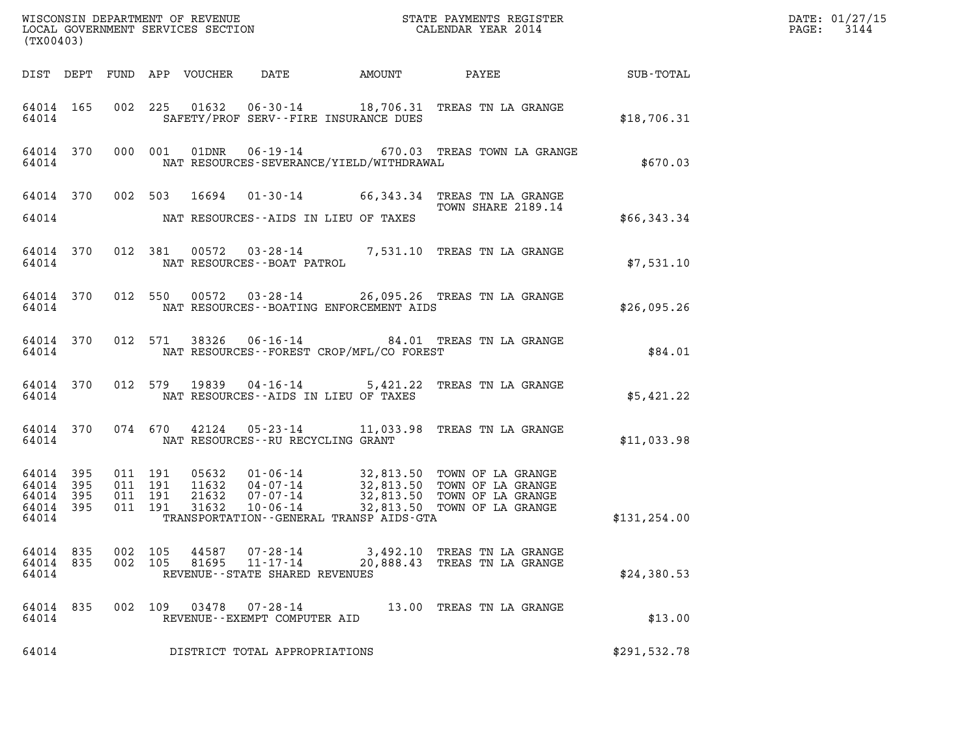| (TX00403)                                             |     |         |                               |                |                                                                 |                                                |                                                                                                                                                                                                  |               |  |
|-------------------------------------------------------|-----|---------|-------------------------------|----------------|-----------------------------------------------------------------|------------------------------------------------|--------------------------------------------------------------------------------------------------------------------------------------------------------------------------------------------------|---------------|--|
|                                                       |     |         |                               |                |                                                                 |                                                | DIST DEPT FUND APP VOUCHER DATE AMOUNT PAYEE SUB-TOTAL                                                                                                                                           |               |  |
| 64014                                                 |     |         |                               |                |                                                                 | SAFETY/PROF SERV--FIRE INSURANCE DUES          | 64014 165 002 225 01632 06-30-14 18,706.31 TREAS TN LA GRANGE                                                                                                                                    | \$18,706.31   |  |
|                                                       |     |         |                               |                |                                                                 | 64014 NAT RESOURCES-SEVERANCE/YIELD/WITHDRAWAL | 64014 370 000 001 01DNR 06-19-14 670.03 TREAS TOWN LA GRANGE                                                                                                                                     | \$670.03      |  |
|                                                       |     |         |                               |                |                                                                 | 64014 NAT RESOURCES--AIDS IN LIEU OF TAXES     | 64014 370 002 503 16694 01-30-14 66,343.34 TREAS TN LA GRANGE<br>TOWN SHARE 2189.14                                                                                                              | \$66,343.34   |  |
|                                                       |     |         |                               |                |                                                                 |                                                | $\begin{tabular}{llllll} 64014 & 370 & 012 & 381 & 00572 & 03-28-14 & & 7,531.10 & \texttt{TREAS TN LA GRANGE} \\ 64014 & & \texttt{NAT RESOURCES--BOAT PATROL} & & & & & \\ \end{tabular}$      | \$7,531.10    |  |
|                                                       |     |         |                               |                |                                                                 |                                                | 64014 370 012 550 00572 03-28-14 26,095.26 TREAS TN LA GRANGE<br>64014 NAT RESOURCES--BOATING ENFORCEMENT AIDS                                                                                   | \$26,095.26   |  |
|                                                       |     |         |                               |                |                                                                 | 64014 NAT RESOURCES--FOREST CROP/MFL/CO FOREST | 64014 370 012 571 38326 06-16-14 84.01 TREAS TN LA GRANGE                                                                                                                                        | \$84.01       |  |
|                                                       |     |         |                               |                |                                                                 | 64014 NAT RESOURCES--AIDS IN LIEU OF TAXES     | 64014 370 012 579 19839 04-16-14 5,421.22 TREAS TN LA GRANGE                                                                                                                                     | \$5,421.22    |  |
|                                                       |     |         |                               |                |                                                                 | 64014 NAT RESOURCES--RU RECYCLING GRANT        | 64014 370 074 670 42124 05-23-14 11,033.98 TREAS TN LA GRANGE                                                                                                                                    | \$11,033.98   |  |
| 64014<br>64014 395<br>64014 395<br>64014 395<br>64014 | 395 | 011 191 | 011 191<br>011 191<br>011 191 |                |                                                                 | TRANSPORTATION--GENERAL TRANSP AIDS-GTA        | 05632  01-06-14  32,813.50  TOWN OF LA GRANGE<br>11632  04-07-14  32,813.50  TOWN OF LA GRANGE<br>21632  07-07-14  32,813.50  TOWN OF LA GRANGE<br>31632  10-06-14  32,813.50  TOWN OF LA GRANGE | \$131, 254.00 |  |
| 64014 835<br>64014 835<br>64014                       |     | 002 105 | 002 105                       | 44587<br>81695 | 07-28-14<br>$11 - 17 - 14$<br>REVENUE - - STATE SHARED REVENUES |                                                | 3,492.10 TREAS TN LA GRANGE<br>20,888.43 TREAS TN LA GRANGE                                                                                                                                      | \$24,380.53   |  |
| 64014 835<br>64014                                    |     |         | 002 109                       |                | 03478 07-28-14<br>REVENUE--EXEMPT COMPUTER AID                  |                                                | 13.00 TREAS TN LA GRANGE                                                                                                                                                                         | \$13.00       |  |
| 64014                                                 |     |         |                               |                | DISTRICT TOTAL APPROPRIATIONS                                   |                                                |                                                                                                                                                                                                  | \$291,532.78  |  |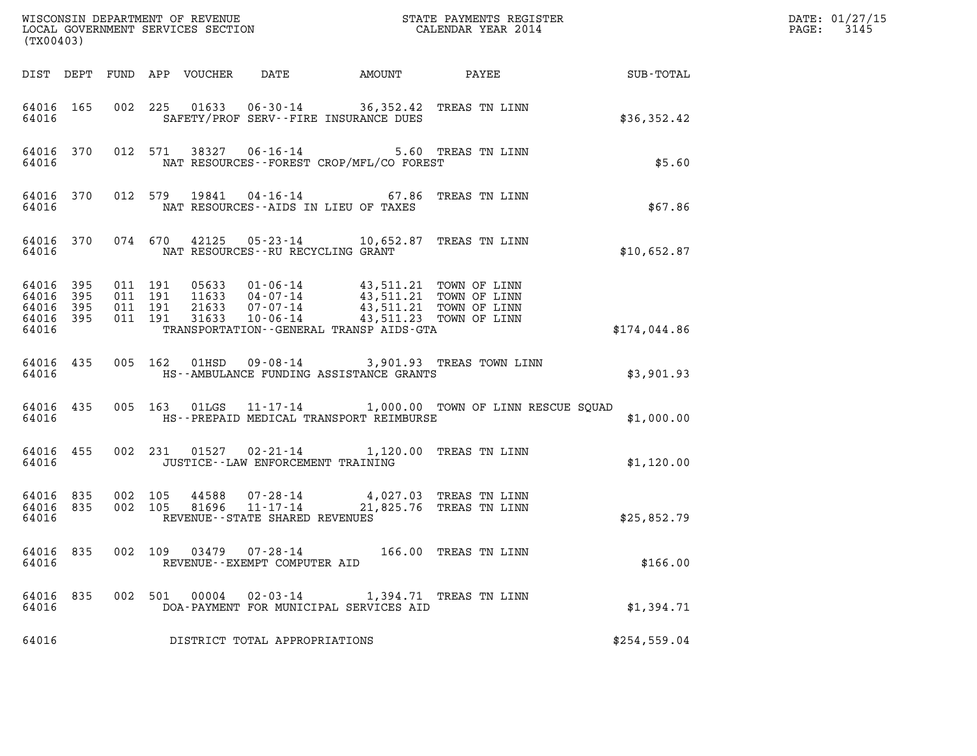| (TX00403)                                             |     |                               |         |                            |                                                                                         |                                             |              | DATE: 01/27/15<br>3145<br>$\mathtt{PAGE:}$ |
|-------------------------------------------------------|-----|-------------------------------|---------|----------------------------|-----------------------------------------------------------------------------------------|---------------------------------------------|--------------|--------------------------------------------|
|                                                       |     |                               |         | DIST DEPT FUND APP VOUCHER | DATE                                                                                    |                                             |              |                                            |
| 64016 165<br>64016                                    |     |                               |         |                            | 002 225 01633 06-30-14 36,352.42 TREAS TN LINN<br>SAFETY/PROF SERV--FIRE INSURANCE DUES |                                             | \$36,352.42  |                                            |
| 64016 370<br>64016                                    |     |                               |         |                            | 012 571 38327 06-16-14 5.60 TREAS TN LINN<br>NAT RESOURCES--FOREST CROP/MFL/CO FOREST   |                                             | \$5.60       |                                            |
| 64016 370<br>64016                                    |     |                               |         | 012 579 19841              | 04-16-14 67.86 TREAS TN LINN<br>NAT RESOURCES--AIDS IN LIEU OF TAXES                    |                                             | \$67.86      |                                            |
| 64016 370<br>64016                                    |     |                               |         |                            | 074 670 42125 05-23-14 10,652.87 TREAS TN LINN<br>NAT RESOURCES--RU RECYCLING GRANT     |                                             | \$10,652.87  |                                            |
| 64016 395<br>64016<br>64016 395<br>64016 395<br>64016 | 395 | 011 191<br>011 191<br>011 191 | 011 191 |                            | TRANSPORTATION--GENERAL TRANSP AIDS-GTA                                                 |                                             | \$174,044.86 |                                            |
| 64016 435<br>64016                                    |     |                               |         | 005 162 01HSD              | HS--AMBULANCE FUNDING ASSISTANCE GRANTS                                                 | 09-08-14 3,901.93 TREAS TOWN LINN           | \$3,901.93   |                                            |
| 64016 435<br>64016                                    |     |                               |         | 005 163 01LGS              | HS--PREPAID MEDICAL TRANSPORT REIMBURSE                                                 | 11-17-14 1,000.00 TOWN OF LINN RESCUE SQUAD | \$1,000.00   |                                            |
| 64016 455<br>64016                                    |     |                               |         |                            | 002 231 01527 02-21-14 1,120.00 TREAS TN LINN<br>JUSTICE--LAW ENFORCEMENT TRAINING      |                                             | \$1,120.00   |                                            |
| 64016 835<br>64016 835<br>64016                       |     | 002 105<br>002 105            |         |                            | REVENUE--STATE SHARED REVENUES                                                          |                                             | \$25,852.79  |                                            |
| 64016 835<br>64016                                    |     |                               |         | 002 109 03479              | 07-28-14<br>REVENUE--EXEMPT COMPUTER AID                                                | 166.00 TREAS TN LINN                        | \$166.00     |                                            |
| 64016 835<br>64016                                    |     |                               |         | 002 501 00004              | $02 - 03 - 14$<br>DOA-PAYMENT FOR MUNICIPAL SERVICES AID                                | 1,394.71 TREAS TN LINN                      | \$1,394.71   |                                            |
| 64016                                                 |     |                               |         |                            | DISTRICT TOTAL APPROPRIATIONS                                                           |                                             | \$254,559.04 |                                            |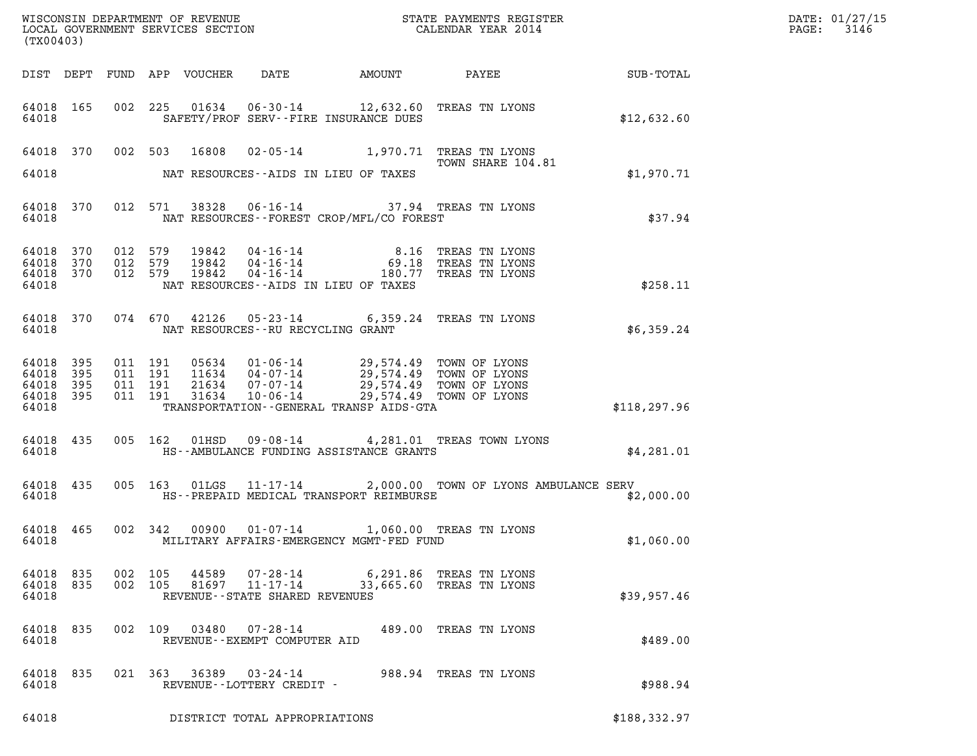| (TX00403)                                 |                          |                                          |         |                            |                                  |                                                                                                                                                                   |                                                               |               | DATE: 01/27/15<br>$\mathtt{PAGE:}$<br>3146 |
|-------------------------------------------|--------------------------|------------------------------------------|---------|----------------------------|----------------------------------|-------------------------------------------------------------------------------------------------------------------------------------------------------------------|---------------------------------------------------------------|---------------|--------------------------------------------|
|                                           |                          |                                          |         | DIST DEPT FUND APP VOUCHER | DATE                             |                                                                                                                                                                   |                                                               |               |                                            |
| 64018 165<br>64018                        |                          |                                          |         |                            |                                  | 002 225 01634 06-30-14 12,632.60 TREAS TN LYONS<br>SAFETY/PROF SERV--FIRE INSURANCE DUES                                                                          |                                                               | \$12,632.60   |                                            |
| 64018 370                                 |                          |                                          | 002 503 | 16808                      |                                  | 02-05-14 1,970.71 TREAS TN LYONS                                                                                                                                  | TOWN SHARE 104.81                                             |               |                                            |
| 64018                                     |                          |                                          |         |                            |                                  | NAT RESOURCES--AIDS IN LIEU OF TAXES                                                                                                                              |                                                               | \$1,970.71    |                                            |
| 64018 370<br>64018                        |                          |                                          | 012 571 | 38328                      |                                  | 06-16-14 37.94 TREAS TN LYONS<br>NAT RESOURCES--FOREST CROP/MFL/CO FOREST                                                                                         |                                                               | \$37.94       |                                            |
| 64018<br>64018<br>64018<br>64018          | 370<br>370<br>370        | 012 579<br>012 579<br>012 579            |         | 19842<br>19842<br>19842    | $04 - 16 - 14$<br>$04 - 16 - 14$ | $04 - 16 - 14$ 180.77<br>NAT RESOURCES--AIDS IN LIEU OF TAXES                                                                                                     | 8.16 TREAS TN LYONS<br>69.18 TREAS TN LYONS<br>TREAS TN LYONS | \$258.11      |                                            |
| 64018 370<br>64018                        |                          |                                          | 074 670 | 42126                      |                                  | 05-23-14 6,359.24 TREAS TN LYONS<br>NAT RESOURCES - - RU RECYCLING GRANT                                                                                          |                                                               | \$6,359.24    |                                            |
| 64018<br>64018<br>64018<br>64018<br>64018 | 395<br>395<br>395<br>395 | 011 191<br>011 191<br>011 191<br>011 191 |         | 21634<br>31634             | $07 - 07 - 14$<br>$10 - 06 - 14$ | 05634  01-06-14  29,574.49  TOWN OF LYONS<br>11634  04-07-14  29,574.49  TOWN OF LYONS<br>29,574.49 TOWN OF LYONS<br>TRANSPORTATION - - GENERAL TRANSP AIDS - GTA | 29,574.49 TOWN OF LYONS                                       | \$118, 297.96 |                                            |
| 64018 435<br>64018                        |                          |                                          | 005 162 | 01HSD                      |                                  | HS--AMBULANCE FUNDING ASSISTANCE GRANTS                                                                                                                           | 09-08-14 4,281.01 TREAS TOWN LYONS                            | \$4,281.01    |                                            |
| 64018 435<br>64018                        |                          |                                          | 005 163 |                            |                                  | HS--PREPAID MEDICAL TRANSPORT REIMBURSE                                                                                                                           | 01LGS  11-17-14  2,000.00 TOWN OF LYONS AMBULANCE SERV        | \$2,000.00    |                                            |
| 64018 465<br>64018                        |                          |                                          | 002 342 |                            |                                  | 00900  01-07-14  1,060.00  TREAS TN LYONS<br>MILITARY AFFAIRS-EMERGENCY MGMT-FED FUND                                                                             |                                                               | \$1,060.00    |                                            |
| 64018 835<br>64018                        |                          |                                          | 002 105 |                            | REVENUE--STATE SHARED REVENUES   | 64018 835 002 105 44589 07-28-14 6,291.86 TREAS TN LYONS<br>81697 11-17-14 33,665.60 TREAS TN LYONS                                                               |                                                               | \$39,957.46   |                                            |
| 64018 835<br>64018                        |                          |                                          |         |                            | REVENUE--EXEMPT COMPUTER AID     | 002 109  03480  07-28-14  489.00 TREAS TN LYONS                                                                                                                   |                                                               | \$489.00      |                                            |
| 64018 835<br>64018                        |                          |                                          |         |                            | REVENUE--LOTTERY CREDIT -        | 021 363 36389 03-24-14 988.94 TREAS TN LYONS                                                                                                                      |                                                               | \$988.94      |                                            |
| 64018                                     |                          |                                          |         |                            | DISTRICT TOTAL APPROPRIATIONS    |                                                                                                                                                                   |                                                               | \$188,332.97  |                                            |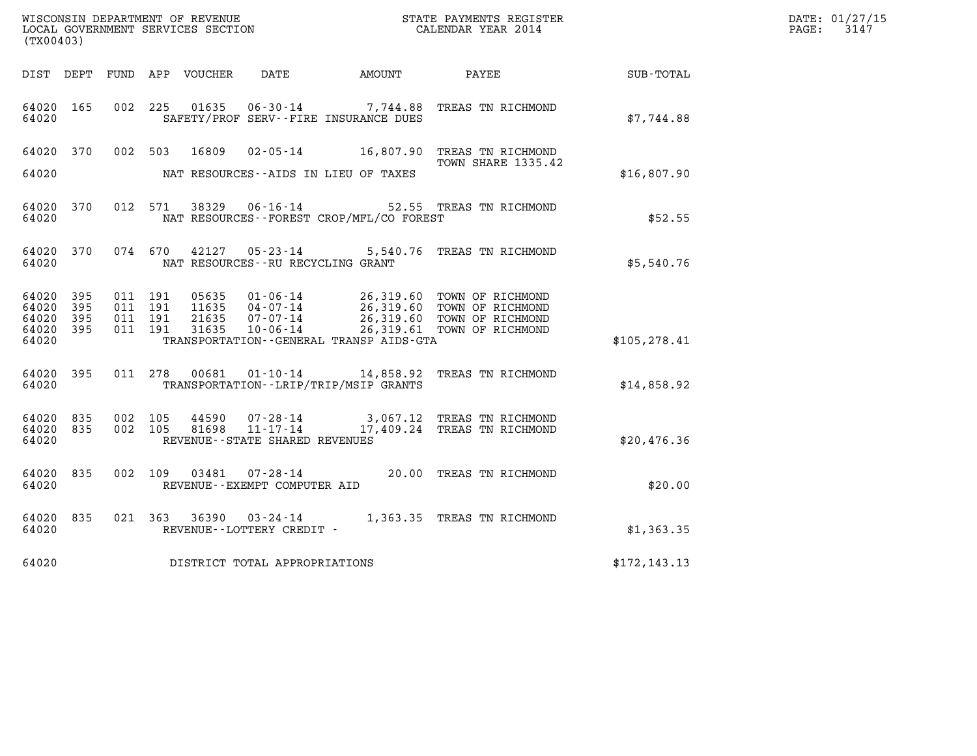| WISCONSIN DEPARTMENT OF REVENUE<br>LOCAL GOVERNMENT SERVICES SECTION<br>(TX00403) |                    |                                          |         |                                  |                                                                    |                                              | STATE PAYMENTS REGISTER<br>CALENDAR YEAR 2014                                                                                 |               | DATE: 01/27/15<br>$\mathtt{PAGE:}$<br>3147 |
|-----------------------------------------------------------------------------------|--------------------|------------------------------------------|---------|----------------------------------|--------------------------------------------------------------------|----------------------------------------------|-------------------------------------------------------------------------------------------------------------------------------|---------------|--------------------------------------------|
|                                                                                   |                    |                                          |         | DIST DEPT FUND APP VOUCHER DATE  |                                                                    | AMOUNT PAYEE                                 |                                                                                                                               | SUB-TOTAL     |                                            |
| 64020 165<br>64020                                                                |                    |                                          | 002 225 | 01635                            |                                                                    | SAFETY/PROF SERV--FIRE INSURANCE DUES        | 06-30-14 7,744.88 TREAS TN RICHMOND                                                                                           | \$7,744.88    |                                            |
| 64020 370                                                                         |                    |                                          | 002 503 |                                  |                                                                    |                                              | 16809  02-05-14   16,807.90   TREAS TN RICHMOND<br>TOWN SHARE 1335.42                                                         |               |                                            |
| 64020                                                                             |                    |                                          |         |                                  |                                                                    | NAT RESOURCES--AIDS IN LIEU OF TAXES         |                                                                                                                               | \$16,807.90   |                                            |
| 64020 370<br>64020                                                                |                    |                                          | 012 571 |                                  |                                                                    | NAT RESOURCES - - FOREST CROP/MFL/CO FOREST  | 38329   06-16-14   52.55   TREAS TN RICHMOND                                                                                  | \$52.55       |                                            |
| 64020 370<br>64020                                                                |                    |                                          |         |                                  | NAT RESOURCES - - RU RECYCLING GRANT                               |                                              | 074 670 42127 05-23-14 5,540.76 TREAS TN RICHMOND                                                                             | \$5,540.76    |                                            |
| 64020 395<br>64020<br>64020<br>64020<br>64020                                     | 395<br>395<br>-395 | 011 191<br>011 191<br>011 191<br>011 191 |         | 05635<br>11635<br>21635<br>31635 | 04 - 07 - 14<br>07 - 07 - 14<br>10 - 06 - 14                       | TRANSPORTATION - - GENERAL TRANSP AIDS - GTA | 01-06-14 26,319.60 TOWN OF RICHMOND<br>26,319.60 TOWN OF RICHMOND<br>26,319.60 TOWN OF RICHMOND<br>26,319.61 TOWN OF RICHMOND | \$105, 278.41 |                                            |
| 64020 395<br>64020                                                                |                    |                                          | 011 278 | 00681                            |                                                                    | TRANSPORTATION--LRIP/TRIP/MSIP GRANTS        | 01-10-14 14,858.92 TREAS TN RICHMOND                                                                                          | \$14,858.92   |                                            |
| 64020 835<br>64020<br>64020                                                       | 835                | 002 105<br>002 105                       |         | 44590<br>81698                   | $07 - 28 - 14$<br>$11 - 17 - 14$<br>REVENUE--STATE SHARED REVENUES |                                              | 3,067.12 TREAS TN RICHMOND<br>17,409.24 TREAS TN RICHMOND                                                                     | \$20,476.36   |                                            |
| 64020 835<br>64020                                                                |                    |                                          |         |                                  | REVENUE--EXEMPT COMPUTER AID                                       |                                              | 002  109  03481  07-28-14  20.00 TREAS TN RICHMOND                                                                            | \$20.00       |                                            |
| 64020 835<br>64020                                                                |                    | 021 363                                  |         |                                  | REVENUE--LOTTERY CREDIT -                                          |                                              | 36390 03-24-14 1,363.35 TREAS TN RICHMOND                                                                                     | \$1,363.35    |                                            |
| 64020                                                                             |                    |                                          |         |                                  | DISTRICT TOTAL APPROPRIATIONS                                      |                                              |                                                                                                                               | \$172, 143.13 |                                            |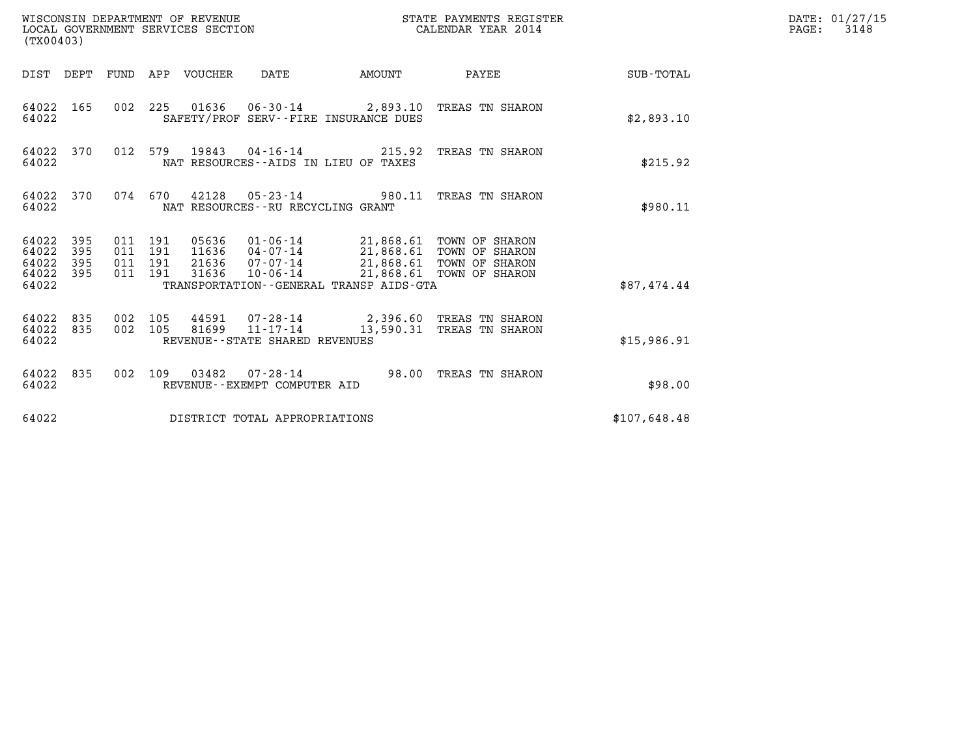| WISCONSIN DEPARTMENT OF REVENUE<br>(TX00403)                    | LOCAL GOVERNMENT SERVICES SECTION                                                                                                                                                                                                   | STATE PAYMENTS REGISTER<br>CALENDAR YEAR 2014 |              | DATE: 01/27/15<br>$\mathtt{PAGE:}$<br>3148 |
|-----------------------------------------------------------------|-------------------------------------------------------------------------------------------------------------------------------------------------------------------------------------------------------------------------------------|-----------------------------------------------|--------------|--------------------------------------------|
|                                                                 | DIST DEPT FUND APP VOUCHER DATE<br>AMOUNT                                                                                                                                                                                           | PAYEE SUB-TOTAL                               |              |                                            |
| 64022 165<br>64022                                              | 002 225 01636 06-30-14 2,893.10 TREAS TN SHARON<br>SAFETY/PROF SERV--FIRE INSURANCE DUES                                                                                                                                            |                                               | \$2,893.10   |                                            |
| 64022 370<br>64022                                              | 012 579 19843 04-16-14 215.92 TREAS TN SHARON<br>NAT RESOURCES--AIDS IN LIEU OF TAXES                                                                                                                                               |                                               | \$215.92     |                                            |
| 64022 370<br>64022                                              | 074  670  42128  05-23-14  980.11  TREAS TN SHARON<br>NAT RESOURCES - - RU RECYCLING GRANT                                                                                                                                          |                                               | \$980.11     |                                            |
| 64022 395<br>64022<br>395<br>64022<br>395<br>64022 395<br>64022 | 05636  01-06-14  21,868.61  TOWN OF SHARON<br>11636  04-07-14  21,868.61  TOWN OF SHARON<br>011 191<br>011 191<br>21636 07-07-14 21,868.61 TOWN OF SHARON<br>011 191<br>011 191<br>31636<br>TRANSPORTATION--GENERAL TRANSP AIDS-GTA | 10-06-14 21,868.61 TOWN OF SHARON             | \$87,474.44  |                                            |
| 64022 835<br>64022 835<br>64022                                 | 002 105<br>44591 07-28-14 2,396.60 TREAS TN SHARON<br>81699 11-17-14<br>002 105<br>REVENUE--STATE SHARED REVENUES                                                                                                                   | 13,590.31 TREAS TN SHARON                     | \$15,986.91  |                                            |
| 64022 835<br>64022                                              | 002 109 03482 07-28-14 98.00 TREAS TN SHARON<br>REVENUE--EXEMPT COMPUTER AID                                                                                                                                                        |                                               | \$98.00      |                                            |
| 64022                                                           | DISTRICT TOTAL APPROPRIATIONS                                                                                                                                                                                                       |                                               | \$107,648.48 |                                            |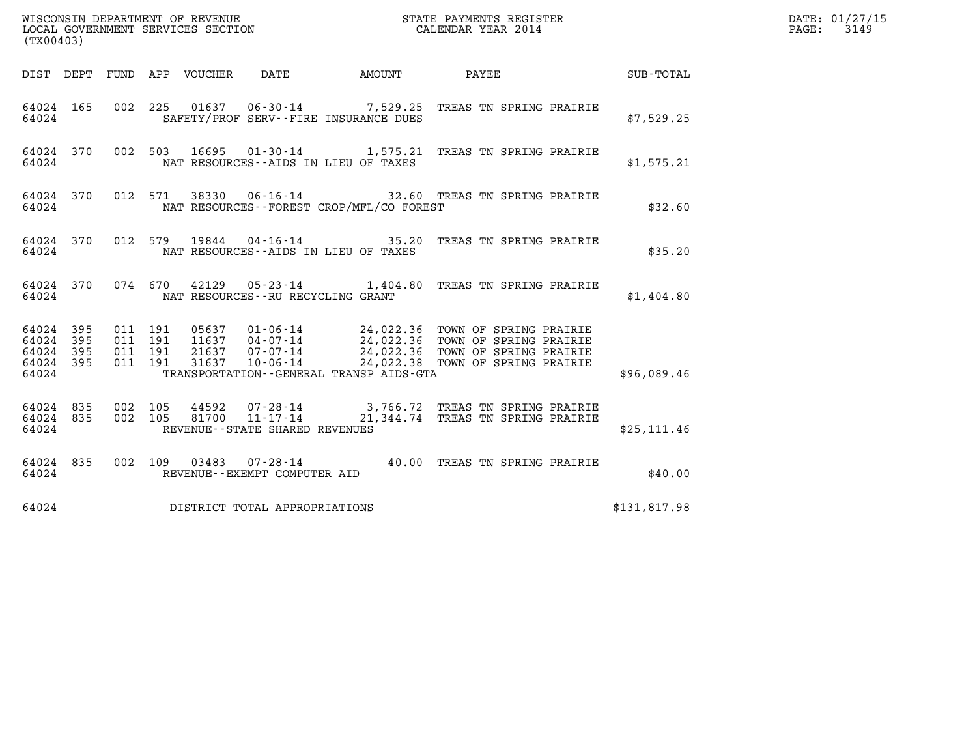| (TX00403)                                     |                   |                              |                    |                                |                                          |                                                                                                                                                                                                                      |              | DATE: 01/27/15<br>$\mathtt{PAGE:}$<br>3149 |
|-----------------------------------------------|-------------------|------------------------------|--------------------|--------------------------------|------------------------------------------|----------------------------------------------------------------------------------------------------------------------------------------------------------------------------------------------------------------------|--------------|--------------------------------------------|
|                                               |                   |                              |                    |                                |                                          | DIST DEPT FUND APP VOUCHER DATE AMOUNT PAYEE TOTAL                                                                                                                                                                   |              |                                            |
| 64024 165<br>64024                            |                   |                              |                    |                                | SAFETY/PROF SERV--FIRE INSURANCE DUES    | 002 225 01637 06-30-14 7,529.25 TREAS TN SPRING PRAIRIE                                                                                                                                                              | \$7,529.25   |                                            |
| 64024 370<br>64024                            |                   |                              |                    |                                | NAT RESOURCES--AIDS IN LIEU OF TAXES     | 002 503 16695 01-30-14 1,575.21 TREAS TN SPRING PRAIRIE                                                                                                                                                              | \$1,575.21   |                                            |
| 64024 370<br>64024                            |                   |                              |                    |                                | NAT RESOURCES--FOREST CROP/MFL/CO FOREST | 012 571 38330 06-16-14 32.60 TREAS TN SPRING PRAIRIE                                                                                                                                                                 | \$32.60      |                                            |
| 64024                                         |                   |                              |                    |                                | NAT RESOURCES--AIDS IN LIEU OF TAXES     | 64024 370 012 579 19844 04-16-14 35.20 TREAS TN SPRING PRAIRIE                                                                                                                                                       | \$35.20      |                                            |
| 64024                                         |                   |                              |                    |                                | NAT RESOURCES--RU RECYCLING GRANT        | 64024 370 074 670 42129 05-23-14 1,404.80 TREAS TN SPRING PRAIRIE                                                                                                                                                    | \$1,404.80   |                                            |
| 64024 395<br>64024<br>64024<br>64024<br>64024 | 395<br>395<br>395 | 011 191<br>011 191           | 011 191<br>011 191 |                                | TRANSPORTATION--GENERAL TRANSP AIDS-GTA  | 05637  01-06-14  24,022.36  TOWN OF SPRING PRAIRIE<br>11637  04-07-14  24,022.36  TOWN OF SPRING PRAIRIE<br>21637  07-07-14  24,022.36  TOWN OF SPRING PRAIRIE<br>31637  10-06-14  24,022.38  TOWN OF SPRING PRAIRIE | \$96,089.46  |                                            |
| 64024 835<br>64024                            |                   | 64024 835 002 105<br>002 105 |                    | REVENUE--STATE SHARED REVENUES |                                          | 44592  07-28-14  3,766.72  TREAS TN SPRING PRAIRIE<br>81700  11-17-14  21,344.74  TREAS TN SPRING PRAIRIE                                                                                                            | \$25, 111.46 |                                            |
| 64024 835<br>64024                            |                   |                              |                    | REVENUE--EXEMPT COMPUTER AID   |                                          | 002 109 03483 07-28-14 40.00 TREAS TN SPRING PRAIRIE                                                                                                                                                                 | \$40.00      |                                            |
| 64024                                         |                   |                              |                    | DISTRICT TOTAL APPROPRIATIONS  |                                          |                                                                                                                                                                                                                      | \$131,817.98 |                                            |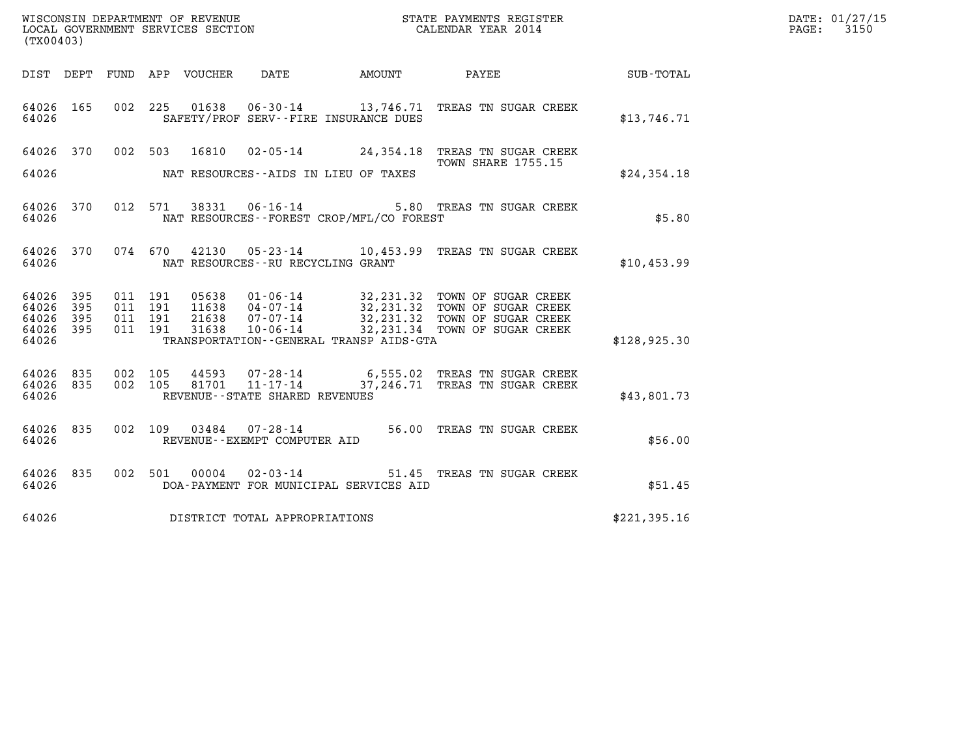| DATE: | 01/27/15 |
|-------|----------|
| PAGE: | 3150     |

| (TX00403)                       |            |         |                            |                                                          |                                                                                                                                                                                                               |              | DATE: 01/27/15<br>3150<br>$\mathtt{PAGE:}$ |
|---------------------------------|------------|---------|----------------------------|----------------------------------------------------------|---------------------------------------------------------------------------------------------------------------------------------------------------------------------------------------------------------------|--------------|--------------------------------------------|
|                                 |            |         | DIST DEPT FUND APP VOUCHER | DATE                                                     |                                                                                                                                                                                                               |              |                                            |
| 64026 165<br>64026              |            |         |                            | SAFETY/PROF SERV--FIRE INSURANCE DUES                    | 002 225 01638 06-30-14 13,746.71 TREAS TN SUGAR CREEK                                                                                                                                                         | \$13,746.71  |                                            |
|                                 |            |         |                            |                                                          | 64026 370 002 503 16810 02-05-14 24,354.18 TREAS TN SUGAR CREEK<br><b>TOWN SHARE 1755.15</b>                                                                                                                  |              |                                            |
| 64026                           |            |         |                            | NAT RESOURCES--AIDS IN LIEU OF TAXES                     |                                                                                                                                                                                                               | \$24,354.18  |                                            |
| 64026                           |            |         |                            | NAT RESOURCES--FOREST CROP/MFL/CO FOREST                 | 64026 370 012 571 38331 06-16-14 5.80 TREAS TN SUGAR CREEK                                                                                                                                                    | \$5.80       |                                            |
| 64026                           |            |         |                            | NAT RESOURCES--RU RECYCLING GRANT                        | 64026 370 074 670 42130 05-23-14 10,453.99 TREAS TN SUGAR CREEK                                                                                                                                               | \$10,453.99  |                                            |
| 64026<br>64026                  | 395<br>395 | 011 191 | 011 191                    |                                                          |                                                                                                                                                                                                               |              |                                            |
| 64026 395<br>64026 395          |            | 011 191 | 011 191                    |                                                          | 05638  01-06-14  32,231.32  TOWN OF SUGAR CREEK<br>11638  04-07-14  32,231.32  TOWN OF SUGAR CREEK<br>21638  07-07-14  32,231.32  TOWN OF SUGAR CREEK<br>31638  10-06-14  232,231.34  TOWN OF SUGAR CREEK     |              |                                            |
| 64026                           |            |         |                            | TRANSPORTATION--GENERAL TRANSP AIDS-GTA                  |                                                                                                                                                                                                               | \$128,925.30 |                                            |
| 64026 835<br>64026 835<br>64026 |            | 002 105 |                            | REVENUE--STATE SHARED REVENUES                           | $\begin{array}{cccc} 002 & 105 & 44593 & 07\text{-}28\text{-}14 & 6,555.02 & \text{TREAS TN SUGAR CREEK} \\ 002 & 105 & 81701 & 11\text{-}17\text{-}14 & 37,246.71 & \text{TREAS TN SUGAR CREEK} \end{array}$ | \$43,801.73  |                                            |
| 64026 835<br>64026              |            |         |                            | REVENUE--EXEMPT COMPUTER AID                             | 002 109 03484 07-28-14 56.00 TREAS TN SUGAR CREEK                                                                                                                                                             | \$56.00      |                                            |
| 64026 835<br>64026              |            |         | 002 501 00004              | $02 - 03 - 14$<br>DOA-PAYMENT FOR MUNICIPAL SERVICES AID | 51.45 TREAS TN SUGAR CREEK                                                                                                                                                                                    | \$51.45      |                                            |
| 64026                           |            |         |                            | DISTRICT TOTAL APPROPRIATIONS                            |                                                                                                                                                                                                               | \$221,395.16 |                                            |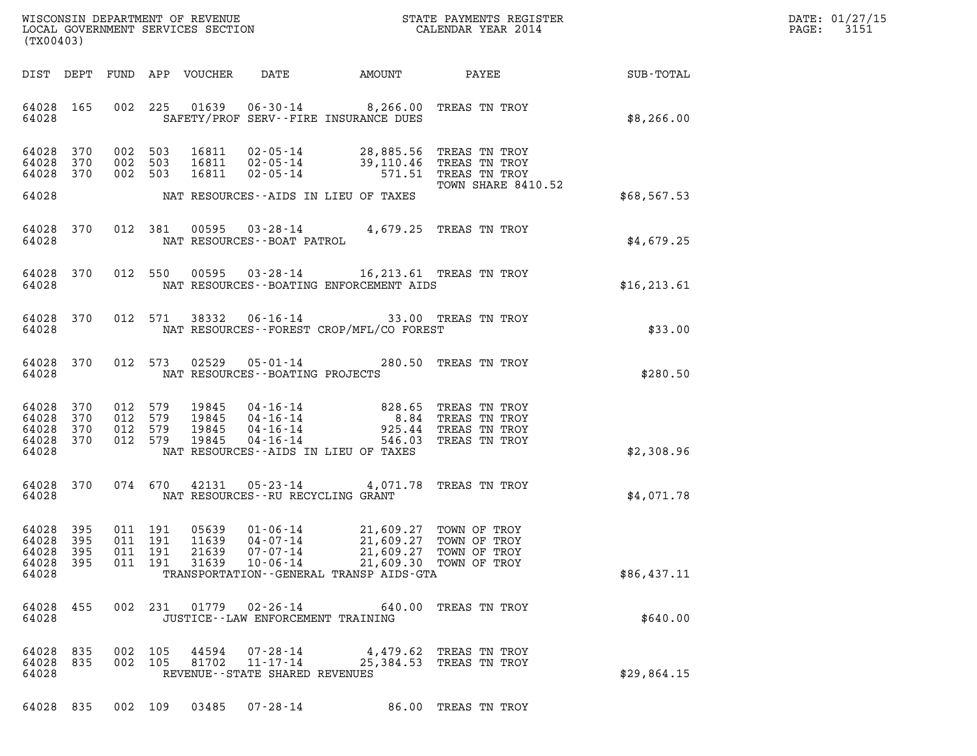| DATE: | 01/27/15 |
|-------|----------|
| PAGE: | 3151     |

| (TX00403)                                                             |                                                                                                                                                                                                                                                                                                   |                 | DATE: 01/27/15<br>3151<br>$\mathtt{PAGE:}$ |
|-----------------------------------------------------------------------|---------------------------------------------------------------------------------------------------------------------------------------------------------------------------------------------------------------------------------------------------------------------------------------------------|-----------------|--------------------------------------------|
| DIST DEPT                                                             | DATE<br>FUND APP VOUCHER<br>AMOUNT                                                                                                                                                                                                                                                                | PAYEE SUB-TOTAL |                                            |
| 64028 165<br>64028                                                    | 01639<br>002 225<br>06-30-14 8,266.00 TREAS TN TROY<br>SAFETY/PROF SERV--FIRE INSURANCE DUES                                                                                                                                                                                                      | \$8,266.00      |                                            |
| 64028<br>370<br>64028<br>370<br>002<br>64028<br>370                   | 002 503<br>16811<br>$02 - 05 - 14$ 28,885.56<br>TREAS TN TROY<br>39,110.46<br>503<br>16811<br>02-05-14<br>TREAS TN TROY<br>002 503<br>16811<br>$02 - 05 - 14$<br>571.51 TREAS TN TROY<br>TOWN SHARE 8410.52                                                                                       |                 |                                            |
| 64028                                                                 | NAT RESOURCES--AIDS IN LIEU OF TAXES                                                                                                                                                                                                                                                              | \$68,567.53     |                                            |
| 64028<br>370<br>64028                                                 | 012 381<br>00595<br>03-28-14 4,679.25 TREAS TN TROY<br>NAT RESOURCES--BOAT PATROL                                                                                                                                                                                                                 | \$4,679.25      |                                            |
| 64028<br>370<br>64028                                                 | 012 550<br>00595<br>03-28-14 16,213.61 TREAS TN TROY<br>NAT RESOURCES--BOATING ENFORCEMENT AIDS                                                                                                                                                                                                   | \$16, 213.61    |                                            |
| 64028<br>370<br>64028                                                 | 012 571<br>38332<br>06-16-14<br>33.00 TREAS TN TROY<br>NAT RESOURCES - - FOREST CROP/MFL/CO FOREST                                                                                                                                                                                                | \$33.00         |                                            |
| 64028 370<br>64028                                                    | 05-01-14 280.50 TREAS TN TROY<br>012 573<br>02529<br>NAT RESOURCES - - BOATING PROJECTS                                                                                                                                                                                                           | \$280.50        |                                            |
| 64028<br>370<br>64028<br>370<br>64028<br>370<br>64028<br>370<br>64028 | 012 579<br>19845<br>04 - 16 - 14 828.65<br>04 - 16 - 14 8.84<br>TREAS TN TROY<br>012 579<br>19845<br>TREAS TN TROY<br>012 579<br>19845<br>$04 - 16 - 14$<br>925.44<br>TREAS TN TROY<br>012 579<br>19845<br>$04 - 16 - 14$<br>546.03<br>TREAS TN TROY<br>NAT RESOURCES--AIDS IN LIEU OF TAXES      | \$2,308.96      |                                            |
| 64028 370                                                             | 074 670 42131<br>05-23-14 4,071.78 TREAS TN TROY                                                                                                                                                                                                                                                  |                 |                                            |
| 64028                                                                 | NAT RESOURCES--RU RECYCLING GRANT                                                                                                                                                                                                                                                                 | \$4,071.78      |                                            |
| 64028 395<br>64028<br>395<br>64028<br>395<br>64028<br>395<br>64028    | 011 191<br>05639<br>01-06-14<br>21,609.27 TOWN OF TROY<br>011 191<br>11639<br>04-07-14<br>21,609.27<br>TOWN OF TROY<br>011 191<br>21639<br>$07 - 07 - 14$<br>21,609.27<br>TOWN OF TROY<br>011 191<br>31639<br>$10 - 06 - 14$<br>21,609.30 TOWN OF TROY<br>TRANSPORTATION--GENERAL TRANSP AIDS-GTA | \$86,437.11     |                                            |
| 64028<br>455<br>64028                                                 | 002 231<br>$01779$ $02 - 26 - 14$<br>TREAS TN TROY<br>640.00<br>JUSTICE - - LAW ENFORCEMENT TRAINING                                                                                                                                                                                              | \$640.00        |                                            |
| 64028 835<br>64028 835<br>64028                                       | 002 105<br>44594<br>07-28-14<br>4,479.62<br>TREAS TN TROY<br>002 105<br>81702<br>11-17-14<br>25,384.53 TREAS TN TROY<br>REVENUE - - STATE SHARED REVENUES                                                                                                                                         | \$29,864.15     |                                            |

64028 835 002 109 03485 07-28-14 86.00 TREAS TN TROY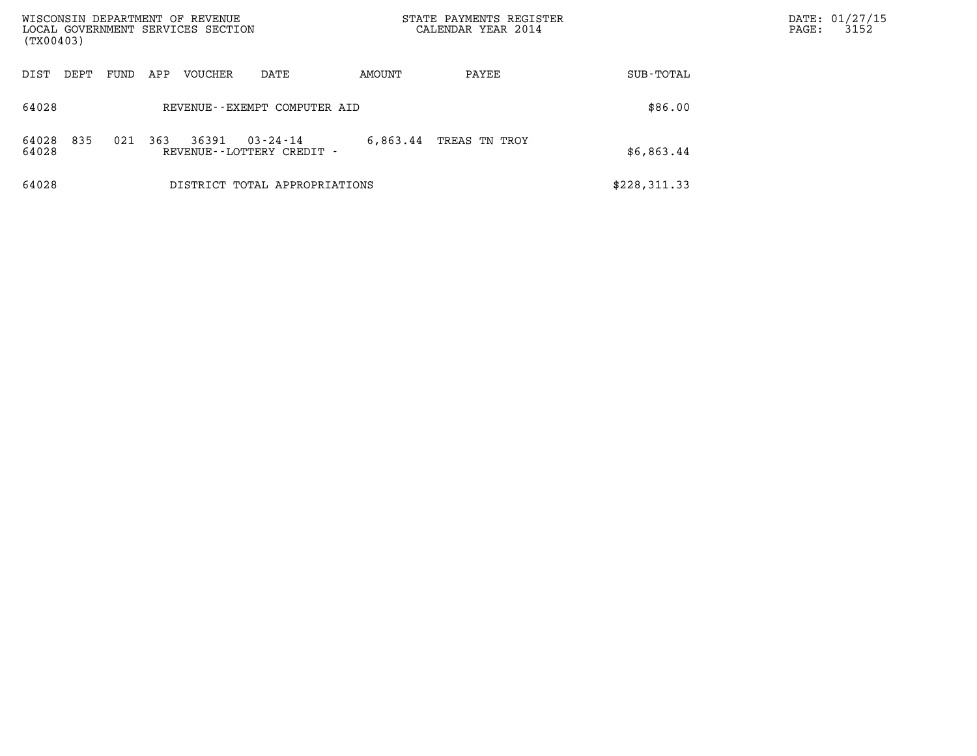| WISCONSIN DEPARTMENT OF REVENUE<br>LOCAL GOVERNMENT SERVICES SECTION<br>(TX00403) |             |         |                                             |          | STATE PAYMENTS REGISTER<br>CALENDAR YEAR 2014 |              | DATE: 01/27/15<br>3152<br>$\mathtt{PAGE}$ : |
|-----------------------------------------------------------------------------------|-------------|---------|---------------------------------------------|----------|-----------------------------------------------|--------------|---------------------------------------------|
| DIST<br>DEPT                                                                      | FUND<br>APP | VOUCHER | DATE                                        | AMOUNT   | PAYEE                                         | SUB-TOTAL    |                                             |
| 64028                                                                             |             |         | REVENUE--EXEMPT COMPUTER AID                |          |                                               | \$86.00      |                                             |
| 835<br>64028<br>64028                                                             | 021<br>363  | 36391   | $03 - 24 - 14$<br>REVENUE--LOTTERY CREDIT - | 6,863.44 | TREAS TN TROY                                 | \$6,863.44   |                                             |
| 64028                                                                             |             |         | DISTRICT TOTAL APPROPRIATIONS               |          |                                               | \$228,311.33 |                                             |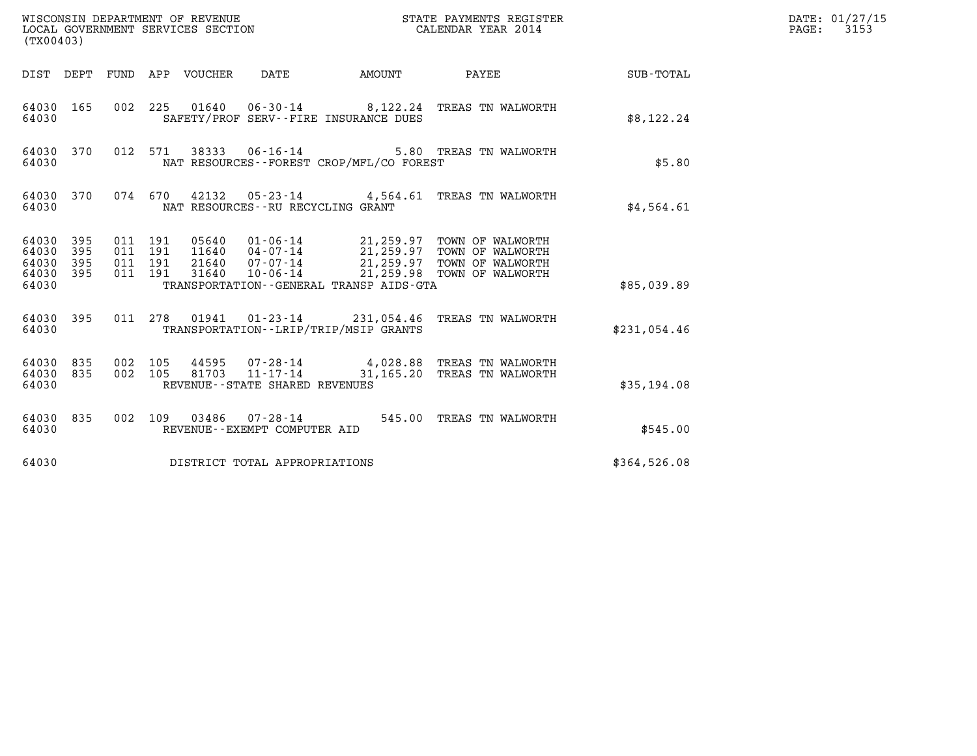| WISCONSIN DEPARTMENT OF REVENUE<br>LOCAL GOVERNMENT SERVICES SECTION<br>(TX00403) |            |                               |         |                                 |                                               |                                             | STATE PAYMENTS REGISTER<br>CALENDAR YEAR 2014                                                                                                                                                |              | DATE: 01/27/15<br>$\mathtt{PAGE:}$<br>3153 |
|-----------------------------------------------------------------------------------|------------|-------------------------------|---------|---------------------------------|-----------------------------------------------|---------------------------------------------|----------------------------------------------------------------------------------------------------------------------------------------------------------------------------------------------|--------------|--------------------------------------------|
|                                                                                   |            |                               |         | DIST DEPT FUND APP VOUCHER DATE |                                               | <b>AMOUNT</b>                               | PAYEE                                                                                                                                                                                        | SUB-TOTAL    |                                            |
| 64030 165<br>64030                                                                |            |                               |         |                                 |                                               | SAFETY/PROF SERV--FIRE INSURANCE DUES       | 002 225 01640 06-30-14 8,122.24 TREAS TN WALWORTH                                                                                                                                            | \$8,122.24   |                                            |
| 64030 370<br>64030                                                                |            |                               |         |                                 | 012 571 38333 06-16-14                        | NAT RESOURCES - - FOREST CROP/MFL/CO FOREST | 5.80 TREAS TN WALWORTH                                                                                                                                                                       | \$5.80       |                                            |
| 64030 370<br>64030                                                                |            |                               |         |                                 | NAT RESOURCES--RU RECYCLING GRANT             |                                             | 074 670 42132 05-23-14 4,564.61 TREAS TN WALWORTH                                                                                                                                            | \$4,564.61   |                                            |
| 64030 395<br>64030<br>64030<br>64030 395<br>64030                                 | 395<br>395 | 011 191<br>011 191<br>011 191 | 011 191 |                                 |                                               | TRANSPORTATION--GENERAL TRANSP AIDS-GTA     | 05640  01-06-14  21,259.97  TOWN OF WALWORTH<br>11640  04-07-14  21,259.97  TOWN OF WALWORTH<br>21640  07-07-14  21,259.97  TOWN OF WALWORTH<br>31640  10-06-14  21,259.98  TOWN OF WALWORTH | \$85,039.89  |                                            |
| 64030 395<br>64030                                                                |            |                               |         |                                 |                                               | TRANSPORTATION - - LRIP/TRIP/MSIP GRANTS    | 011 278 01941 01-23-14 231,054.46 TREAS TN WALWORTH                                                                                                                                          | \$231,054.46 |                                            |
| 64030 835<br>64030 835<br>64030                                                   |            | 002 105<br>002 105            |         | 44595<br>81703                  | 11-17-14<br>REVENUE - - STATE SHARED REVENUES |                                             | 07-28-14 4,028.88 TREAS TN WALWORTH<br>31,165.20 TREAS TN WALWORTH                                                                                                                           | \$35,194.08  |                                            |
| 64030 835<br>64030                                                                |            |                               |         |                                 | REVENUE - - EXEMPT COMPUTER AID               |                                             | 002 109 03486 07-28-14 545.00 TREAS TN WALWORTH                                                                                                                                              | \$545.00     |                                            |
| 64030                                                                             |            |                               |         |                                 | DISTRICT TOTAL APPROPRIATIONS                 |                                             |                                                                                                                                                                                              | \$364,526.08 |                                            |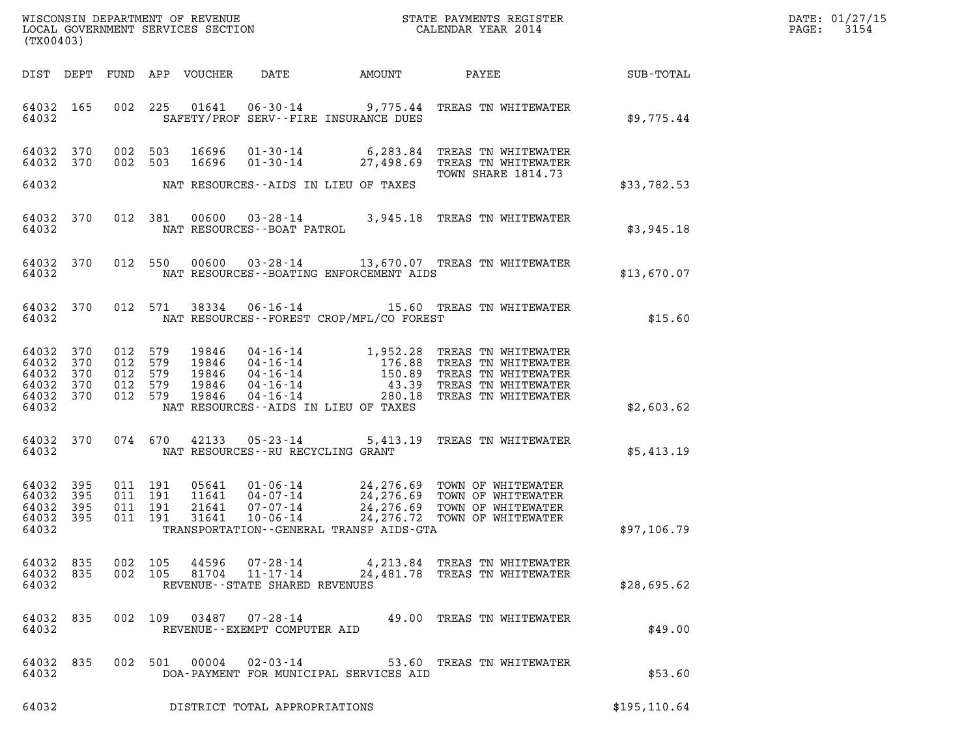|                                                        |                          |  |                                                                                                  |                                   |                                           |                                                                                                                                                                                                                                                                        |               | DATE: 01/27/15           |
|--------------------------------------------------------|--------------------------|--|--------------------------------------------------------------------------------------------------|-----------------------------------|-------------------------------------------|------------------------------------------------------------------------------------------------------------------------------------------------------------------------------------------------------------------------------------------------------------------------|---------------|--------------------------|
| (TX00403)                                              |                          |  |                                                                                                  |                                   |                                           |                                                                                                                                                                                                                                                                        |               | $\mathtt{PAGE:}$<br>3154 |
|                                                        |                          |  |                                                                                                  |                                   |                                           |                                                                                                                                                                                                                                                                        |               |                          |
| 64032 165<br>64032                                     |                          |  |                                                                                                  |                                   | SAFETY/PROF SERV--FIRE INSURANCE DUES     | 002 225 01641 06-30-14 9,775.44 TREAS TN WHITEWATER                                                                                                                                                                                                                    | \$9,775.44    |                          |
| 64032 370<br>64032 370                                 |                          |  | 002 503<br>002 503                                                                               |                                   |                                           | 16696  01-30-14  6,283.84 TREAS TN WHITEWATER<br>16696  01-30-14  27,498.69 TREAS TN WHITEWATER<br><b>TOWN SHARE 1814.73</b>                                                                                                                                           |               |                          |
| 64032                                                  |                          |  |                                                                                                  |                                   | NAT RESOURCES--AIDS IN LIEU OF TAXES      |                                                                                                                                                                                                                                                                        | \$33,782.53   |                          |
| 64032 370<br>64032                                     |                          |  |                                                                                                  |                                   |                                           | 012 381 00600 03-28-14 3,945.18 TREAS TN WHITEWATER NAT RESOURCES--BOAT PATROL                                                                                                                                                                                         | \$3,945.18    |                          |
| 64032 370<br>64032                                     |                          |  |                                                                                                  |                                   | NAT RESOURCES--BOATING ENFORCEMENT AIDS   | 012 550 00600 03-28-14 13,670.07 TREAS TN WHITEWATER                                                                                                                                                                                                                   | \$13,670.07   |                          |
| 64032 370<br>64032                                     |                          |  |                                                                                                  |                                   | NAT RESOURCES - FOREST CROP/MFL/CO FOREST | 012 571 38334 06-16-14 15.60 TREAS TN WHITEWATER                                                                                                                                                                                                                       | \$15.60       |                          |
| 64032 370<br>64032<br>64032<br>64032<br>64032<br>64032 | 370<br>370<br>370<br>370 |  | 012 579<br>19846<br>012 579<br>19846<br>012 579<br>19846<br>012 579<br>19846<br>012 579<br>19846 |                                   | NAT RESOURCES--AIDS IN LIEU OF TAXES      | 04-16-14<br>04-16-14<br>04-16-14<br>04-16-14<br>04-16-14<br>04-16-14<br>04-16-14<br>04-16-14<br>04-16-14<br>04-16-14<br>04-16-14<br>04-16-14<br>04-16-14<br>04-16-14<br>04-16-14<br>04-16-14<br>04-16-14<br>280.18<br>TREAS TN WHITEWATER<br>280.18<br>TREAS TN WHITEW | \$2,603.62    |                          |
| 64032 370<br>64032                                     |                          |  | NAT RESOURCES--RU RECYCLING GRANT                                                                |                                   |                                           | 074 670 42133 05-23-14 5,413.19 TREAS TN WHITEWATER                                                                                                                                                                                                                    | \$5,413.19    |                          |
| 64032<br>64032<br>64032<br>64032<br>64032              | 395<br>395<br>395<br>395 |  | 011 191<br>05641<br>011 191<br>11641<br>011 191<br>21641<br>011 191<br>31641                     |                                   | TRANSPORTATION--GENERAL TRANSP AIDS-GTA   | 01-06-14 24,276.69 TOWN OF WHITEWATER<br>04-07-14 24,276.69 TOWN OF WHITEWATER<br>07-07-14 24,276.69 TOWN OF WHITEWATER<br>10-06-14 24,276.72 TOWN OF WHITEWATER                                                                                                       | \$97,106.79   |                          |
| 64032 835<br>64032 835<br>64032                        |                          |  | 002 105<br>002 105 81704                                                                         | REVENUE - - STATE SHARED REVENUES |                                           | 44596 07-28-14 4,213.84 TREAS TN WHITEWATER<br>11-17-14 24,481.78 TREAS TN WHITEWATER                                                                                                                                                                                  | \$28,695.62   |                          |
| 64032 835<br>64032                                     |                          |  |                                                                                                  | REVENUE--EXEMPT COMPUTER AID      |                                           | 002 109 03487 07-28-14 49.00 TREAS TN WHITEWATER                                                                                                                                                                                                                       | \$49.00       |                          |
| 64032 835<br>64032                                     |                          |  | 002 501 00004 02-03-14                                                                           |                                   | DOA-PAYMENT FOR MUNICIPAL SERVICES AID    | 53.60 TREAS TN WHITEWATER                                                                                                                                                                                                                                              | \$53.60       |                          |
| 64032                                                  |                          |  |                                                                                                  | DISTRICT TOTAL APPROPRIATIONS     |                                           |                                                                                                                                                                                                                                                                        | \$195, 110.64 |                          |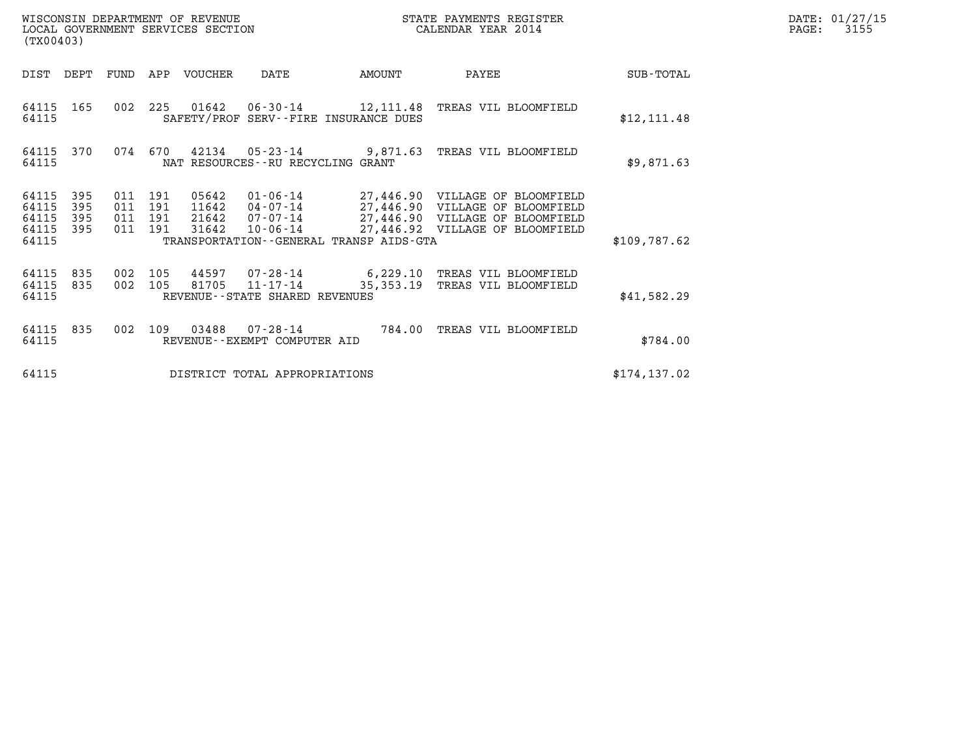| DATE: | 01/27/15 |
|-------|----------|
| PAGE: | 3155     |

| (TX00403)                                                             |                                          | WISCONSIN DEPARTMENT OF REVENUE<br>LOCAL GOVERNMENT SERVICES SECTION |                                                           |        | STATE PAYMENTS REGISTER<br>CALENDAR YEAR 2014                                                                                                                             |               | DATE: 01/27/15<br>$\mathtt{PAGE:}$<br>3155 |
|-----------------------------------------------------------------------|------------------------------------------|----------------------------------------------------------------------|-----------------------------------------------------------|--------|---------------------------------------------------------------------------------------------------------------------------------------------------------------------------|---------------|--------------------------------------------|
| DIST<br>DEPT                                                          | FUND                                     | APP VOUCHER                                                          | DATE                                                      | AMOUNT | PAYEE                                                                                                                                                                     | SUB-TOTAL     |                                            |
| 64115 165<br>64115                                                    |                                          |                                                                      | SAFETY/PROF SERV--FIRE INSURANCE DUES                     |        | 002 225 01642 06-30-14 12,111.48 TREAS VIL BLOOMFIELD                                                                                                                     | \$12, 111.48  |                                            |
| 64115 370<br>64115                                                    | 074 670                                  |                                                                      | $42134$ 05-23-14<br>NAT RESOURCES - - RU RECYCLING GRANT  |        | 9,871.63 TREAS VIL BLOOMFIELD                                                                                                                                             | \$9,871.63    |                                            |
| 64115<br>395<br>395<br>64115<br>395<br>64115<br>395<br>64115<br>64115 | 011 191<br>011 191<br>011 191<br>011 191 | 05642<br>11642<br>21642<br>31642                                     | $10 - 06 - 14$<br>TRANSPORTATION--GENERAL TRANSP AIDS-GTA |        | 01-06-14    27,446.90    VILLAGE OF BLOOMFIELD<br>04-07-14 27,446.90 VILLAGE OF BLOOMFIELD<br>07-07-14 27,446.90 VILLAGE OF BLOOMFIELD<br>27,446.92 VILLAGE OF BLOOMFIELD | \$109,787.62  |                                            |
| 64115<br>835<br>64115<br>835<br>64115                                 | 002<br>002 105                           | 105                                                                  | 81705 11-17-14<br>REVENUE - - STATE SHARED REVENUES       |        | 44597 07-28-14 6,229.10 TREAS VIL BLOOMFIELD<br>35,353.19 TREAS VIL BLOOMFIELD                                                                                            | \$41,582.29   |                                            |
| 64115<br>835<br>64115                                                 | 002                                      | 03488<br>109                                                         | 07-28-14<br>REVENUE - - EXEMPT COMPUTER AID               |        | 784.00 TREAS VIL BLOOMFIELD                                                                                                                                               | \$784.00      |                                            |
| 64115                                                                 |                                          |                                                                      | DISTRICT TOTAL APPROPRIATIONS                             |        |                                                                                                                                                                           | \$174, 137.02 |                                            |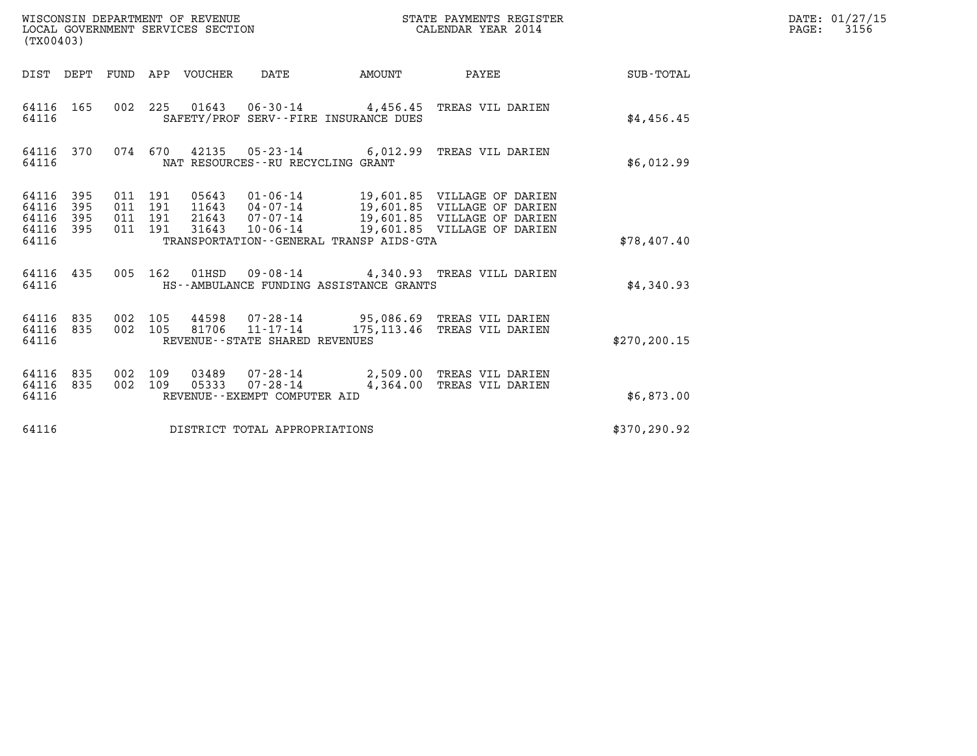| (TX00403)                                     |                   |                                          | WISCONSIN DEPARTMENT OF REVENUE<br>LOCAL GOVERNMENT SERVICES SECTION |                                   |                                         | STATE PAYMENTS REGISTER<br>CALENDAR YEAR 2014                                                                                                                                              |               | DATE: 01/27/15<br>$\mathtt{PAGE:}$<br>3156 |
|-----------------------------------------------|-------------------|------------------------------------------|----------------------------------------------------------------------|-----------------------------------|-----------------------------------------|--------------------------------------------------------------------------------------------------------------------------------------------------------------------------------------------|---------------|--------------------------------------------|
|                                               |                   |                                          | DIST DEPT FUND APP VOUCHER DATE                                      |                                   | AMOUNT                                  | PAYEE SUB-TOTAL                                                                                                                                                                            |               |                                            |
| 64116 165<br>64116                            |                   |                                          |                                                                      |                                   | SAFETY/PROF SERV--FIRE INSURANCE DUES   | 002 225 01643 06-30-14 4,456.45 TREAS VIL DARIEN                                                                                                                                           | \$4,456.45    |                                            |
| 64116                                         |                   |                                          |                                                                      | NAT RESOURCES--RU RECYCLING GRANT |                                         | 64116 370 074 670 42135 05-23-14 6,012.99 TREAS VIL DARIEN                                                                                                                                 | \$6,012.99    |                                            |
| 64116<br>64116<br>64116<br>64116 395<br>64116 | 395<br>395<br>395 | 011 191<br>011 191<br>011 191<br>011 191 |                                                                      |                                   | TRANSPORTATION--GENERAL TRANSP AIDS-GTA | 05643  01-06-14  19,601.85  VILLAGE OF DARIEN<br>11643 04-07-14 19,601.85 VILLAGE OF DARIEN<br>21643 07-07-14 19,601.85 VILLAGE OF DARIEN<br>31643  10-06-14  19,601.85  VILLAGE OF DARIEN | \$78,407.40   |                                            |
| 64116 435<br>64116                            |                   |                                          |                                                                      |                                   | HS--AMBULANCE FUNDING ASSISTANCE GRANTS | 005 162 01HSD 09-08-14 4,340.93 TREAS VILL DARIEN                                                                                                                                          | \$4,340.93    |                                            |
| 64116 835<br>64116 835<br>64116               |                   | 002 105<br>002 105                       |                                                                      | REVENUE--STATE SHARED REVENUES    |                                         | 44598 07-28-14 95,086.69 TREAS VIL DARIEN<br>81706  11-17-14  175,113.46  TREAS VIL DARIEN                                                                                                 | \$270, 200.15 |                                            |
| 64116 835<br>64116 835<br>64116               |                   | 002 109<br>002 109                       |                                                                      | REVENUE--EXEMPT COMPUTER AID      |                                         | 03489  07-28-14  2,509.00 TREAS VIL DARIEN<br>05333  07-28-14  4,364.00  TREAS VIL DARIEN                                                                                                  | \$6,873.00    |                                            |
| 64116                                         |                   |                                          |                                                                      | DISTRICT TOTAL APPROPRIATIONS     |                                         |                                                                                                                                                                                            | \$370,290.92  |                                            |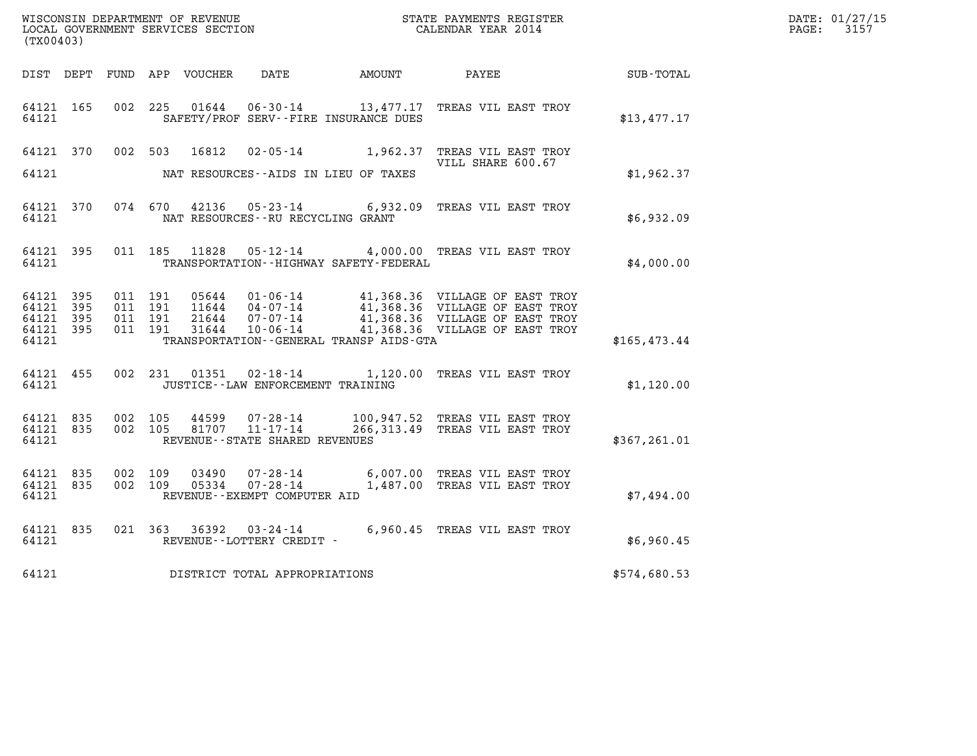| WISCONSIN DEPARTMENT OF REVENUE   | STATE PAYMENTS REGISTER | DATE: 01/27/15 |
|-----------------------------------|-------------------------|----------------|
| LOCAL GOVERNMENT SERVICES SECTION | CALENDAR YEAR 2014      | 3157<br>PAGE:  |

| (TX00403)                                        |           |         |                        |                                            |                                              | WISCONSIN DEPARTMENT OF REVENUE<br>LOCAL GOVERNMENT SERVICES SECTION CALENDAR YEAR 2014                                                                                                                        |               | DATE: 01/27/15<br>$\mathtt{PAGE:}$<br>3157 |
|--------------------------------------------------|-----------|---------|------------------------|--------------------------------------------|----------------------------------------------|----------------------------------------------------------------------------------------------------------------------------------------------------------------------------------------------------------------|---------------|--------------------------------------------|
|                                                  |           |         |                        |                                            |                                              | DIST DEPT FUND APP VOUCHER DATE AMOUNT PAYEE SUB-TOTAL                                                                                                                                                         |               |                                            |
| 64121                                            | 64121 165 |         |                        | SAFETY/PROF SERV--FIRE INSURANCE DUES      |                                              | 002 225 01644 06-30-14 13,477.17 TREAS VIL EAST TROY                                                                                                                                                           | \$13,477.17   |                                            |
|                                                  |           |         |                        |                                            |                                              | 64121 370 002 503 16812 02-05-14 1,962.37 TREAS VIL EAST TROY<br>VILL SHARE 600.67                                                                                                                             |               |                                            |
|                                                  |           |         |                        | 64121 MAT RESOURCES--AIDS IN LIEU OF TAXES |                                              |                                                                                                                                                                                                                | \$1,962.37    |                                            |
| 64121                                            |           |         |                        | NAT RESOURCES--RU RECYCLING GRANT          |                                              | 64121 370 074 670 42136 05-23-14 6,932.09 TREAS VIL EAST TROY                                                                                                                                                  | \$6,932.09    |                                            |
| 64121                                            | 64121 395 |         |                        |                                            | TRANSPORTATION - - HIGHWAY SAFETY - FEDERAL  | 011 185 11828  05-12-14  4,000.00 TREAS VIL EAST TROY                                                                                                                                                          | \$4,000.00    |                                            |
| 64121 395<br>64121 395<br>64121 395<br>64121 395 |           |         |                        |                                            |                                              |                                                                                                                                                                                                                |               |                                            |
| 64121                                            |           |         |                        |                                            | TRANSPORTATION - - GENERAL TRANSP AIDS - GTA |                                                                                                                                                                                                                | \$165,473.44  |                                            |
| 64121                                            |           |         |                        | JUSTICE -- LAW ENFORCEMENT TRAINING        |                                              | 64121 455 002 231 01351 02-18-14 1,120.00 TREAS VIL EAST TROY                                                                                                                                                  | \$1,120.00    |                                            |
| 64121 835<br>64121 835<br>64121                  |           |         |                        | REVENUE--STATE SHARED REVENUES             |                                              | $\begin{array}{cccc} 002 & 105 & 44599 & 07\text{-}28\text{-}14 & 100,947.52 & \text{TREAS VIL EAST TROY} \\ 002 & 105 & 81707 & 11\text{-}17\text{-}14 & 266,313.49 & \text{TREAS VIL EAST TROY} \end{array}$ | \$367, 261.01 |                                            |
| 64121 835<br>64121 835<br>64121                  |           | 002 109 | 03490<br>002 109 05334 | REVENUE--EXEMPT COMPUTER AID               |                                              | 07-28-14 6,007.00 TREAS VIL EAST TROY<br>07-28-14 1,487.00 TREAS VIL EAST TROY                                                                                                                                 | \$7,494.00    |                                            |
| 64121 835<br>64121                               |           |         |                        | REVENUE--LOTTERY CREDIT -                  |                                              | 021 363 36392 03-24-14 6,960.45 TREAS VIL EAST TROY                                                                                                                                                            | \$6,960.45    |                                            |
|                                                  |           |         |                        | 64121 DISTRICT TOTAL APPROPRIATIONS        |                                              |                                                                                                                                                                                                                | \$574,680.53  |                                            |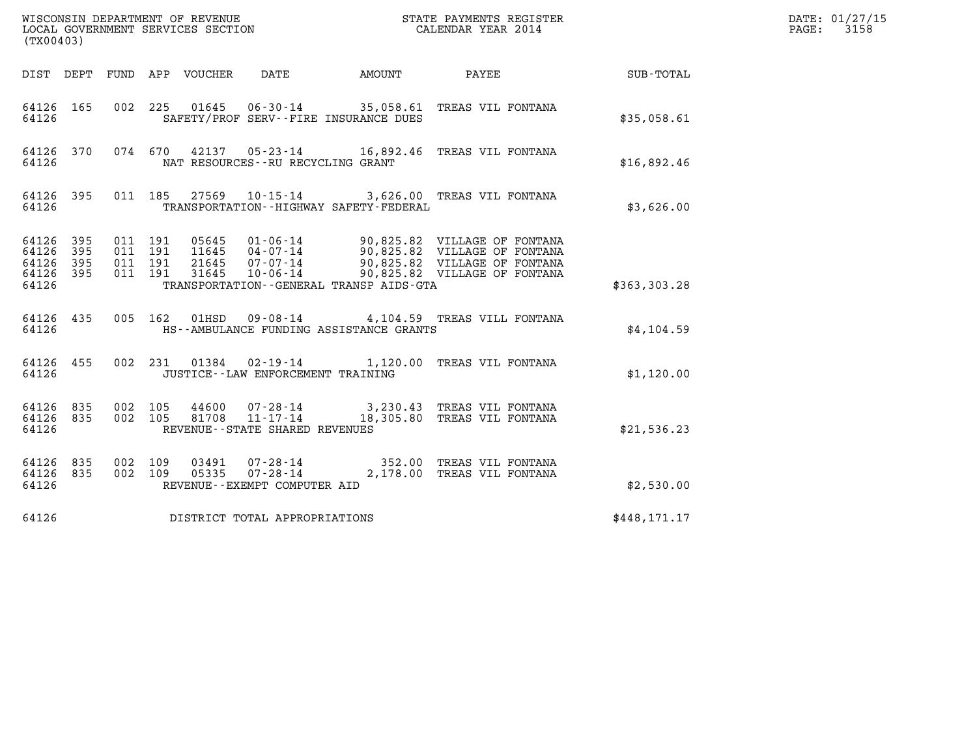| (TX00403)                                 |                          |                               |                                             |                                                                             |                                                                                                                                                |              | DATE: 01/27/15<br>3158<br>$\mathtt{PAGE:}$ |
|-------------------------------------------|--------------------------|-------------------------------|---------------------------------------------|-----------------------------------------------------------------------------|------------------------------------------------------------------------------------------------------------------------------------------------|--------------|--------------------------------------------|
|                                           |                          |                               | DIST DEPT FUND APP VOUCHER                  | DATE                                                                        | AMOUNT PAYEE                                                                                                                                   | SUB-TOTAL    |                                            |
| 64126 165<br>64126                        |                          |                               |                                             | SAFETY/PROF SERV--FIRE INSURANCE DUES                                       | 002 225 01645 06-30-14 35,058.61 TREAS VIL FONTANA                                                                                             | \$35,058.61  |                                            |
| 64126 370<br>64126                        |                          |                               |                                             | NAT RESOURCES--RU RECYCLING GRANT                                           | 074 670 42137 05-23-14 16,892.46 TREAS VIL FONTANA                                                                                             | \$16,892.46  |                                            |
| 64126 395<br>64126                        |                          |                               |                                             | TRANSPORTATION - - HIGHWAY SAFETY - FEDERAL                                 | 011 185 27569 10-15-14 3,626.00 TREAS VIL FONTANA                                                                                              | \$3,626.00   |                                            |
| 64126<br>64126<br>64126<br>64126<br>64126 | 395<br>395<br>395<br>395 | 011 191<br>011 191<br>011 191 | 011 191<br>05645<br>11645<br>21645<br>31645 | $07 - 07 - 14$<br>$10 - 06 - 14$<br>TRANSPORTATION--GENERAL TRANSP AIDS-GTA | 01-06-14 90,825.82 VILLAGE OF FONTANA<br>04-07-14 90,825.82 VILLAGE OF FONTANA<br>90,825.82 VILLAGE OF FONTANA<br>90,825.82 VILLAGE OF FONTANA | \$363,303.28 |                                            |
| 64126 435<br>64126                        |                          |                               | 005 162<br>01HSD                            | HS--AMBULANCE FUNDING ASSISTANCE GRANTS                                     | 09-08-14 4,104.59 TREAS VILL FONTANA                                                                                                           | \$4,104.59   |                                            |
| 64126 455<br>64126                        |                          |                               |                                             | JUSTICE - - LAW ENFORCEMENT TRAINING                                        | 002 231 01384 02-19-14 1,120.00 TREAS VIL FONTANA                                                                                              | \$1,120.00   |                                            |
| 64126 835<br>64126<br>64126               | 835                      | 002 105<br>002 105            | 81708                                       | 44600 07-28-14<br>$11 - 17 - 14$<br>REVENUE - - STATE SHARED REVENUES       | 3,230.43 TREAS VIL FONTANA<br>18,305.80 TREAS VIL FONTANA                                                                                      | \$21,536.23  |                                            |
| 64126 835<br>64126 835<br>64126           |                          | 002 109<br>002 109            | 03491<br>05335                              | 07-28-14<br>REVENUE - - EXEMPT COMPUTER AID                                 | 07-28-14 352.00 TREAS VIL FONTANA<br>2,178.00 TREAS VIL FONTANA                                                                                | \$2,530.00   |                                            |
| 64126                                     |                          |                               |                                             | DISTRICT TOTAL APPROPRIATIONS                                               |                                                                                                                                                | \$448,171.17 |                                            |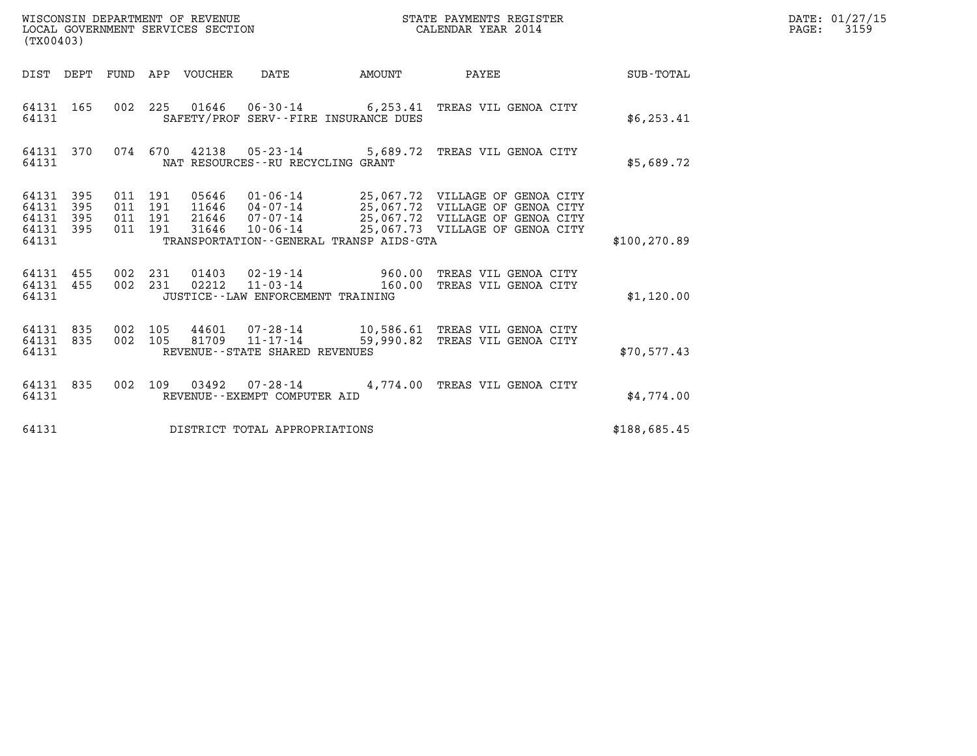| WISCONSIN DEPARTMENT OF REVENUE   | STATE PAYMENTS REGISTER | DATE: 01/27/15 |
|-----------------------------------|-------------------------|----------------|
| LOCAL GOVERNMENT SERVICES SECTION | CALENDAR YEAR 2014      | 3159<br>PAGE:  |

| (TX00403)                                                             |                                                                                                                                                                                                                                                                                                                                       |                  |
|-----------------------------------------------------------------------|---------------------------------------------------------------------------------------------------------------------------------------------------------------------------------------------------------------------------------------------------------------------------------------------------------------------------------------|------------------|
| DIST<br>DEPT<br>FUND                                                  | PAYEE<br>APP<br>VOUCHER<br>DATE<br>AMOUNT                                                                                                                                                                                                                                                                                             | <b>SUB-TOTAL</b> |
| 165<br>64131<br>64131                                                 | 002<br>225<br>01646  06-30-14  6,253.41 TREAS VIL GENOA CITY<br>SAFETY/PROF SERV--FIRE INSURANCE DUES                                                                                                                                                                                                                                 | \$6, 253.41      |
| 64131<br>370<br>64131                                                 | 42138<br>074<br>670<br>$05 - 23 - 14$<br>5,689.72<br>TREAS VIL GENOA CITY<br>NAT RESOURCES -- RU RECYCLING GRANT                                                                                                                                                                                                                      | \$5,689.72       |
| 64131<br>395<br>64131<br>395<br>395<br>64131<br>64131<br>395<br>64131 | 05646<br>01-06-14<br>011<br>191<br>25,067.72 VILLAGE OF GENOA CITY<br>011<br>191<br>11646<br>04-07-14<br>25,067.72 VILLAGE OF GENOA CITY<br>25,067.72 VILLAGE OF GENOA CITY<br>07-07-14<br>011<br>191<br>21646<br>25,067.73 VILLAGE OF GENOA CITY<br>011<br>191<br>31646<br>$10 - 06 - 14$<br>TRANSPORTATION--GENERAL TRANSP AIDS-GTA | \$100, 270.89    |
| 455<br>64131<br>455<br>64131<br>64131                                 | 002<br>231<br>01403<br>02-19-14<br>960.00<br>TREAS VIL GENOA CITY<br>002<br>231<br>02212<br>$11 - 03 - 14$<br>160.00<br>TREAS VIL GENOA CITY<br>JUSTICE - - LAW ENFORCEMENT TRAINING                                                                                                                                                  | \$1,120.00       |
| 835<br>64131<br>835<br>64131<br>64131                                 | 105<br>002<br>44601<br>07-28-14<br>10,586.61 TREAS VIL GENOA CITY<br>and<br>San Barat San Barat<br>002<br>81709<br>$11 - 17 - 14$<br>59,990.82<br>105<br>TREAS VIL GENOA CITY<br>REVENUE--STATE SHARED REVENUES                                                                                                                       | \$70,577.43      |
| 64131<br>835<br>64131                                                 | 002<br>109<br>03492<br>$07 - 28 - 14$ 4, 774.00<br>TREAS VIL GENOA CITY<br>REVENUE - - EXEMPT COMPUTER AID                                                                                                                                                                                                                            | \$4,774.00       |
| 64131                                                                 | DISTRICT TOTAL APPROPRIATIONS                                                                                                                                                                                                                                                                                                         | \$188,685.45     |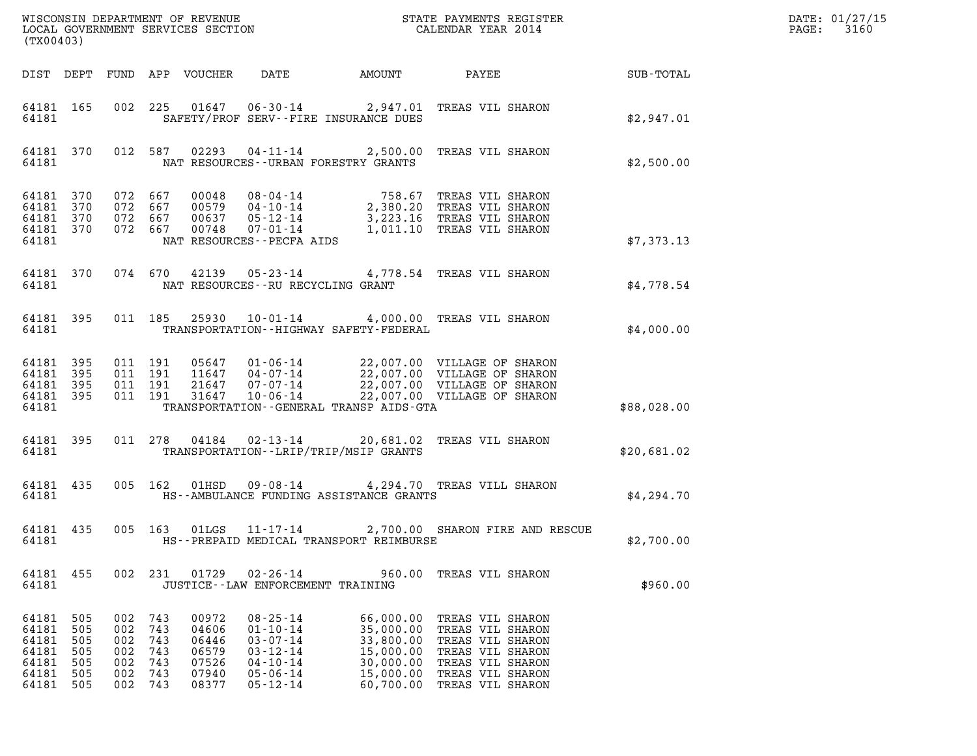|                                                             | (TX00403)                                     |                                               |                                               |                                                             |                                                                                                                            |        |                                                                                                                                                                                                                |             | DATE: 01/27/15<br>$\mathtt{PAGE:}$<br>3160 |
|-------------------------------------------------------------|-----------------------------------------------|-----------------------------------------------|-----------------------------------------------|-------------------------------------------------------------|----------------------------------------------------------------------------------------------------------------------------|--------|----------------------------------------------------------------------------------------------------------------------------------------------------------------------------------------------------------------|-------------|--------------------------------------------|
|                                                             |                                               |                                               |                                               | DIST DEPT FUND APP VOUCHER                                  | DATE                                                                                                                       | AMOUNT | <b>PAYEE</b> FOUND THE PAYEE                                                                                                                                                                                   | SUB-TOTAL   |                                            |
| 64181                                                       | 64181 165                                     |                                               |                                               |                                                             | SAFETY/PROF SERV--FIRE INSURANCE DUES                                                                                      |        | 002 225 01647 06-30-14 2,947.01 TREAS VIL SHARON                                                                                                                                                               | \$2,947.01  |                                            |
| 64181                                                       |                                               |                                               |                                               |                                                             | NAT RESOURCES--URBAN FORESTRY GRANTS                                                                                       |        | 64181 370 012 587 02293 04-11-14 2,500.00 TREAS VIL SHARON                                                                                                                                                     | \$2,500.00  |                                            |
| 64181 370<br>64181 370<br>64181 370<br>64181                | 64181 370 072 667                             | 072 667<br>072 667<br>072 667                 |                                               |                                                             | NAT RESOURCES - - PECFA AIDS                                                                                               |        | 00048 08-04-14 758.67 TREAS VIL SHARON<br>00579 04-10-14 2,380.20 TREAS VIL SHARON<br>00637 05-12-14 3,223.16 TREAS VIL SHARON<br>00748 07-01-14 1,011.10 TREAS VIL SHARON                                     | \$7,373.13  |                                            |
| 64181                                                       | 64181 370                                     |                                               |                                               |                                                             | NAT RESOURCES--RU RECYCLING GRANT                                                                                          |        | 074 670 42139 05-23-14 4,778.54 TREAS VIL SHARON                                                                                                                                                               | \$4,778.54  |                                            |
| 64181                                                       | 64181 395                                     |                                               |                                               |                                                             | TRANSPORTATION - - HIGHWAY SAFETY - FEDERAL                                                                                |        | 011 185 25930 10-01-14 4,000.00 TREAS VIL SHARON                                                                                                                                                               | \$4,000.00  |                                            |
| 64181 395<br>64181 395<br>64181 395<br>64181                | 64181 395                                     | 011 191<br>011 191<br>011 191<br>011 191      |                                               |                                                             | TRANSPORTATION--GENERAL TRANSP AIDS-GTA                                                                                    |        | 05647  01-06-14  22,007.00  VILLAGE OF SHARON<br>11647  04-07-14  22,007.00  VILLAGE OF SHARON<br>21647  07-07-14  22,007.00  VILLAGE OF SHARON<br>31647  10-06-14  22,007.00  VILLAGE OF SHARON               | \$88,028.00 |                                            |
| 64181                                                       | 64181 395                                     |                                               |                                               |                                                             | TRANSPORTATION - - LRIP/TRIP/MSIP GRANTS                                                                                   |        | 011  278  04184  02-13-14  20,681.02  TREAS VIL SHARON                                                                                                                                                         | \$20,681.02 |                                            |
| 64181                                                       | 64181 435                                     |                                               |                                               |                                                             | HS--AMBULANCE FUNDING ASSISTANCE GRANTS                                                                                    |        | 005 162 01HSD 09-08-14 4,294.70 TREAS VILL SHARON                                                                                                                                                              | \$4,294.70  |                                            |
| 64181                                                       |                                               |                                               |                                               |                                                             | HS--PREPAID MEDICAL TRANSPORT REIMBURSE                                                                                    |        | 64181 435 005 163 01LGS 11-17-14 2,700.00 SHARON FIRE AND RESCUE                                                                                                                                               | \$2,700.00  |                                            |
| 64181 455<br>64181                                          |                                               |                                               |                                               |                                                             | JUSTICE - - LAW ENFORCEMENT TRAINING                                                                                       |        | 002 231 01729 02-26-14 960.00 TREAS VIL SHARON                                                                                                                                                                 | \$960.00    |                                            |
| 64181<br>64181<br>64181<br>64181<br>64181<br>64181<br>64181 | 505<br>505<br>505<br>505<br>505<br>505<br>505 | 002<br>002<br>002<br>002<br>002<br>002<br>002 | 743<br>743<br>743<br>743<br>743<br>743<br>743 | 00972<br>04606<br>06446<br>06579<br>07526<br>07940<br>08377 | $08 - 25 - 14$<br>$01 - 10 - 14$<br>$03 - 07 - 14$<br>$03 - 12 - 14$<br>$04 - 10 - 14$<br>$05 - 06 - 14$<br>$05 - 12 - 14$ |        | 66,000.00 TREAS VIL SHARON<br>35,000.00 TREAS VIL SHARON<br>33,800.00 TREAS VIL SHARON<br>15,000.00 TREAS VIL SHARON<br>30,000.00 TREAS VIL SHARON<br>15,000.00 TREAS VIL SHARON<br>60,700.00 TREAS VIL SHARON |             |                                            |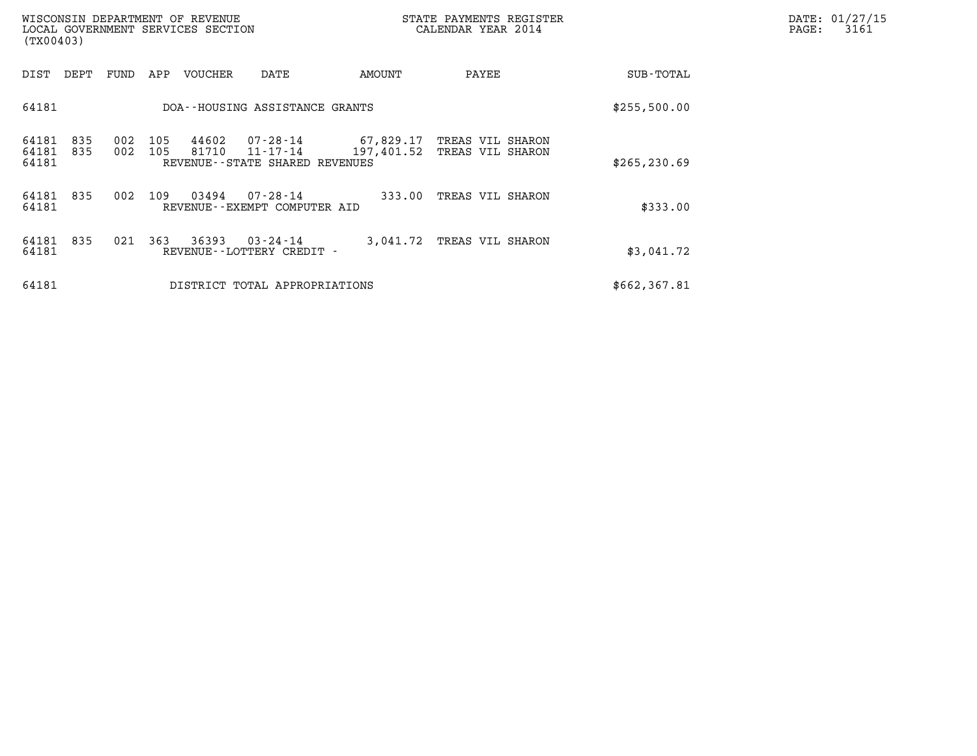| (TX00403)               |            |            |            | WISCONSIN DEPARTMENT OF REVENUE<br>LOCAL GOVERNMENT SERVICES SECTION |                                                        |            | STATE PAYMENTS REGISTER<br>CALENDAR YEAR 2014  |               | DATE: 01/27/15<br>$\mathtt{PAGE}$ :<br>3161 |
|-------------------------|------------|------------|------------|----------------------------------------------------------------------|--------------------------------------------------------|------------|------------------------------------------------|---------------|---------------------------------------------|
| DIST                    | DEPT       | FUND       | APP        | VOUCHER                                                              | DATE                                                   | AMOUNT     | PAYEE                                          | SUB-TOTAL     |                                             |
| 64181                   |            |            |            |                                                                      | DOA--HOUSING ASSISTANCE GRANTS                         |            |                                                | \$255,500.00  |                                             |
| 64181<br>64181<br>64181 | 835<br>835 | 002<br>002 | 105<br>105 | 44602<br>81710                                                       | 07-28-14<br>11-17-14<br>REVENUE--STATE SHARED REVENUES | 197,401.52 | 67,829.17 TREAS VIL SHARON<br>TREAS VIL SHARON | \$265, 230.69 |                                             |
| 64181<br>64181          | 835        | 002        | 109        | 03494                                                                | 07-28-14<br>REVENUE--EXEMPT COMPUTER AID               | 333.00     | TREAS VIL SHARON                               | \$333.00      |                                             |
| 64181<br>64181          | 835        | 021        | 363        | 36393                                                                | 03-24-14<br>REVENUE--LOTTERY CREDIT -                  |            | 3,041.72 TREAS VIL SHARON                      | \$3,041.72    |                                             |
| 64181                   |            |            |            |                                                                      | DISTRICT TOTAL APPROPRIATIONS                          |            |                                                | \$662,367.81  |                                             |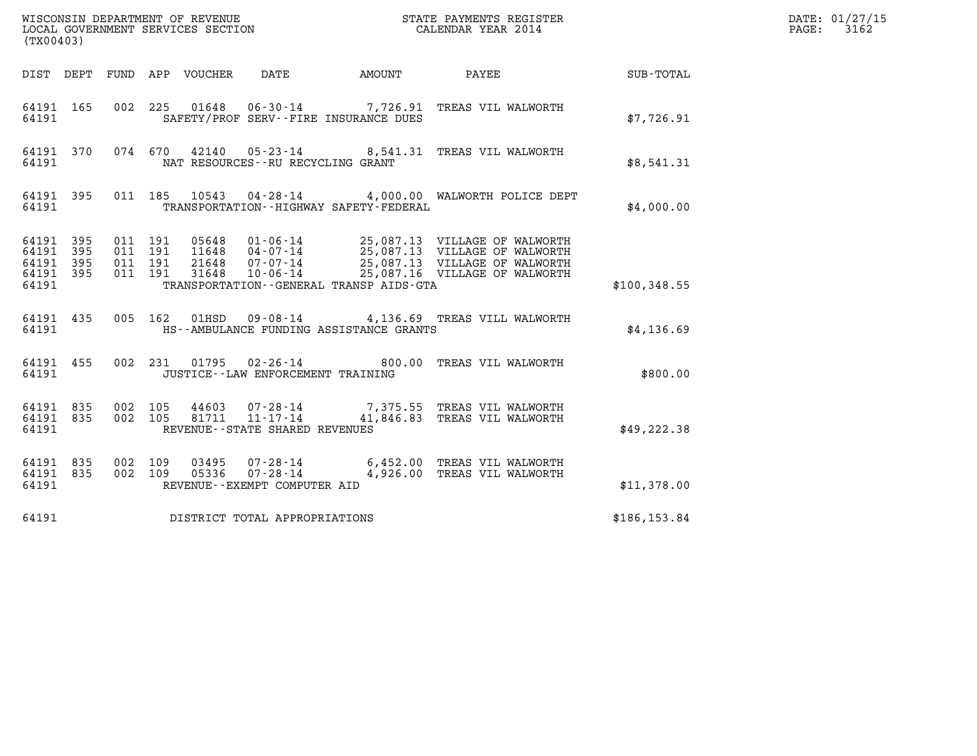| (TX00403)                                         |            |                                          |                            |                                                                 |                                             |                                                                                                                                                                                                          |              | DATE: 01/27/15<br>3162<br>$\mathtt{PAGE:}$ |
|---------------------------------------------------|------------|------------------------------------------|----------------------------|-----------------------------------------------------------------|---------------------------------------------|----------------------------------------------------------------------------------------------------------------------------------------------------------------------------------------------------------|--------------|--------------------------------------------|
|                                                   |            |                                          | DIST DEPT FUND APP VOUCHER | DATE                                                            |                                             | AMOUNT PAYEE                                                                                                                                                                                             | SUB-TOTAL    |                                            |
| 64191 165<br>64191                                |            |                                          |                            |                                                                 | SAFETY/PROF SERV--FIRE INSURANCE DUES       | 002  225  01648  06-30-14  7,726.91  TREAS VIL WALWORTH                                                                                                                                                  | \$7,726.91   |                                            |
| 64191 370<br>64191                                |            |                                          |                            | NAT RESOURCES--RU RECYCLING GRANT                               |                                             | 074 670 42140 05-23-14 8,541.31 TREAS VIL WALWORTH                                                                                                                                                       | \$8.541.31   |                                            |
| 64191 395<br>64191                                |            |                                          |                            |                                                                 | TRANSPORTATION - - HIGHWAY SAFETY - FEDERAL | 011 185 10543 04-28-14 4,000.00 WALWORTH POLICE DEPT                                                                                                                                                     | \$4,000.00   |                                            |
| 64191 395<br>64191<br>64191<br>64191 395<br>64191 | 395<br>395 | 011 191<br>011 191<br>011 191<br>011 191 |                            |                                                                 | TRANSPORTATION--GENERAL TRANSP AIDS-GTA     | 05648  01-06-14  25,087.13  VILLAGE OF WALWORTH<br>11648  04-07-14  25,087.13  VILLAGE OF WALWORTH<br>21648  07-07-14  25,087.13  VILLAGE OF WALWORTH<br>31648  10-06-14  25,087.16  VILLAGE OF WALWORTH | \$100,348.55 |                                            |
| 64191 435<br>64191                                |            |                                          | 005 162 01HSD              |                                                                 | HS--AMBULANCE FUNDING ASSISTANCE GRANTS     | 09-08-14 4,136.69 TREAS VILL WALWORTH                                                                                                                                                                    | \$4,136.69   |                                            |
| 64191 455<br>64191                                |            |                                          |                            | JUSTICE - - LAW ENFORCEMENT TRAINING                            |                                             | 002 231 01795 02-26-14 800.00 TREAS VIL WALWORTH                                                                                                                                                         | \$800.00     |                                            |
| 64191 835<br>64191 835<br>64191                   |            | 002 105<br>002 105                       | 44603<br>81711             | 07-28-14<br>$11 - 17 - 14$<br>REVENUE - - STATE SHARED REVENUES |                                             | 7,375.55 TREAS VIL WALWORTH<br>41,846.83 TREAS VIL WALWORTH                                                                                                                                              | \$49, 222.38 |                                            |
| 64191 835<br>64191 835<br>64191                   |            | 002 109<br>002 109                       | 03495<br>05336             | 07-28-14<br>REVENUE--EXEMPT COMPUTER AID                        |                                             | 07-28-14 6,452.00 TREAS VIL WALWORTH<br>4,926.00 TREAS VIL WALWORTH                                                                                                                                      | \$11,378.00  |                                            |
| 64191                                             |            |                                          |                            | DISTRICT TOTAL APPROPRIATIONS                                   |                                             |                                                                                                                                                                                                          | \$186,153.84 |                                            |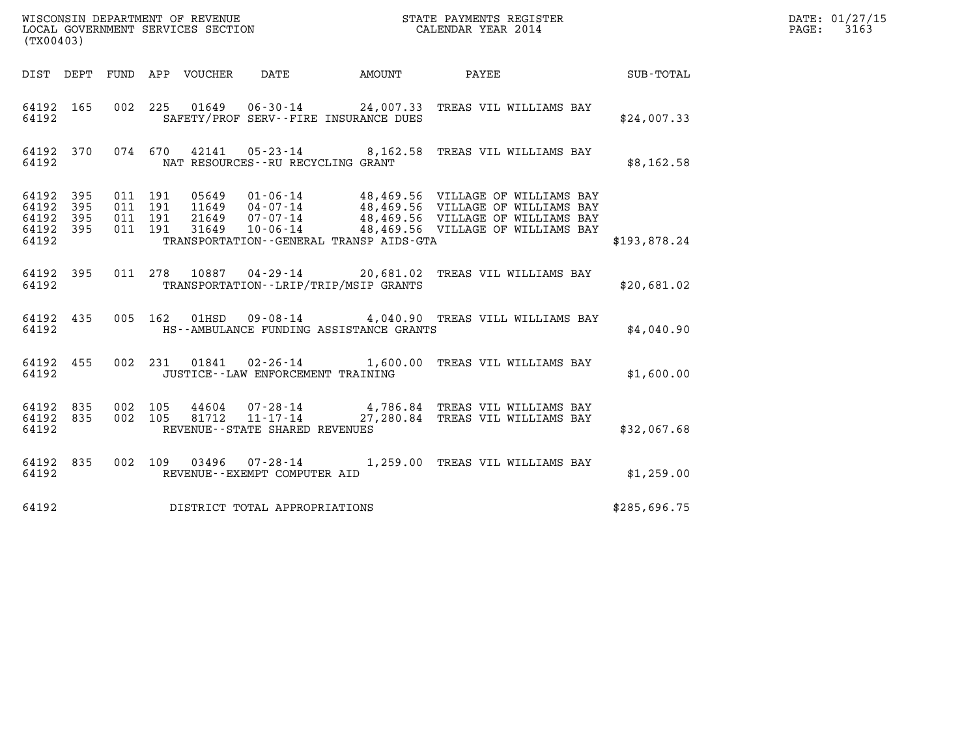| (TX00403)                                     |                   |  |                                          |                                                                                                                                                                                                                                         |              | DATE: 01/27/15<br>PAGE: 3163 |
|-----------------------------------------------|-------------------|--|------------------------------------------|-----------------------------------------------------------------------------------------------------------------------------------------------------------------------------------------------------------------------------------------|--------------|------------------------------|
|                                               |                   |  |                                          |                                                                                                                                                                                                                                         |              |                              |
| 64192                                         |                   |  | SAFETY/PROF SERV--FIRE INSURANCE DUES    | 64192 165 002 225 01649 06-30-14 24,007.33 TREAS VIL WILLIAMS BAY                                                                                                                                                                       | \$24,007.33  |                              |
| 64192                                         |                   |  | NAT RESOURCES--RU RECYCLING GRANT        | 64192 370 074 670 42141 05-23-14 8,162.58 TREAS VIL WILLIAMS BAY                                                                                                                                                                        | \$8,162.58   |                              |
| 64192 395<br>64192<br>64192<br>64192<br>64192 | 395<br>395<br>395 |  | TRANSPORTATION--GENERAL TRANSP AIDS-GTA  | 011 191 05649 01-06-14 48,469.56 VILLAGE OF WILLIAMS BAY<br>011 191 11649 04-07-14 48,469.56 VILLAGE OF WILLIAMS BAY<br>011 191 31649 10-06-14 48,469.56 VILLAGE OF WILLIAMS BAY<br>011 191 31649 10-06-14 48,469.56 VILLAGE OF WILLIAM | \$193.878.24 |                              |
| 64192                                         |                   |  | TRANSPORTATION - - LRIP/TRIP/MSIP GRANTS | 64192 395 011 278 10887 04-29-14 20,681.02 TREAS VIL WILLIAMS BAY                                                                                                                                                                       | \$20,681.02  |                              |
| 64192                                         |                   |  | HS--AMBULANCE FUNDING ASSISTANCE GRANTS  | 64192 435 005 162 01HSD 09-08-14 4,040.90 TREAS VILL WILLIAMS BAY                                                                                                                                                                       | \$4,040.90   |                              |
| 64192                                         |                   |  | JUSTICE - LAW ENFORCEMENT TRAINING       | 64192 455 002 231 01841 02-26-14 1,600.00 TREAS VIL WILLIAMS BAY                                                                                                                                                                        | \$1,600.00   |                              |
| 64192                                         |                   |  | REVENUE--STATE SHARED REVENUES           | 64192 835 002 105 44604 07-28-14 4,786.84 TREAS VIL WILLIAMS BAY<br>64192 835 002 105 81712 11-17-14 27,280.84 TREAS VIL WILLIAMS BAY                                                                                                   | \$32,067.68  |                              |
| 64192                                         |                   |  | REVENUE--EXEMPT COMPUTER AID             | 64192 835 002 109 03496 07-28-14 1,259.00 TREAS VIL WILLIAMS BAY                                                                                                                                                                        | \$1,259.00   |                              |
| 64192                                         |                   |  | DISTRICT TOTAL APPROPRIATIONS            |                                                                                                                                                                                                                                         | \$285,696.75 |                              |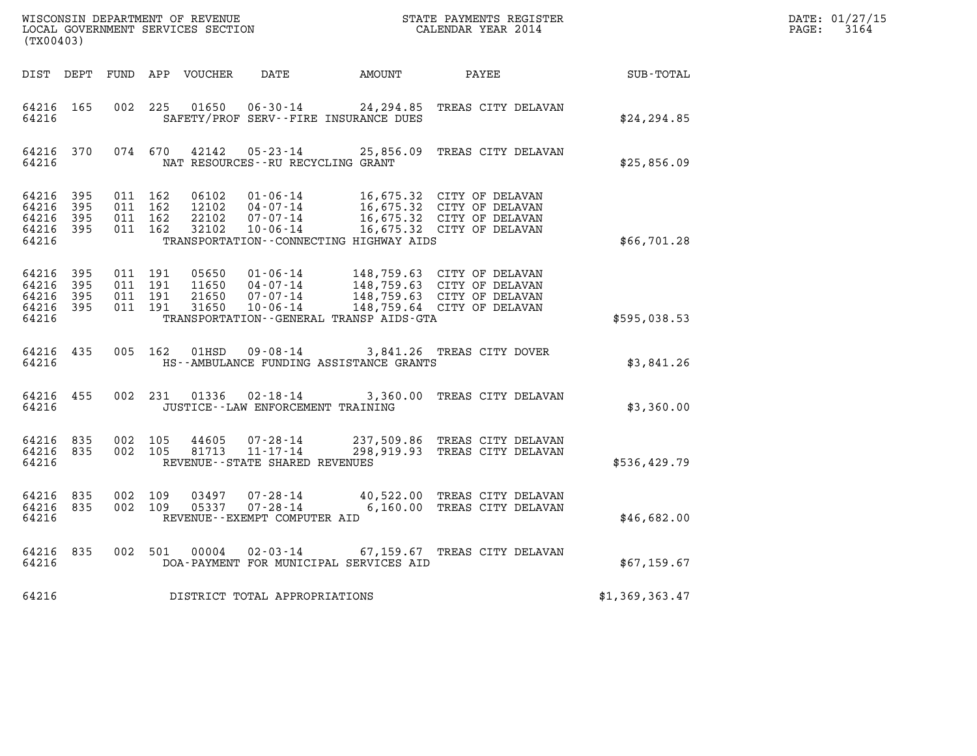|                                               |                   |                                          | WISCONSIN DEPARTMENT OF REVENUE<br>LOCAL GOVERNMENT SERVICES SECTION |                                                               |                                         | STATE PAYMENTS REGISTER                                                                                                                                                                      |                | DATE: 01/27/15<br>PAGE: 3164 |
|-----------------------------------------------|-------------------|------------------------------------------|----------------------------------------------------------------------|---------------------------------------------------------------|-----------------------------------------|----------------------------------------------------------------------------------------------------------------------------------------------------------------------------------------------|----------------|------------------------------|
| (TX00403)                                     |                   |                                          |                                                                      |                                                               |                                         | CALENDAR YEAR 2014                                                                                                                                                                           |                |                              |
|                                               |                   |                                          |                                                                      | DIST DEPT FUND APP VOUCHER  DATE                              | AMOUNT PAYEE                            |                                                                                                                                                                                              | SUB-TOTAL      |                              |
| 64216 165<br>64216                            |                   |                                          |                                                                      |                                                               | SAFETY/PROF SERV--FIRE INSURANCE DUES   | 002 225 01650 06-30-14 24,294.85 TREAS CITY DELAVAN                                                                                                                                          | \$24, 294.85   |                              |
| 64216                                         |                   |                                          |                                                                      | NAT RESOURCES--RU RECYCLING GRANT                             |                                         | 64216 370 074 670 42142 05-23-14 25,856.09 TREAS CITY DELAVAN                                                                                                                                | \$25,856.09    |                              |
| 64216 395<br>64216<br>64216<br>64216<br>64216 | 395<br>395<br>395 | 011 162<br>011 162<br>011 162<br>011 162 |                                                                      |                                                               | TRANSPORTATION--CONNECTING HIGHWAY AIDS | 06102 01-06-14 16,675.32 CITY OF DELAVAN<br>12102 04-07-14 16,675.32 CITY OF DELAVAN<br>22102 07-07-14 16,675.32 CITY OF DELAVAN<br>32102 10-06-14 16,675.32 CITY OF DELAVAN                 | \$66,701.28    |                              |
| 64216<br>64216<br>64216<br>64216 395<br>64216 | 395<br>395<br>395 | 011 191<br>011 191<br>011 191            |                                                                      | 011 191 31650 10-06-14                                        | TRANSPORTATION--GENERAL TRANSP AIDS-GTA | 05650  01-06-14  148,759.63  CITY OF DELAVAN<br>11650  04-07-14  148,759.63  CITY OF DELAVAN<br>21650  07-07-14  148,759.63  CITY OF DELAVAN<br>31650  10-06-14  148,759.64  CITY OF DELAVAN | \$595,038.53   |                              |
| 64216                                         |                   |                                          |                                                                      |                                                               | HS--AMBULANCE FUNDING ASSISTANCE GRANTS | 64216 435 005 162 01HSD 09-08-14 3,841.26 TREAS CITY DOVER                                                                                                                                   | \$3,841.26     |                              |
| 64216 455<br>64216                            |                   |                                          |                                                                      | 002 231 01336 02-18-14<br>JUSTICE -- LAW ENFORCEMENT TRAINING |                                         | 3,360.00 TREAS CITY DELAVAN                                                                                                                                                                  | \$3,360.00     |                              |
| 64216 835<br>64216 835<br>64216               |                   | 002 105                                  | 44605                                                                | 002 105 81713 11-17-14<br>REVENUE--STATE SHARED REVENUES      |                                         | 07-28-14 237,509.86 TREAS CITY DELAVAN<br>298,919.93 TREAS CITY DELAVAN                                                                                                                      | \$536,429.79   |                              |
| 64216 835<br>64216 835<br>64216               |                   |                                          |                                                                      | REVENUE--EXEMPT COMPUTER AID                                  |                                         | 002 109 03497 07-28-14 40,522.00 TREAS CITY DELAVAN<br>002 109 05337 07-28-14 6,160.00 TREAS CITY DELAVAN                                                                                    | \$46,682.00    |                              |
| 64216                                         |                   |                                          |                                                                      |                                                               | DOA-PAYMENT FOR MUNICIPAL SERVICES AID  | 64216 835 002 501 00004 02-03-14 67,159.67 TREAS CITY DELAVAN                                                                                                                                | \$67,159.67    |                              |
| 64216                                         |                   |                                          |                                                                      | DISTRICT TOTAL APPROPRIATIONS                                 |                                         |                                                                                                                                                                                              | \$1,369,363.47 |                              |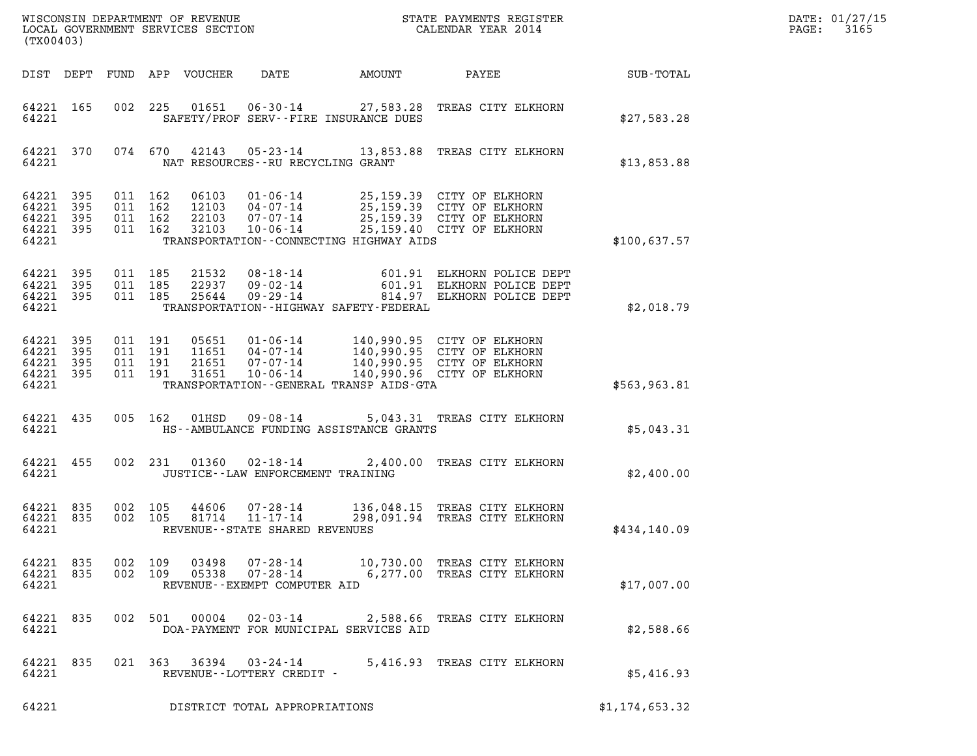| $\mathtt{DATE}$ : | 01/27/15 |
|-------------------|----------|
| PAGE:             | 3165     |

| (TX00403)                                                 |           |                               |                                    |                                                                    |                                             |                                                                                                                                     |                | DATE: 01/27/15<br>3165<br>$\mathtt{PAGE:}$ |
|-----------------------------------------------------------|-----------|-------------------------------|------------------------------------|--------------------------------------------------------------------|---------------------------------------------|-------------------------------------------------------------------------------------------------------------------------------------|----------------|--------------------------------------------|
|                                                           |           |                               | DIST DEPT FUND APP VOUCHER         | DATE                                                               | AMOUNT                                      | PAYEE                                                                                                                               | SUB-TOTAL      |                                            |
| 64221 165<br>64221                                        |           |                               | 002 225                            |                                                                    | SAFETY/PROF SERV--FIRE INSURANCE DUES       | 01651  06-30-14  27,583.28  TREAS CITY ELKHORN                                                                                      | \$27,583.28    |                                            |
| 64221 370<br>64221                                        |           |                               | 074 670                            | NAT RESOURCES -- RU RECYCLING GRANT                                |                                             | 42143  05-23-14  13,853.88  TREAS CITY ELKHORN                                                                                      | \$13,853.88    |                                            |
| 64221 395<br>64221<br>64221 395<br>64221 395<br>64221     | 395       | 011 162<br>011 162<br>011 162 | 06103<br>22103<br>011 162<br>32103 | $01 - 06 - 14$<br>12103 04-07-14<br>07-07-14<br>$10 - 06 - 14$     | TRANSPORTATION--CONNECTING HIGHWAY AIDS     | 25,159.39 CITY OF ELKHORN<br>25,159.39 CITY OF ELKHORN<br>25,159.39 CITY OF ELKHORN<br>25,159.40 CITY OF ELKHORN                    | \$100,637.57   |                                            |
| 64221 395<br>64221 395<br>64221 395<br>64221              |           | 011 185<br>011 185<br>011 185 |                                    |                                                                    | TRANSPORTATION - - HIGHWAY SAFETY - FEDERAL | 21532 08-18-14 601.91 ELKHORN POLICE DEPT<br>22937 09-02-14 601.91 ELKHORN POLICE DEPT<br>25644 09-29-14 814.97 ELKHORN POLICE DEPT | \$2,018.79     |                                            |
| 64221 395<br>64221 395<br>64221 395<br>64221 395<br>64221 |           | 011 191<br>011 191<br>011 191 | 011 191<br>31651                   | 05651 01-06-14<br>11651 04-07-14<br>21651 07-07-14<br>10-06-14     | TRANSPORTATION--GENERAL TRANSP AIDS-GTA     | 140,990.95 CITY OF ELKHORN<br>140,990.95 CITY OF ELKHORN<br>140,990.95 CITY OF ELKHORN<br>140,990.96 CITY OF ELKHORN                | \$563,963.81   |                                            |
| 64221 435<br>64221                                        |           |                               | 005 162<br>01HSD                   | $09 - 08 - 14$                                                     | HS--AMBULANCE FUNDING ASSISTANCE GRANTS     | 5,043.31 TREAS CITY ELKHORN                                                                                                         | \$5,043.31     |                                            |
| 64221 455<br>64221                                        |           |                               | 002 231                            | $01360$ $02 - 18 - 14$<br>JUSTICE - - LAW ENFORCEMENT TRAINING     |                                             | 2,400.00 TREAS CITY ELKHORN                                                                                                         | \$2,400.00     |                                            |
| 64221 835<br>64221 835<br>64221                           |           | 002 105<br>002 105            | 44606<br>81714                     | $07 - 28 - 14$<br>$11 - 17 - 14$<br>REVENUE--STATE SHARED REVENUES |                                             | 136,048.15 TREAS CITY ELKHORN<br>298,091.94 TREAS CITY ELKHORN                                                                      | \$434,140.09   |                                            |
| 64221 835<br>64221 835<br>64221                           |           | 002 109<br>002 109            |                                    | REVENUE--EXEMPT COMPUTER AID                                       |                                             | 03498  07-28-14  10,730.00 TREAS CITY ELKHORN<br>6,277.00 TREAS CITY ELKHORN                                                        | \$17,007.00    |                                            |
| 64221                                                     | 64221 835 |                               | 002 501<br>00004                   |                                                                    | DOA-PAYMENT FOR MUNICIPAL SERVICES AID      | 02-03-14 2,588.66 TREAS CITY ELKHORN                                                                                                | \$2,588.66     |                                            |
| 64221                                                     | 64221 835 |                               |                                    | 021 363 36394 03-24-14<br>REVENUE--LOTTERY CREDIT -                |                                             | 5,416.93 TREAS CITY ELKHORN                                                                                                         | \$5,416.93     |                                            |
| 64221                                                     |           |                               |                                    | DISTRICT TOTAL APPROPRIATIONS                                      |                                             |                                                                                                                                     | \$1,174,653.32 |                                            |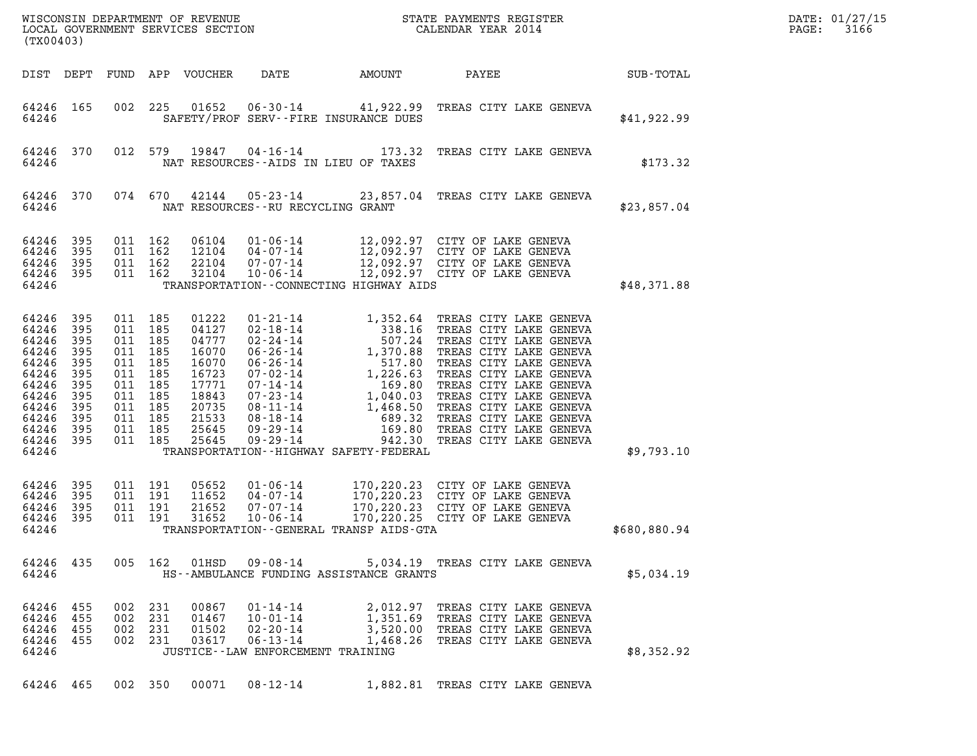| (TX00403)                                                                                                    |                                                                                 |                                                                                                            |                               |                                                                                                          |                                                                                                  |                                              |                                                                                                                                                                                                          |                  | DATE: 01/27/15<br>3166<br>$\mathtt{PAGE:}$ |
|--------------------------------------------------------------------------------------------------------------|---------------------------------------------------------------------------------|------------------------------------------------------------------------------------------------------------|-------------------------------|----------------------------------------------------------------------------------------------------------|--------------------------------------------------------------------------------------------------|----------------------------------------------|----------------------------------------------------------------------------------------------------------------------------------------------------------------------------------------------------------|------------------|--------------------------------------------|
|                                                                                                              |                                                                                 |                                                                                                            |                               | DIST DEPT FUND APP VOUCHER                                                                               | DATE                                                                                             | <b>AMOUNT</b>                                | PAYEE                                                                                                                                                                                                    | <b>SUB-TOTAL</b> |                                            |
| 64246                                                                                                        | 64246 165                                                                       |                                                                                                            |                               |                                                                                                          |                                                                                                  | SAFETY/PROF SERV--FIRE INSURANCE DUES        | 002 225 01652 06-30-14 41,922.99 TREAS CITY LAKE GENEVA                                                                                                                                                  | \$41,922.99      |                                            |
| 64246                                                                                                        | 64246 370                                                                       |                                                                                                            |                               |                                                                                                          | NAT RESOURCES--AIDS IN LIEU OF TAXES                                                             |                                              | 012 579 19847 04-16-14 173.32 TREAS CITY LAKE GENEVA                                                                                                                                                     | \$173.32         |                                            |
| 64246                                                                                                        | 64246 370                                                                       |                                                                                                            | 074 670                       |                                                                                                          | NAT RESOURCES--RU RECYCLING GRANT                                                                |                                              | 42144  05-23-14  23,857.04  TREAS CITY LAKE GENEVA                                                                                                                                                       | \$23,857.04      |                                            |
| 64246<br>64246<br>64246<br>64246                                                                             | 395<br>395<br>395<br>64246 395                                                  | 011 162<br>011 162                                                                                         | 011 162<br>011 162            |                                                                                                          |                                                                                                  | TRANSPORTATION - - CONNECTING HIGHWAY AIDS   | 06104  01-06-14  12,092.97  CITY OF LAKE GENEVA<br>12104  04-07-14  12,092.97  CITY OF LAKE GENEVA<br>22104  07-07-14  12,092.97  CITY OF LAKE GENEVA<br>32104  10-06-14  12,092.97  CITY OF LAKE GENEVA | \$48,371.88      |                                            |
| 64246<br>64246<br>64246<br>64246<br>64246<br>64246<br>64246<br>64246<br>64246<br>64246<br>64246 395<br>64246 | 395<br>395<br>395<br>395<br>395<br>395<br>395<br>395<br>395<br>395<br>64246 395 | 011 185<br>011 185<br>011 185<br>011 185<br>011 185<br>011 185<br>011 185<br>011 185<br>011 185<br>011 185 | 011 185<br>011 185            | 01222<br>04127<br>04777<br>16070<br>16070<br>16723<br>17771<br>18843<br>20735<br>21533<br>25645<br>25645 |                                                                                                  | TRANSPORTATION - - HIGHWAY SAFETY - FEDERAL  |                                                                                                                                                                                                          | \$9,793.10       |                                            |
| 64246<br>64246<br>64246<br>64246 395<br>64246                                                                | 395<br>395<br>395                                                               | 011 191<br>011 191                                                                                         | 011 191<br>011 191            | 05652<br>11652<br>21652<br>31652                                                                         |                                                                                                  | TRANSPORTATION - - GENERAL TRANSP AIDS - GTA | 01-06-14 170,220.23 CITY OF LAKE GENEVA<br>04-07-14 170,220.23 CITY OF LAKE GENEVA<br>07-07-14 170,220.23 CITY OF LAKE GENEVA<br>10-06-14 170,220.25 CITY OF LAKE GENEVA                                 | \$680,880.94     |                                            |
| 64246                                                                                                        | 64246 435                                                                       |                                                                                                            |                               |                                                                                                          |                                                                                                  | HS--AMBULANCE FUNDING ASSISTANCE GRANTS      | 005 162 01HSD 09-08-14 5,034.19 TREAS CITY LAKE GENEVA                                                                                                                                                   | \$5,034.19       |                                            |
| 64246 455<br>64246 455<br>64246 455<br>64246 455<br>64246                                                    |                                                                                 | 002 231                                                                                                    | 002 231<br>002 231<br>002 231 | 00867<br>01502<br>03617                                                                                  | $01 - 14 - 14$<br>01467 10-01-14<br>02-20-14<br>06-13-14<br>JUSTICE - - LAW ENFORCEMENT TRAINING |                                              | 2,012.97 TREAS CITY LAKE GENEVA<br>1,351.69 TREAS CITY LAKE GENEVA<br>3,520.00 TREAS CITY LAKE GENEVA<br>1,468.26 TREAS CITY LAKE GENEVA                                                                 | \$8,352.92       |                                            |
|                                                                                                              | 64246 465                                                                       |                                                                                                            | 002 350                       |                                                                                                          |                                                                                                  |                                              | 00071  08-12-14   1,882.81   TREAS CITY LAKE GENEVA                                                                                                                                                      |                  |                                            |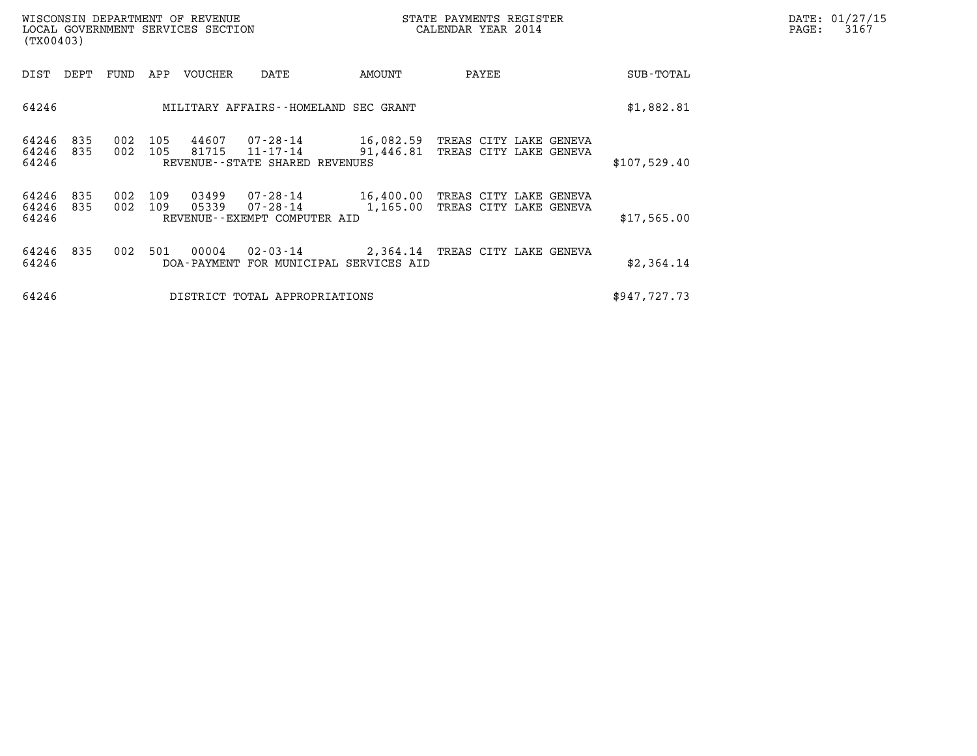| DATE: | 01/27/15 |
|-------|----------|
| PAGE: | 3167     |

| WISCONSIN DEPARTMENT OF REVENUE<br>(TX00403)        | LOCAL GOVERNMENT SERVICES SECTION                                                      | STATE PAYMENTS REGISTER<br>CALENDAR YEAR 2014         | DATE: 01/27/15<br>PAGE:<br>3167        |  |
|-----------------------------------------------------|----------------------------------------------------------------------------------------|-------------------------------------------------------|----------------------------------------|--|
| DIST<br>DEPT<br>FUND                                | APP<br>VOUCHER<br>DATE                                                                 | AMOUNT<br>PAYEE                                       | SUB-TOTAL                              |  |
| 64246                                               | MILITARY AFFAIRS--HOMELAND SEC GRANT                                                   | \$1,882.81                                            |                                        |  |
| 64246<br>835<br>002<br>64246<br>835<br>002<br>64246 | 44607<br>105<br>07-28-14<br>105<br>81715<br>11-17-14<br>REVENUE--STATE SHARED REVENUES | 16,082.59 TREAS CITY LAKE GENEVA<br>91,446.81         | TREAS CITY LAKE GENEVA<br>\$107,529.40 |  |
| 64246<br>835<br>002<br>64246<br>835<br>002<br>64246 | 109<br>03499<br>109<br>05339<br>07-28-14<br>REVENUE--EXEMPT COMPUTER AID               | 07-28-14 16,400.00 TREAS CITY LAKE GENEVA<br>1,165.00 | TREAS CITY LAKE GENEVA<br>\$17,565.00  |  |
| 64246<br>835<br>002<br>64246                        | 00004<br>$02 - 03 - 14$<br>501<br>DOA-PAYMENT FOR MUNICIPAL SERVICES AID               | 2,364.14 TREAS CITY LAKE GENEVA                       | \$2,364.14                             |  |
| 64246                                               | DISTRICT TOTAL APPROPRIATIONS                                                          |                                                       | \$947,727.73                           |  |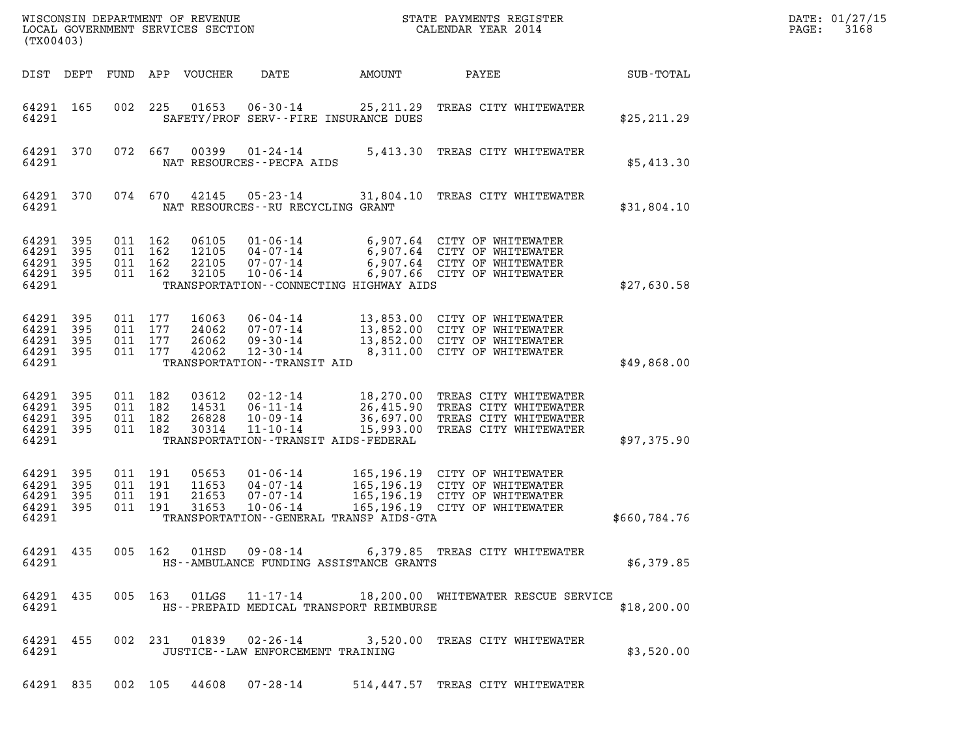| (TX00403)                                             |                          |                                          |         |                                  |                                                                                                  |                                           |                                                                                                                                          |              | DATE: 01/27/15<br>3168<br>PAGE: |
|-------------------------------------------------------|--------------------------|------------------------------------------|---------|----------------------------------|--------------------------------------------------------------------------------------------------|-------------------------------------------|------------------------------------------------------------------------------------------------------------------------------------------|--------------|---------------------------------|
|                                                       |                          |                                          |         | DIST DEPT FUND APP VOUCHER       | DATE                                                                                             | AMOUNT                                    | PAYEE                                                                                                                                    | SUB-TOTAL    |                                 |
| 64291 165<br>64291                                    |                          |                                          | 002 225 | 01653                            | 06-30-14                                                                                         | SAFETY/PROF SERV--FIRE INSURANCE DUES     | 25, 211.29 TREAS CITY WHITEWATER                                                                                                         | \$25, 211.29 |                                 |
| 64291 370<br>64291                                    |                          |                                          | 072 667 | 00399                            | NAT RESOURCES - - PECFA AIDS                                                                     |                                           | 01-24-14 5,413.30 TREAS CITY WHITEWATER                                                                                                  | \$5,413.30   |                                 |
| 64291 370<br>64291                                    |                          |                                          | 074 670 | 42145                            | 05-23-14<br>NAT RESOURCES -- RU RECYCLING GRANT                                                  |                                           | 31,804.10 TREAS CITY WHITEWATER                                                                                                          | \$31,804.10  |                                 |
| 64291 395<br>64291<br>64291<br>64291 395<br>64291     | 395<br>395               | 011 162<br>011 162<br>011 162<br>011 162 |         | 06105<br>12105<br>22105<br>32105 | $01 - 06 - 14$<br>04-07-14<br>07-07-14<br>$10 - 06 - 14$                                         | TRANSPORTATION--CONNECTING HIGHWAY AIDS   | 6,907.64 CITY OF WHITEWATER<br>6,907.64 CITY OF WHITEWATER<br>6,907.64 CITY OF WHITEWATER<br>6,907.66 CITY OF WHITEWATER                 | \$27,630.58  |                                 |
| 64291 395<br>64291 395<br>64291<br>64291 395<br>64291 | 395                      | 011 177<br>011 177<br>011 177<br>011 177 |         | 16063<br>24062<br>26062<br>42062 | 06-04-14<br>$07 - 07 - 14$<br>$09 - 30 - 14$<br>$12 - 30 - 14$<br>TRANSPORTATION - - TRANSIT AID |                                           | 13,853.00 CITY OF WHITEWATER<br>13,852.00 CITY OF WHITEWATER<br>13,852.00 CITY OF WHITEWATER<br>8,311.00 CITY OF WHITEWATER              | \$49,868.00  |                                 |
| 64291 395<br>64291<br>64291 395<br>64291 395<br>64291 | 395                      | 011 182<br>011 182<br>011 182<br>011 182 |         | 03612<br>14531<br>26828<br>30314 | 02-12-14<br>06-11-14<br>10-09-14<br>$11 - 10 - 14$                                               | TRANSPORTATION - - TRANSIT AIDS - FEDERAL | 18,270.00 TREAS CITY WHITEWATER<br>26,415.90 TREAS CITY WHITEWATER<br>36,697.00 TREAS CITY WHITEWATER<br>15,993.00 TREAS CITY WHITEWATER | \$97,375.90  |                                 |
| 64291<br>64291<br>64291<br>64291<br>64291             | 395<br>395<br>395<br>395 | 011 191<br>011 191<br>011 191<br>011 191 |         | 05653<br>11653<br>21653<br>31653 | $01 - 06 - 14$<br>04-07-14<br>07-07-14<br>$10 - 06 - 14$                                         | TRANSPORTATION--GENERAL TRANSP AIDS-GTA   | 165,196.19 CITY OF WHITEWATER<br>165,196.19 CITY OF WHITEWATER<br>165,196.19 CITY OF WHITEWATER<br>165,196.19 CITY OF WHITEWATER         | \$660,784.76 |                                 |
| 64291                                                 |                          |                                          |         |                                  |                                                                                                  | HS--AMBULANCE FUNDING ASSISTANCE GRANTS   | 64291 435 005 162 01HSD 09-08-14 6,379.85 TREAS CITY WHITEWATER                                                                          | \$6,379.85   |                                 |
| 64291                                                 | 64291 435                |                                          |         |                                  |                                                                                                  | HS--PREPAID MEDICAL TRANSPORT REIMBURSE   | 005 163 01LGS 11-17-14 18,200.00 WHITEWATER RESCUE SERVICE                                                                               | \$18,200.00  |                                 |
| 64291                                                 | 64291 455                |                                          |         |                                  | JUSTICE - - LAW ENFORCEMENT TRAINING                                                             |                                           | 002 231 01839 02-26-14 3,520.00 TREAS CITY WHITEWATER                                                                                    | \$3,520.00   |                                 |
|                                                       |                          |                                          |         |                                  | 64291 835 002 105 44608 07-28-14                                                                 |                                           | 514,447.57 TREAS CITY WHITEWATER                                                                                                         |              |                                 |